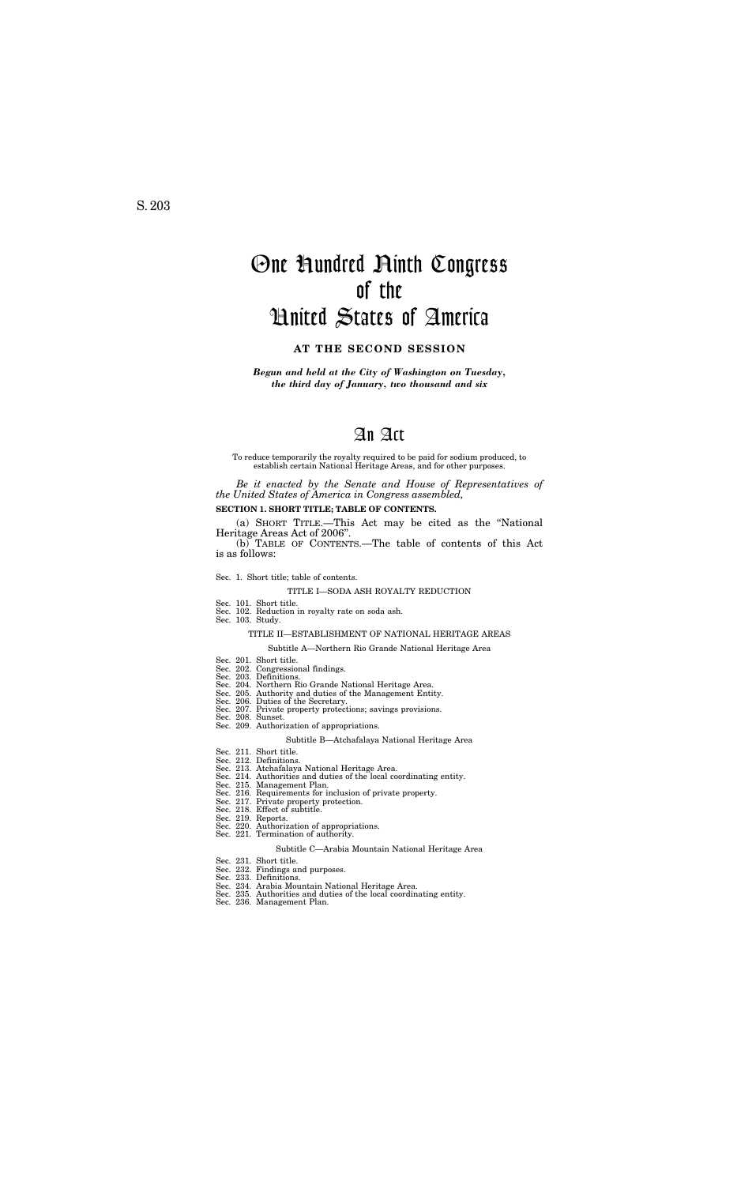# S. 203

# One Hundred Ninth Congress of the United States of America

# **AT THE SECOND SESSION**

*Begun and held at the City of Washington on Tuesday, the third day of January, two thousand and six*

# An Act

To reduce temporarily the royalty required to be paid for sodium produced, to establish certain National Heritage Areas, and for other purposes.

*Be it enacted by the Senate and House of Representatives of the United States of America in Congress assembled,*

#### **SECTION 1. SHORT TITLE; TABLE OF CONTENTS.**

(a) SHORT TITLE.—This Act may be cited as the ''National Heritage Areas Act of 2006''.

(b) TABLE OF CONTENTS.—The table of contents of this Act is as follows:

Sec. 1. Short title; table of contents.

# TITLE I—SODA ASH ROYALTY REDUCTION

- Sec. 101. Short title.
- Sec. 102. Reduction in royalty rate on soda ash. Sec. 103. Study.
- 

# TITLE II—ESTABLISHMENT OF NATIONAL HERITAGE AREAS

Subtitle A—Northern Rio Grande National Heritage Area

- Sec. 201. Short title.
- Sec. 202. Congressional findings. Sec. 203. Definitions.
- 
- 
- 
- Sec. 204. Northern Rio Grande National Heritage Area. Sec. 205. Authority and duties of the Management Entity. Sec. 206. Duties of the Secretary. Sec. 207. Private property protections; savings provisions.
- 
- Sec. 208. Sunset. Sec. 209. Authorization of appropriations.

#### Subtitle B—Atchafalaya National Heritage Area

- Sec. 211. Short title. Sec. 212. Definitions.
- Sec. 213. Atchafalaya National Heritage Area.
- Sec. 214. Authorities and duties of the local coordinating entity.
- Sec. 215. Management Plan.
- Sec. 216. Requirements for inclusion of private property.
- Sec. 217. Private property protection.
- Sec. 218. Effect of subtitle. Sec. 219. Reports.
- Sec. 220. Authorization of appropriations.
- Sec. 221. Termination of authority.

#### Subtitle C—Arabia Mountain National Heritage Area

- Sec. 231. Short title.
- Sec. 232. Findings and purposes.
- Sec. 233. Definitions.
- Sec. 234. Arabia Mountain National Heritage Area.
- Sec. 235. Authorities and duties of the local coordinating entity.
- Sec. 236. Management Plan.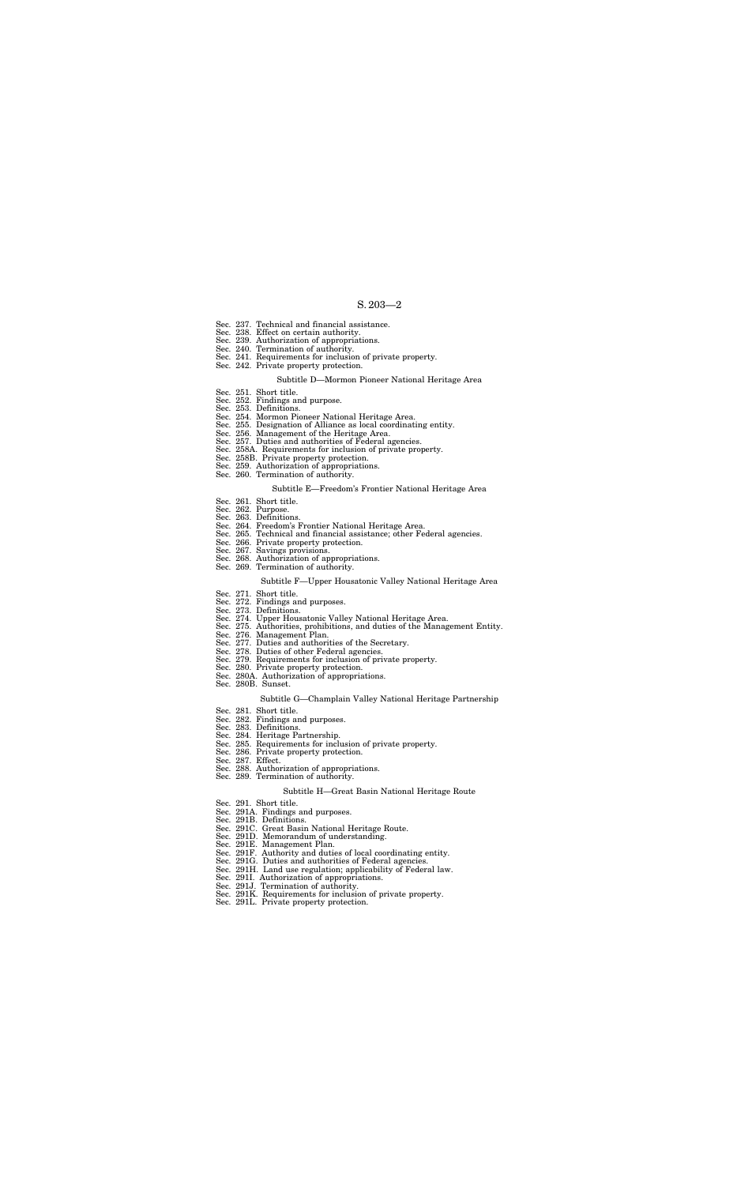- Sec. 237. Technical and financial assistance.
- Sec. 238. Effect on certain authority.
- Sec. 239. Authorization of appropriations.
- Sec. 240. Termination of authority.
- Sec. 241. Requirements for inclusion of private property.
- Sec. 242. Private property protection.

#### Subtitle D—Mormon Pioneer National Heritage Area

- Sec. 251. Short title.
- Sec. 252. Findings and purpose.
- Sec. 253. Definitions.
- Sec. 254. Mormon Pioneer National Heritage Area.
- Sec. 255. Designation of Alliance as local coordinating entity.
- Sec. 256. Management of the Heritage Area.
- Sec. 257. Duties and authorities of Federal agencies.
- Sec. 258A. Requirements for inclusion of private property.
- Sec. 258B. Private property protection. Sec. 259. Authorization of appropriations.
- Sec. 260. Termination of authority.

#### Subtitle E—Freedom's Frontier National Heritage Area

- Sec. 261. Short title.
- Sec. 262. Purpose.
- Sec. 263. Definitions.
- Sec. 264. Freedom's Frontier National Heritage Area.
- Sec. 265. Technical and financial assistance; other Federal agencies.
	- Sec. 266. Private property protection.
	- Sec. 267. Savings provisions.
	- Sec. 268. Authorization of appropriations. Sec. 269. Termination of authority.
	-

#### Subtitle F—Upper Housatonic Valley National Heritage Area

- Sec. 271. Short title.
- Sec. 272. Findings and purposes.
- Sec. 273. Definitions.
- Sec. 274. Upper Housatonic Valley National Heritage Area. Sec. 275. Authorities, prohibitions, and duties of the Management Entity.
- Sec. 276. Management Plan.
- Sec. 277. Duties and authorities of the Secretary.
- Sec. 278. Duties of other Federal agencies.
- Sec. 279. Requirements for inclusion of private property.
- Sec. 280. Private property protection. Sec. 280A. Authorization of appropriations.
- Sec. 280B. Sunset.

#### Subtitle G—Champlain Valley National Heritage Partnership

- Sec. 281. Short title.
- Sec. 282. Findings and purposes.
- Sec. 283. Definitions.
- Sec. 284. Heritage Partnership.
- Sec. 285. Requirements for inclusion of private property.
- Sec. 286. Private property protection.
- Sec. 287. Effect. Sec. 288. Authorization of appropriations.
- Sec. 289. Termination of authority.

# Subtitle H—Great Basin National Heritage Route

- Sec. 291. Short title.
- Sec. 291A. Findings and purposes.
- Sec. 291B. Definitions.
- Sec. 291C. Great Basin National Heritage Route.
- Sec. 291D. Memorandum of understanding.
- Sec. 291E. Management Plan.
- Sec. 291F. Authority and duties of local coordinating entity.
- Sec. 291G. Duties and authorities of Federal agencies. Sec. 291H. Land use regulation; applicability of Federal law.
- 
- Sec. 291I. Authorization of appropriations. Sec. 291J. Termination of authority.
- Sec. 291K. Requirements for inclusion of private property.
- Sec. 291L. Private property protection.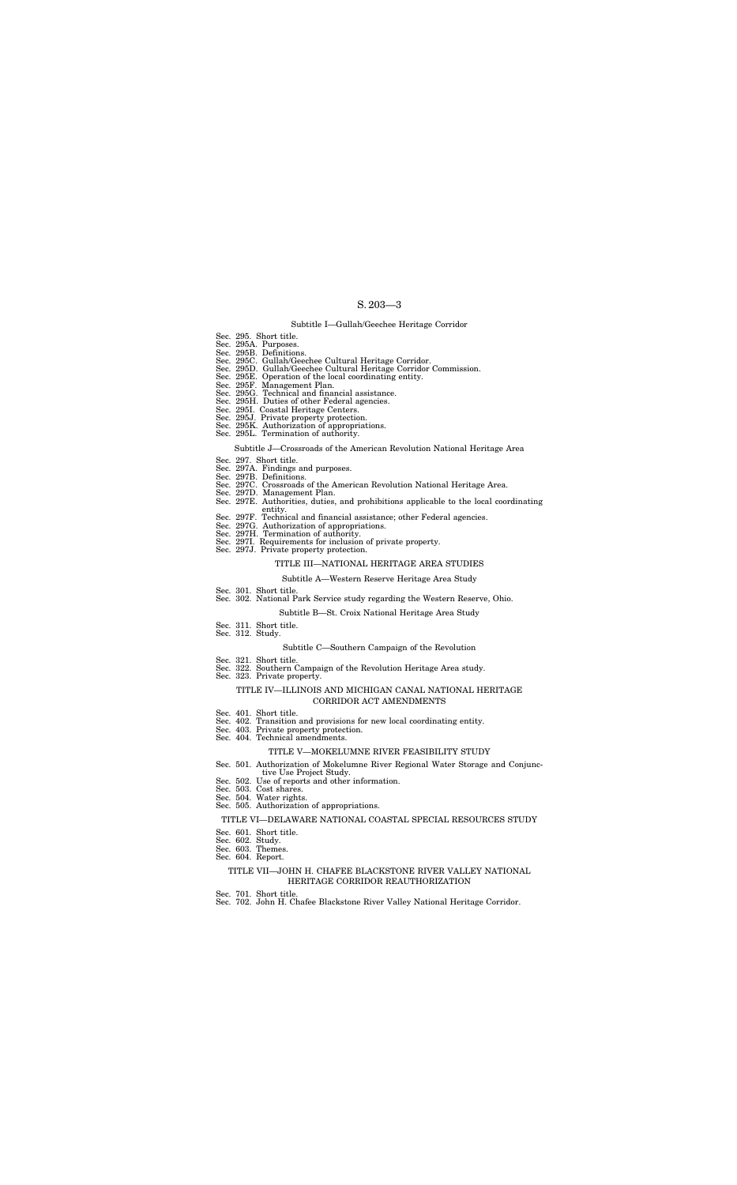#### Subtitle I—Gullah/Geechee Heritage Corridor

- 
- 
- Sec. 295. Short title. Sec. 295A. Purposes. Sec. 295B. Definitions. Sec. 295C. Gullah/Geechee Cultural Heritage Corridor.
- Sec. 295D. Gullah/Geechee Cultural Heritage Corridor Commission.
- Sec. 295E. Operation of the local coordinating entity. Sec. 295F. Management Plan.
- 
- 
- Sec. 295G. Technical and financial assistance. Sec. 295H. Duties of other Federal agencies.
- 
- 
- Sec. 295I. Coastal Heritage Centers. Sec. 295J. Private property protection. Sec. 295K. Authorization of appropriations. Sec. 295L. Termination of authority.
- 

- 
- 
- 
- 
- Sec. 297. Short title.<br>Sec. 297A. Findings and purposes.<br>Sec. 297B. Definitions.<br>Sec. 297C. Crossroads of the American Revolution National Heritage Area.<br>Sec. 297D. Management Plan.<br>Sec. 297D. Management Plan. entity.
- Sec. 297F. Technical and financial assistance; other Federal agencies. Sec. 297G. Authorization of appropriations. Sec. 297H. Termination of authority.
- 
- 
- Sec. 297I. Requirements for inclusion of private property.
- Sec. 297J. Private property protection.

# Subtitle J—Crossroads of the American Revolution National Heritage Area

#### TITLE III—NATIONAL HERITAGE AREA STUDIES

#### Subtitle A—Western Reserve Heritage Area Study

Sec. 301. Short title. Sec. 302. National Park Service study regarding the Western Reserve, Ohio.

# Subtitle B—St. Croix National Heritage Area Study

Sec. 311. Short title. Sec. 312. Study.

#### Subtitle C—Southern Campaign of the Revolution

- Sec. 321. Short title.
- Sec. 322. Southern Campaign of the Revolution Heritage Area study.
- Sec. 323. Private property.

#### TITLE IV—ILLINOIS AND MICHIGAN CANAL NATIONAL HERITAGE CORRIDOR ACT AMENDMENTS

- Sec. 401. Short title.
- Sec. 402. Transition and provisions for new local coordinating entity. Sec. 403. Private property protection.
- Sec. 404. Technical amendments.
	- TITLE V—MOKELUMNE RIVER FEASIBILITY STUDY

# Sec. 501. Authorization of Mokelumne River Regional Water Storage and Conjunc-

- tive Use Project Study.
- Sec. 502. Use of reports and other information.
- Sec. 503. Cost shares.
- Sec. 504. Water rights.
- Sec. 505. Authorization of appropriations.

#### TITLE VI—DELAWARE NATIONAL COASTAL SPECIAL RESOURCES STUDY

- Sec. 601. Short title.
- Sec. 602. Study.
- Sec. 603. Themes.
- Sec. 604. Report.

# TITLE VII—JOHN H. CHAFEE BLACKSTONE RIVER VALLEY NATIONAL HERITAGE CORRIDOR REAUTHORIZATION

- Sec. 701. Short title.
- Sec. 702. John H. Chafee Blackstone River Valley National Heritage Corridor.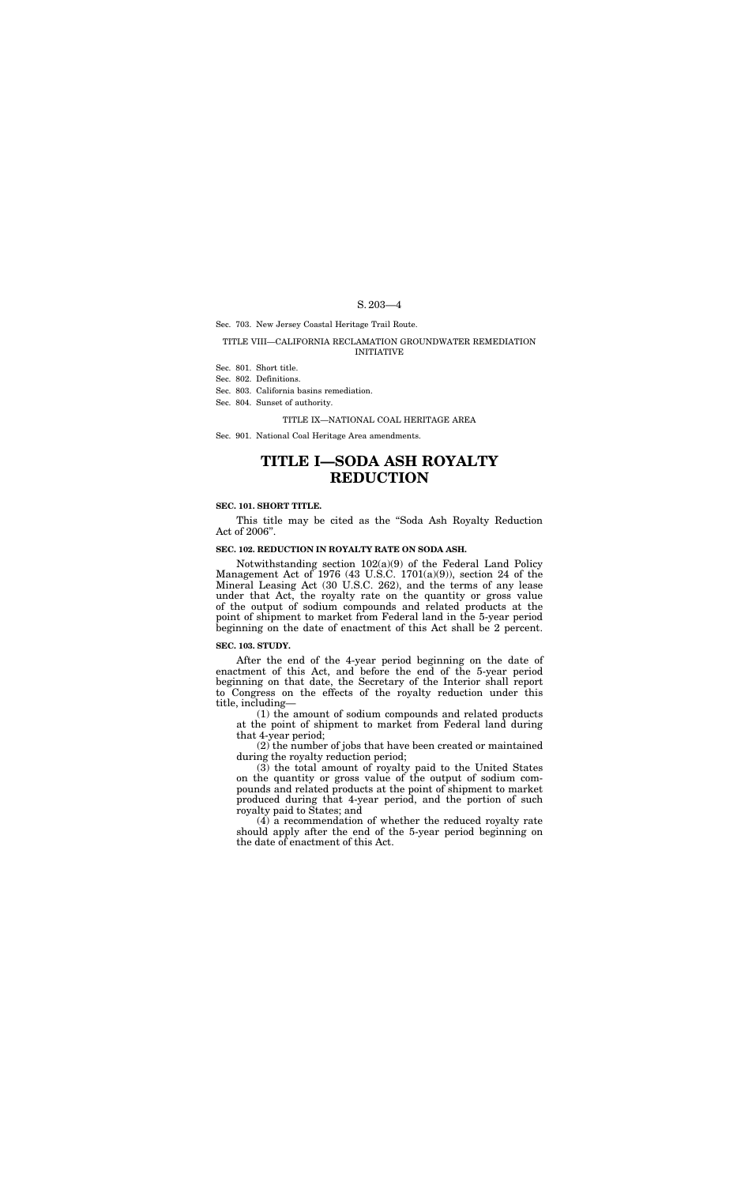Sec. 703. New Jersey Coastal Heritage Trail Route.

# TITLE VIII—CALIFORNIA RECLAMATION GROUNDWATER REMEDIATION INITIATIVE

Sec. 801. Short title.

Sec. 802. Definitions.

Sec. 803. California basins remediation.

Sec. 804. Sunset of authority.

#### TITLE IX—NATIONAL COAL HERITAGE AREA

Sec. 901. National Coal Heritage Area amendments.

# **TITLE I—SODA ASH ROYALTY REDUCTION**

#### **SEC. 101. SHORT TITLE.**

This title may be cited as the ''Soda Ash Royalty Reduction Act of 2006''.

#### **SEC. 102. REDUCTION IN ROYALTY RATE ON SODA ASH.**

Notwithstanding section 102(a)(9) of the Federal Land Policy Management Act of 1976 (43 U.S.C. 1701(a)(9)), section 24 of the Mineral Leasing Act (30 U.S.C. 262), and the terms of any lease under that Act, the royalty rate on the quantity or gross value of the output of sodium compounds and related products at the point of shipment to market from Federal land in the 5-year period beginning on the date of enactment of this Act shall be 2 percent.

 $(4)$  a recommendation of whether the reduced royalty rate should apply after the end of the 5-year period beginning on the date of enactment of this Act.

# **SEC. 103. STUDY.**

After the end of the 4-year period beginning on the date of enactment of this Act, and before the end of the 5-year period beginning on that date, the Secretary of the Interior shall report to Congress on the effects of the royalty reduction under this title, including—

(1) the amount of sodium compounds and related products at the point of shipment to market from Federal land during that 4-year period;

(2) the number of jobs that have been created or maintained during the royalty reduction period;

(3) the total amount of royalty paid to the United States on the quantity or gross value of the output of sodium compounds and related products at the point of shipment to market produced during that 4-year period, and the portion of such royalty paid to States; and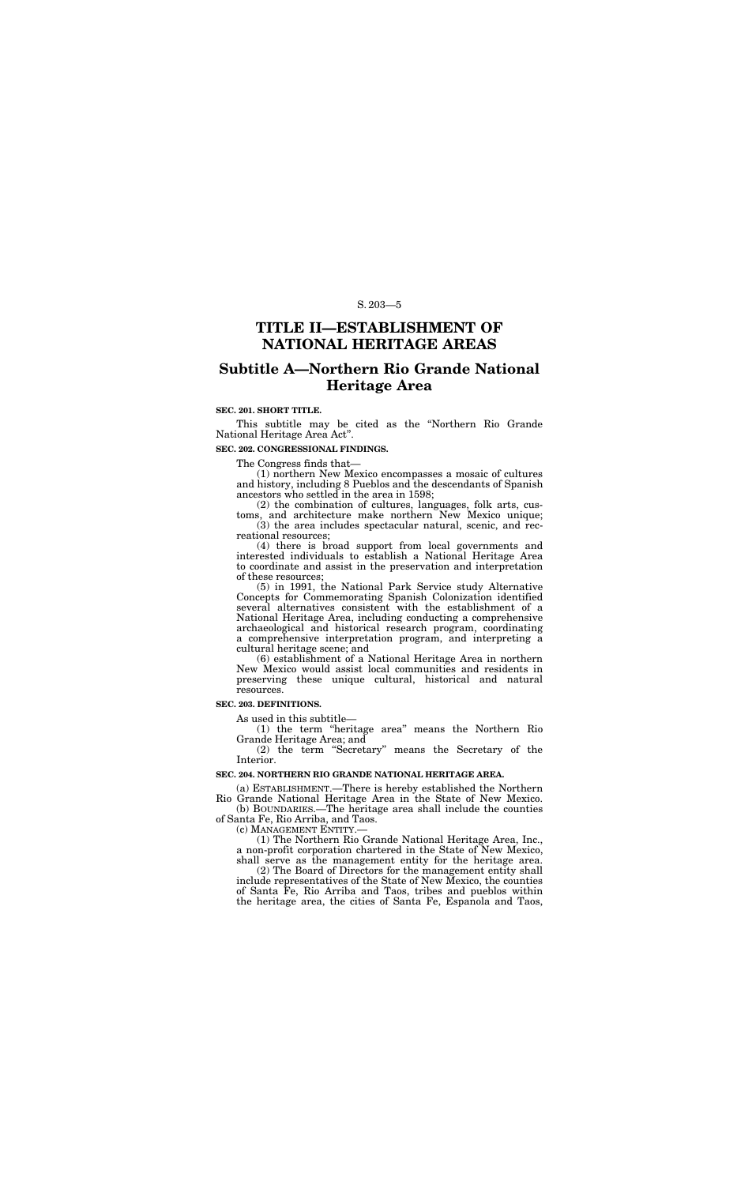# **TITLE II—ESTABLISHMENT OF NATIONAL HERITAGE AREAS**

# **Subtitle A—Northern Rio Grande National Heritage Area**

#### **SEC. 201. SHORT TITLE.**

This subtitle may be cited as the ''Northern Rio Grande National Heritage Area Act''.

(2) the combination of cultures, languages, folk arts, customs, and architecture make northern New Mexico unique;  $(3)$  the area includes spectacular natural, scenic, and rec-

# **SEC. 202. CONGRESSIONAL FINDINGS.**

The Congress finds that—

(1) northern New Mexico encompasses a mosaic of cultures and history, including 8 Pueblos and the descendants of Spanish ancestors who settled in the area in 1598;

reational resources; (4) there is broad support from local governments and interested individuals to establish a National Heritage Area to coordinate and assist in the preservation and interpretation of these resources;

(5) in 1991, the National Park Service study Alternative Concepts for Commemorating Spanish Colonization identified several alternatives consistent with the establishment of a National Heritage Area, including conducting a comprehensive archaeological and historical research program, coordinating a comprehensive interpretation program, and interpreting a cultural heritage scene; and

(6) establishment of a National Heritage Area in northern New Mexico would assist local communities and residents in preserving these unique cultural, historical and natural resources.

#### **SEC. 203. DEFINITIONS.**

As used in this subtitle—

(1) the term ''heritage area'' means the Northern Rio Grande Heritage Area; and

(2) the term ''Secretary'' means the Secretary of the Interior.

#### **SEC. 204. NORTHERN RIO GRANDE NATIONAL HERITAGE AREA.**

(a) ESTABLISHMENT.—There is hereby established the Northern Rio Grande National Heritage Area in the State of New Mexico. (b) BOUNDARIES.—The heritage area shall include the counties

of Santa Fe, Rio Arriba, and Taos.

(c) MANAGEMENT ENTITY.—

(1) The Northern Rio Grande National Heritage Area, Inc., a non-profit corporation chartered in the State of New Mexico, shall serve as the management entity for the heritage area.

(2) The Board of Directors for the management entity shall include representatives of the State of New Mexico, the counties of Santa Fe, Rio Arriba and Taos, tribes and pueblos within the heritage area, the cities of Santa Fe, Espanola and Taos,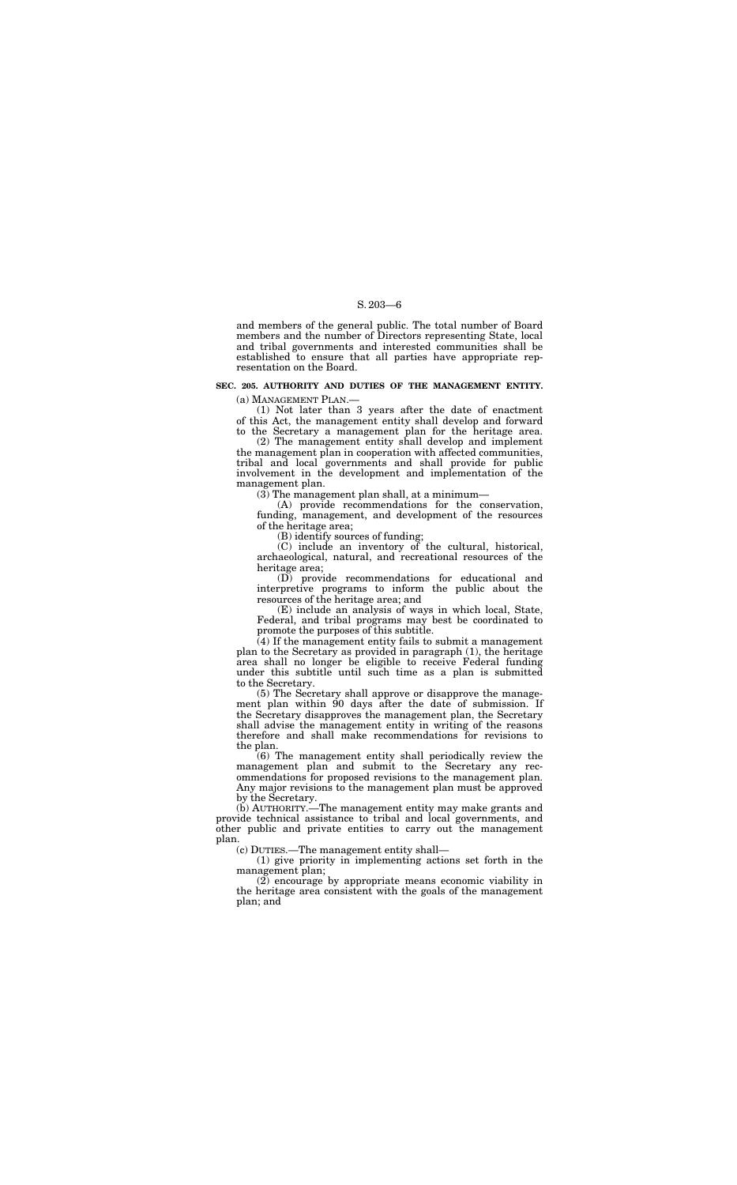and members of the general public. The total number of Board members and the number of Directors representing State, local and tribal governments and interested communities shall be established to ensure that all parties have appropriate representation on the Board.

# **SEC. 205. AUTHORITY AND DUTIES OF THE MANAGEMENT ENTITY.**

(a) MANAGEMENT PLAN.—

(1) Not later than 3 years after the date of enactment of this Act, the management entity shall develop and forward to the Secretary a management plan for the heritage area.

(2) The management entity shall develop and implement the management plan in cooperation with affected communities, tribal and local governments and shall provide for public involvement in the development and implementation of the management plan.

(3) The management plan shall, at a minimum—

(A) provide recommendations for the conservation, funding, management, and development of the resources of the heritage area;

(B) identify sources of funding;

(C) include an inventory of the cultural, historical, archaeological, natural, and recreational resources of the heritage area;

(D) provide recommendations for educational and interpretive programs to inform the public about the resources of the heritage area; and

 $(2)$  encourage by appropriate means economic viability in the heritage area consistent with the goals of the management plan; and

(E) include an analysis of ways in which local, State, Federal, and tribal programs may best be coordinated to promote the purposes of this subtitle.

(4) If the management entity fails to submit a management plan to the Secretary as provided in paragraph (1), the heritage area shall no longer be eligible to receive Federal funding under this subtitle until such time as a plan is submitted to the Secretary.

(5) The Secretary shall approve or disapprove the management plan within 90 days after the date of submission. If the Secretary disapproves the management plan, the Secretary shall advise the management entity in writing of the reasons therefore and shall make recommendations for revisions to the plan.

(6) The management entity shall periodically review the management plan and submit to the Secretary any recommendations for proposed revisions to the management plan. Any major revisions to the management plan must be approved by the Secretary.

(b) AUTHORITY.—The management entity may make grants and provide technical assistance to tribal and local governments, and other public and private entities to carry out the management plan.

(c) DUTIES.—The management entity shall—

(1) give priority in implementing actions set forth in the management plan;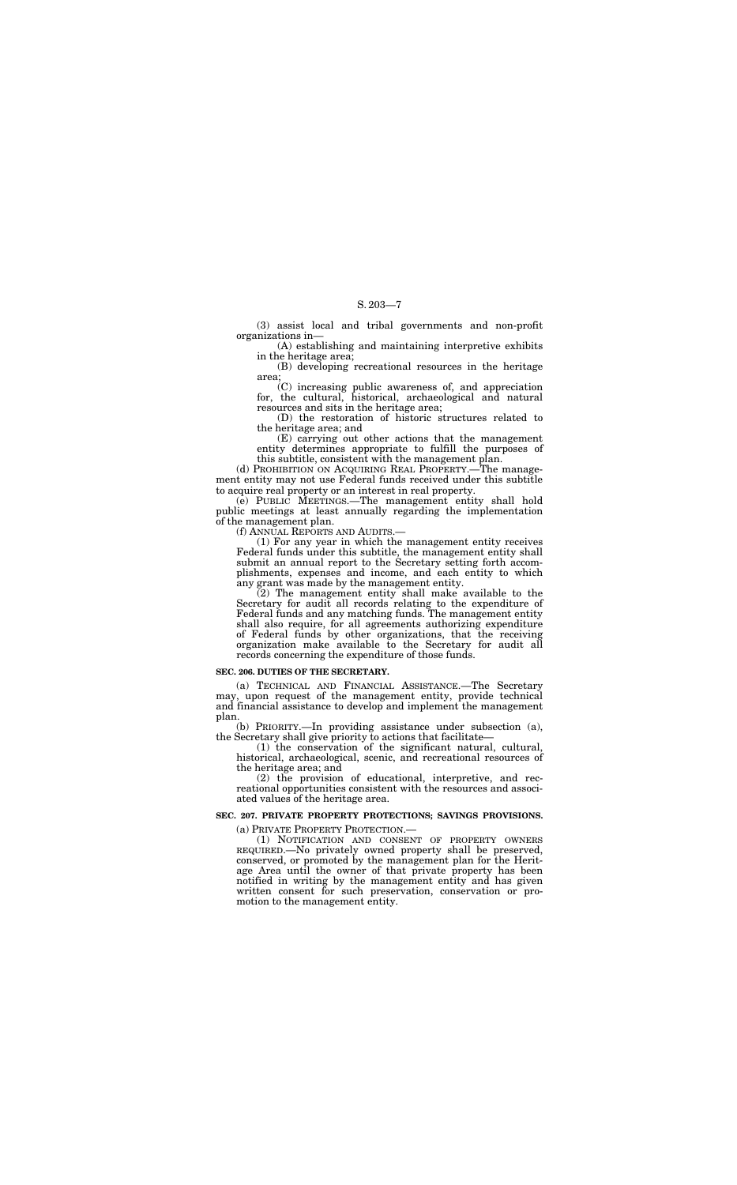(3) assist local and tribal governments and non-profit organizations in— (A) establishing and maintaining interpretive exhibits

in the heritage area;

(B) developing recreational resources in the heritage area;

(C) increasing public awareness of, and appreciation for, the cultural, historical, archaeological and natural resources and sits in the heritage area;

(D) the restoration of historic structures related to the heritage area; and

(E) carrying out other actions that the management entity determines appropriate to fulfill the purposes of this subtitle, consistent with the management plan.

(d) PROHIBITION ON ACQUIRING REAL PROPERTY.—The management entity may not use Federal funds received under this subtitle to acquire real property or an interest in real property.

(e) PUBLIC MEETINGS.—The management entity shall hold public meetings at least annually regarding the implementation of the management plan.

(f) ANNUAL REPORTS AND AUDITS.—

(1) For any year in which the management entity receives Federal funds under this subtitle, the management entity shall submit an annual report to the Secretary setting forth accomplishments, expenses and income, and each entity to which any grant was made by the management entity.

(2) The management entity shall make available to the Secretary for audit all records relating to the expenditure of Federal funds and any matching funds. The management entity shall also require, for all agreements authorizing expenditure of Federal funds by other organizations, that the receiving organization make available to the Secretary for audit all records concerning the expenditure of those funds.

#### **SEC. 206. DUTIES OF THE SECRETARY.**

(a) TECHNICAL AND FINANCIAL ASSISTANCE.—The Secretary may, upon request of the management entity, provide technical and financial assistance to develop and implement the management plan.

(b) PRIORITY.—In providing assistance under subsection (a), the Secretary shall give priority to actions that facilitate—

(1) the conservation of the significant natural, cultural, historical, archaeological, scenic, and recreational resources of the heritage area; and

(2) the provision of educational, interpretive, and recreational opportunities consistent with the resources and associated values of the heritage area.

#### **SEC. 207. PRIVATE PROPERTY PROTECTIONS; SAVINGS PROVISIONS.**

(a) PRIVATE PROPERTY PROTECTION.—

(1) NOTIFICATION AND CONSENT OF PROPERTY OWNERS REQUIRED.—No privately owned property shall be preserved, conserved, or promoted by the management plan for the Heritage Area until the owner of that private property has been notified in writing by the management entity and has given written consent for such preservation, conservation or promotion to the management entity.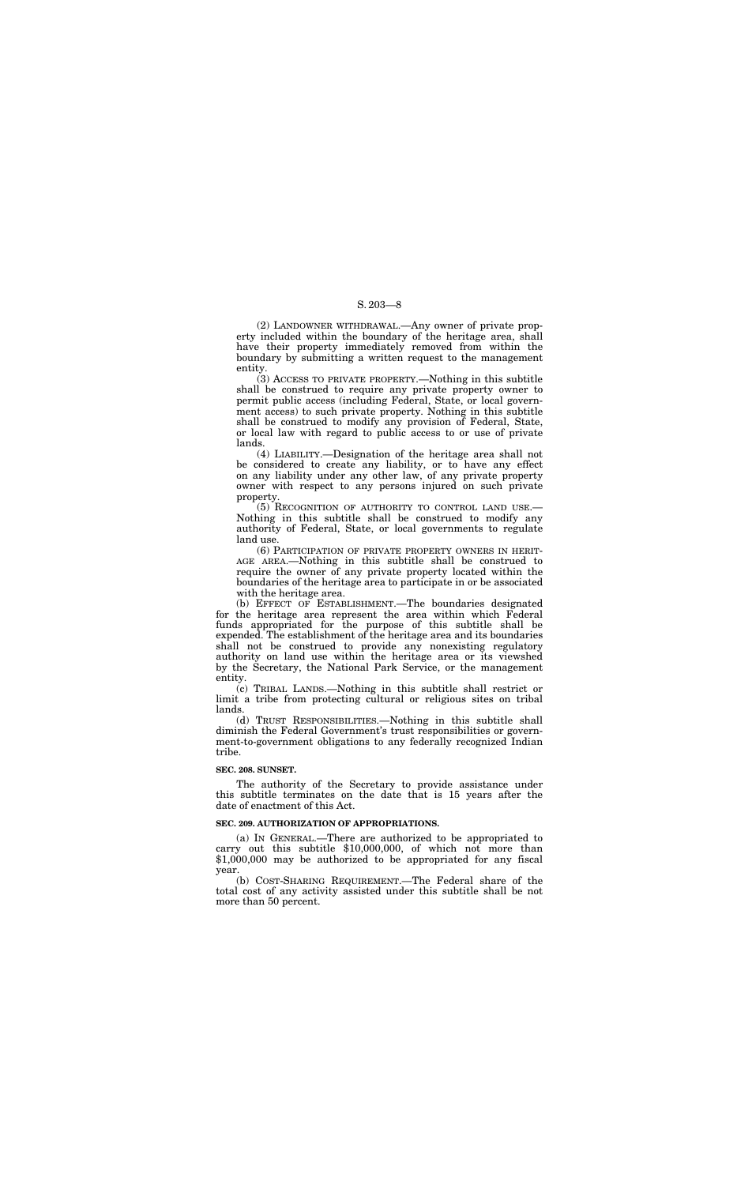(2) LANDOWNER WITHDRAWAL.—Any owner of private property included within the boundary of the heritage area, shall have their property immediately removed from within the boundary by submitting a written request to the management entity.

(3) ACCESS TO PRIVATE PROPERTY.—Nothing in this subtitle shall be construed to require any private property owner to permit public access (including Federal, State, or local government access) to such private property. Nothing in this subtitle shall be construed to modify any provision of Federal, State, or local law with regard to public access to or use of private lands.

(4) LIABILITY.—Designation of the heritage area shall not be considered to create any liability, or to have any effect on any liability under any other law, of any private property owner with respect to any persons injured on such private property.

(5) RECOGNITION OF AUTHORITY TO CONTROL LAND USE.— Nothing in this subtitle shall be construed to modify any authority of Federal, State, or local governments to regulate land use.

(6) PARTICIPATION OF PRIVATE PROPERTY OWNERS IN HERIT-AGE AREA.—Nothing in this subtitle shall be construed to require the owner of any private property located within the boundaries of the heritage area to participate in or be associated with the heritage area.

(b) EFFECT OF ESTABLISHMENT.—The boundaries designated for the heritage area represent the area within which Federal funds appropriated for the purpose of this subtitle shall be expended. The establishment of the heritage area and its boundaries shall not be construed to provide any nonexisting regulatory authority on land use within the heritage area or its viewshed by the Secretary, the National Park Service, or the management entity.

(c) TRIBAL LANDS.—Nothing in this subtitle shall restrict or limit a tribe from protecting cultural or religious sites on tribal lands.

(d) TRUST RESPONSIBILITIES.—Nothing in this subtitle shall diminish the Federal Government's trust responsibilities or government-to-government obligations to any federally recognized Indian tribe.

# **SEC. 208. SUNSET.**

The authority of the Secretary to provide assistance under this subtitle terminates on the date that is 15 years after the date of enactment of this Act.

#### **SEC. 209. AUTHORIZATION OF APPROPRIATIONS.**

(a) IN GENERAL.—There are authorized to be appropriated to carry out this subtitle \$10,000,000, of which not more than \$1,000,000 may be authorized to be appropriated for any fiscal year.

(b) COST-SHARING REQUIREMENT.—The Federal share of the total cost of any activity assisted under this subtitle shall be not more than 50 percent.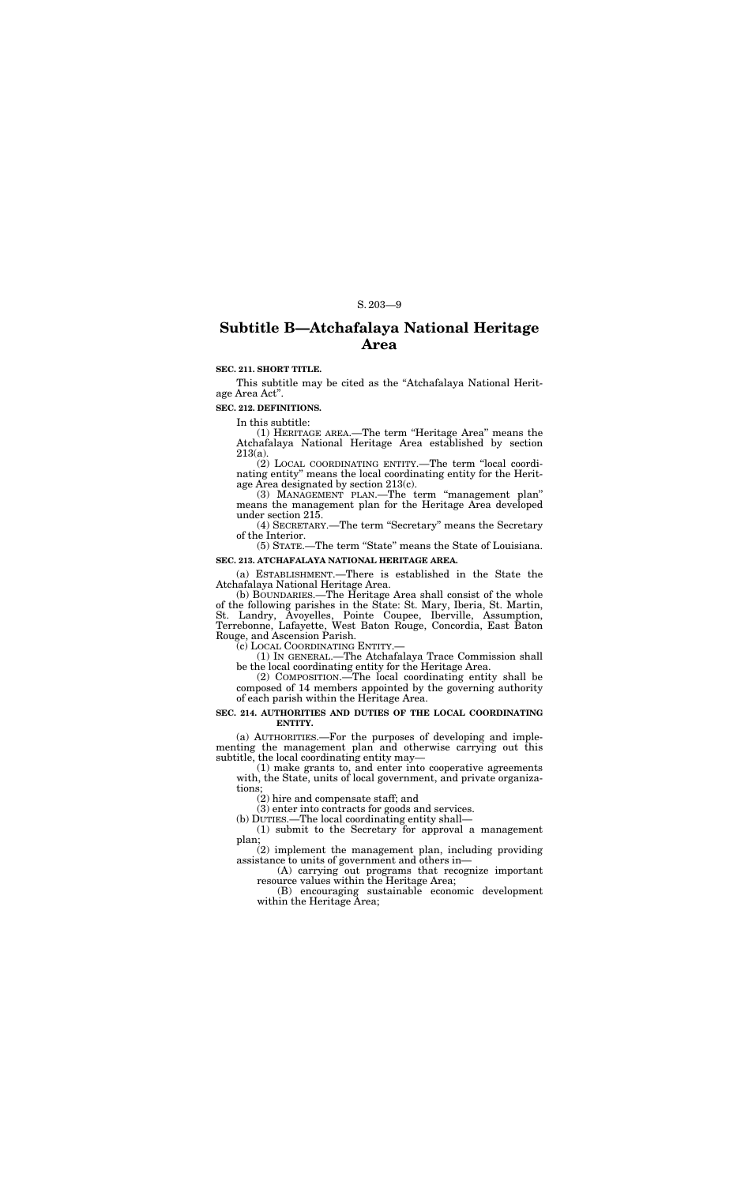# **Subtitle B—Atchafalaya National Heritage Area**

#### **SEC. 211. SHORT TITLE.**

This subtitle may be cited as the "Atchafalaya National Heritage Area Act''.

#### **SEC. 212. DEFINITIONS.**

In this subtitle:

(1) HERITAGE AREA.—The term ''Heritage Area'' means the Atchafalaya National Heritage Area established by section 213(a).

(2) LOCAL COORDINATING ENTITY.—The term ''local coordinating entity'' means the local coordinating entity for the Heritage Area designated by section 213(c).

(3) MANAGEMENT PLAN.—The term ''management plan'' means the management plan for the Heritage Area developed under section 215.

(4) SECRETARY.—The term ''Secretary'' means the Secretary of the Interior.

(5) STATE.—The term ''State'' means the State of Louisiana.

# **SEC. 213. ATCHAFALAYA NATIONAL HERITAGE AREA.**

(a) ESTABLISHMENT.—There is established in the State the Atchafalaya National Heritage Area.

(b) BOUNDARIES.—The Heritage Area shall consist of the whole of the following parishes in the State: St. Mary, Iberia, St. Martin, St. Landry, Avoyelles, Pointe Coupee, Iberville, Assumption, Terrebonne, Lafayette, West Baton Rouge, Concordia, East Baton Rouge, and Ascension Parish.

(A) carrying out programs that recognize important resource values within the Heritage Area;

(c) LOCAL COORDINATING ENTITY.—

(1) IN GENERAL.—The Atchafalaya Trace Commission shall be the local coordinating entity for the Heritage Area.

(2) COMPOSITION.—The local coordinating entity shall be composed of 14 members appointed by the governing authority of each parish within the Heritage Area.

#### **SEC. 214. AUTHORITIES AND DUTIES OF THE LOCAL COORDINATING ENTITY.**

(a) AUTHORITIES.—For the purposes of developing and implementing the management plan and otherwise carrying out this subtitle, the local coordinating entity may—

(1) make grants to, and enter into cooperative agreements with, the State, units of local government, and private organizations;

(2) hire and compensate staff; and

(3) enter into contracts for goods and services.

(b) DUTIES.—The local coordinating entity shall— (1) submit to the Secretary for approval a management plan;

(2) implement the management plan, including providing assistance to units of government and others in—

(B) encouraging sustainable economic development within the Heritage Area;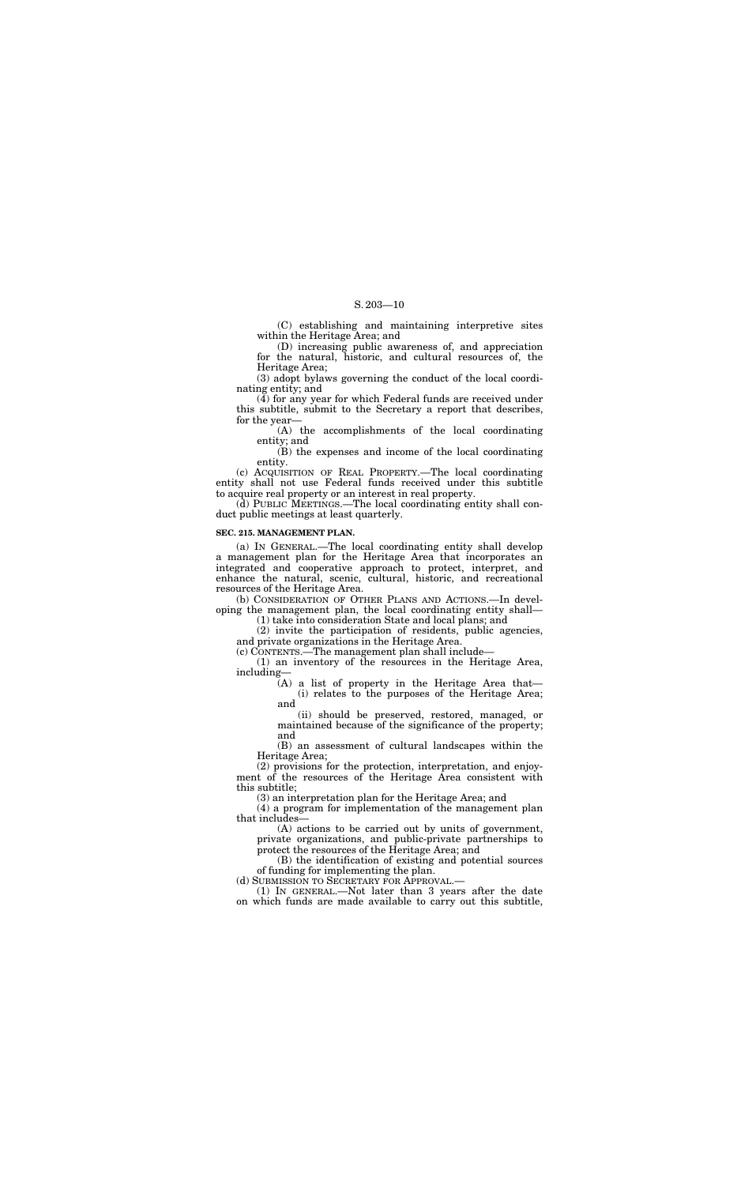(C) establishing and maintaining interpretive sites within the Heritage Area; and

(4) for any year for which Federal funds are received under this subtitle, submit to the Secretary a report that describes, for the year-

(D) increasing public awareness of, and appreciation for the natural, historic, and cultural resources of, the Heritage Area;

(3) adopt bylaws governing the conduct of the local coordinating entity; and

(A) the accomplishments of the local coordinating entity; and

(B) the expenses and income of the local coordinating entity.

(c) ACQUISITION OF REAL PROPERTY.—The local coordinating entity shall not use Federal funds received under this subtitle to acquire real property or an interest in real property.

(d) PUBLIC MEETINGS.—The local coordinating entity shall conduct public meetings at least quarterly.

#### **SEC. 215. MANAGEMENT PLAN.**

(a) IN GENERAL.—The local coordinating entity shall develop a management plan for the Heritage Area that incorporates an integrated and cooperative approach to protect, interpret, and enhance the natural, scenic, cultural, historic, and recreational resources of the Heritage Area.

(b) CONSIDERATION OF OTHER PLANS AND ACTIONS.—In developing the management plan, the local coordinating entity shall—

(1) take into consideration State and local plans; and

(2) invite the participation of residents, public agencies, and private organizations in the Heritage Area.

(c) CONTENTS.—The management plan shall include—

(1) an inventory of the resources in the Heritage Area, including—

(A) a list of property in the Heritage Area that— (i) relates to the purposes of the Heritage Area;

and (ii) should be preserved, restored, managed, or

maintained because of the significance of the property; and

(B) an assessment of cultural landscapes within the Heritage Area;

(2) provisions for the protection, interpretation, and enjoyment of the resources of the Heritage Area consistent with this subtitle;

(3) an interpretation plan for the Heritage Area; and

(4) a program for implementation of the management plan that includes—

(A) actions to be carried out by units of government, private organizations, and public-private partnerships to

protect the resources of the Heritage Area; and (B) the identification of existing and potential sources of funding for implementing the plan.

(d) SUBMISSION TO SECRETARY FOR APPROVAL.—

(1) IN GENERAL.—Not later than 3 years after the date on which funds are made available to carry out this subtitle,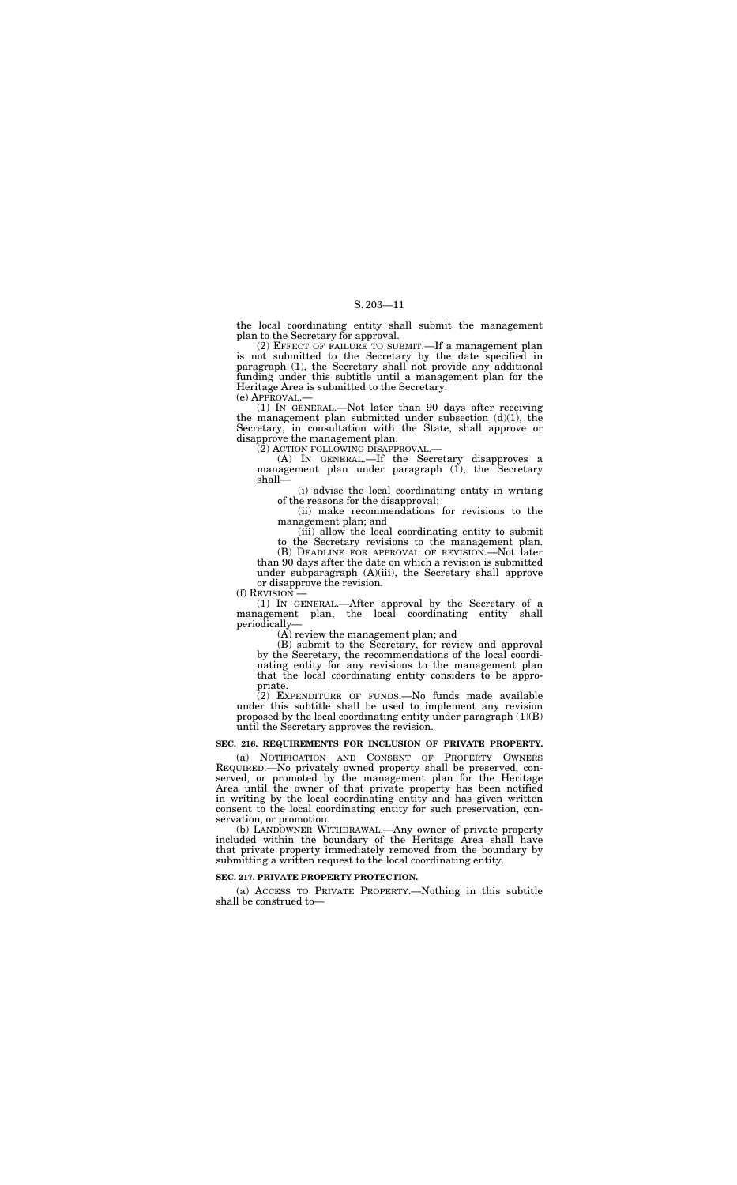the local coordinating entity shall submit the management plan to the Secretary for approval.

(2) EFFECT OF FAILURE TO SUBMIT.—If a management plan is not submitted to the Secretary by the date specified in paragraph (1), the Secretary shall not provide any additional funding under this subtitle until a management plan for the Heritage Area is submitted to the Secretary.

(e) APPROVAL.—

(1) IN GENERAL.—Not later than 90 days after receiving the management plan submitted under subsection  $(d)(1)$ , the Secretary, in consultation with the State, shall approve or disapprove the management plan.

> (iii) allow the local coordinating entity to submit to the Secretary revisions to the management plan.

(2) ACTION FOLLOWING DISAPPROVAL.—

(A) IN GENERAL.—If the Secretary disapproves a management plan under paragraph  $(1)$ , the Secretary shall—

(i) advise the local coordinating entity in writing of the reasons for the disapproval;

(ii) make recommendations for revisions to the management plan; and

(B) DEADLINE FOR APPROVAL OF REVISION.—Not later

than 90 days after the date on which a revision is submitted under subparagraph (A)(iii), the Secretary shall approve or disapprove the revision.

(f) REVISION.—

(1) IN GENERAL.—After approval by the Secretary of a management plan, the local coordinating entity shall periodically—

(A) review the management plan; and

(B) submit to the Secretary, for review and approval by the Secretary, the recommendations of the local coordinating entity for any revisions to the management plan that the local coordinating entity considers to be appropriate.

(2) EXPENDITURE OF FUNDS.—No funds made available under this subtitle shall be used to implement any revision proposed by the local coordinating entity under paragraph (1)(B) until the Secretary approves the revision.

#### **SEC. 216. REQUIREMENTS FOR INCLUSION OF PRIVATE PROPERTY.**

(a) NOTIFICATION AND CONSENT OF PROPERTY OWNERS REQUIRED.—No privately owned property shall be preserved, conserved, or promoted by the management plan for the Heritage Area until the owner of that private property has been notified in writing by the local coordinating entity and has given written consent to the local coordinating entity for such preservation, conservation, or promotion.

(b) LANDOWNER WITHDRAWAL.—Any owner of private property included within the boundary of the Heritage Area shall have that private property immediately removed from the boundary by submitting a written request to the local coordinating entity.

#### **SEC. 217. PRIVATE PROPERTY PROTECTION.**

(a) ACCESS TO PRIVATE PROPERTY.—Nothing in this subtitle shall be construed to—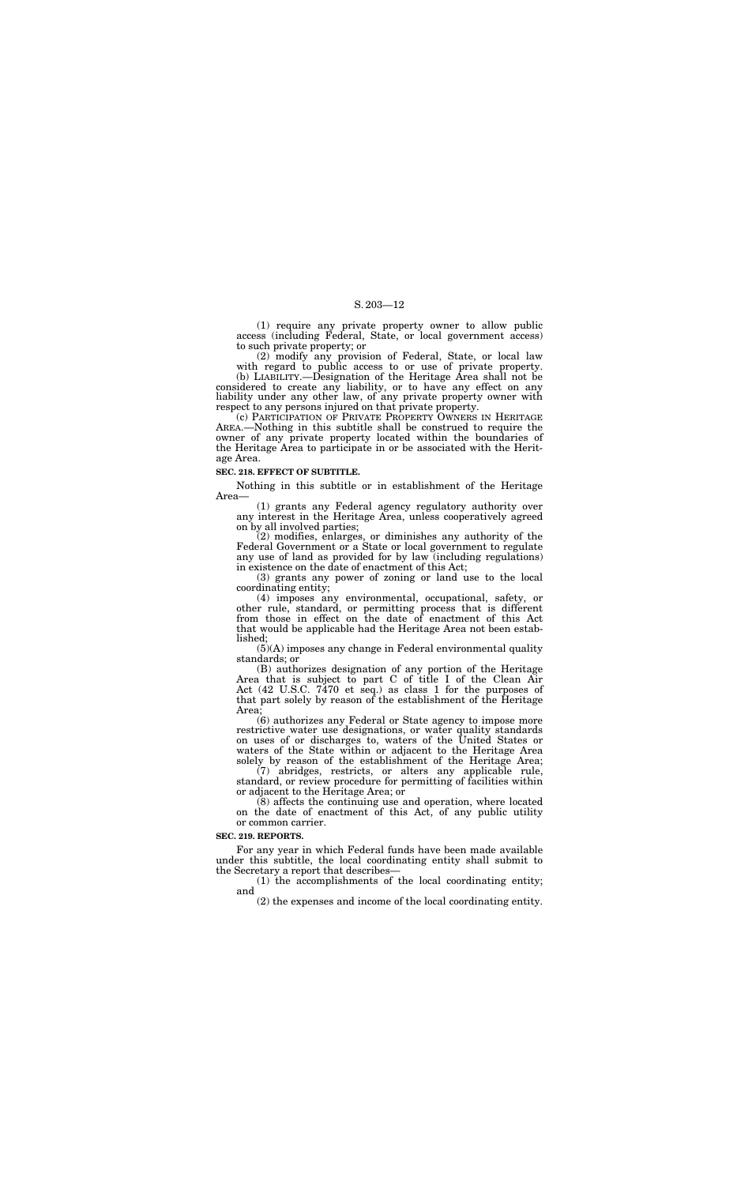(1) require any private property owner to allow public access (including Federal, State, or local government access) to such private property; or

(2) modify any provision of Federal, State, or local law with regard to public access to or use of private property.

(b) LIABILITY.—Designation of the Heritage Area shall not be considered to create any liability, or to have any effect on any liability under any other law, of any private property owner with respect to any persons injured on that private property.

 $(2)$  modifies, enlarges, or diminishes any authority of the Federal Government or a State or local government to regulate any use of land as provided for by law (including regulations) in existence on the date of enactment of this Act;

(c) PARTICIPATION OF PRIVATE PROPERTY OWNERS IN HERITAGE AREA.—Nothing in this subtitle shall be construed to require the owner of any private property located within the boundaries of the Heritage Area to participate in or be associated with the Heritage Area.

#### **SEC. 218. EFFECT OF SUBTITLE.**

Nothing in this subtitle or in establishment of the Heritage

Area— (1) grants any Federal agency regulatory authority over any interest in the Heritage Area, unless cooperatively agreed on by all involved parties;

For any year in which Federal funds have been made available under this subtitle, the local coordinating entity shall submit to the Secretary a report that describes—

(3) grants any power of zoning or land use to the local coordinating entity;

 $(1)$  the accomplishments of the local coordinating entity; and

(4) imposes any environmental, occupational, safety, or other rule, standard, or permitting process that is different from those in effect on the date of enactment of this Act that would be applicable had the Heritage Area not been established;

(5)(A) imposes any change in Federal environmental quality standards; or

(B) authorizes designation of any portion of the Heritage Area that is subject to part C of title I of the Clean Air Act (42 U.S.C. 7470 et seq.) as class 1 for the purposes of that part solely by reason of the establishment of the Heritage Area;

(6) authorizes any Federal or State agency to impose more restrictive water use designations, or water quality standards on uses of or discharges to, waters of the United States or waters of the State within or adjacent to the Heritage Area solely by reason of the establishment of the Heritage Area;

(7) abridges, restricts, or alters any applicable rule, standard, or review procedure for permitting of facilities within or adjacent to the Heritage Area; or

(8) affects the continuing use and operation, where located on the date of enactment of this Act, of any public utility or common carrier.

#### **SEC. 219. REPORTS.**

(2) the expenses and income of the local coordinating entity.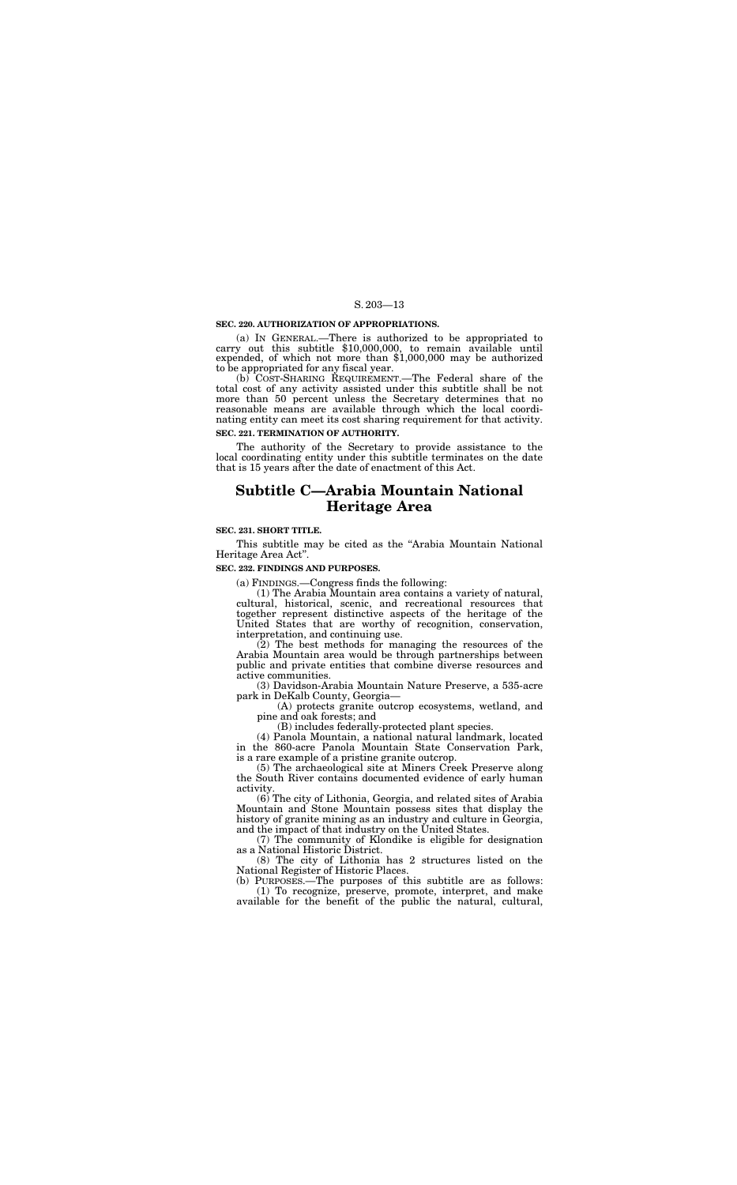#### **SEC. 220. AUTHORIZATION OF APPROPRIATIONS.**

(a) IN GENERAL.—There is authorized to be appropriated to carry out this subtitle \$10,000,000, to remain available until expended, of which not more than \$1,000,000 may be authorized to be appropriated for any fiscal year.

(b) COST-SHARING REQUIREMENT. The Federal share of the total cost of any activity assisted under this subtitle shall be not more than 50 percent unless the Secretary determines that no reasonable means are available through which the local coordinating entity can meet its cost sharing requirement for that activity.

This subtitle may be cited as the "Arabia Mountain National" Heritage Area Act''.

### **SEC. 221. TERMINATION OF AUTHORITY.**

The authority of the Secretary to provide assistance to the local coordinating entity under this subtitle terminates on the date that is 15 years after the date of enactment of this Act.

# **Subtitle C—Arabia Mountain National Heritage Area**

# **SEC. 231. SHORT TITLE.**

# **SEC. 232. FINDINGS AND PURPOSES.**

(a) FINDINGS.—Congress finds the following:

(1) The Arabia Mountain area contains a variety of natural, cultural, historical, scenic, and recreational resources that together represent distinctive aspects of the heritage of the United States that are worthy of recognition, conservation, interpretation, and continuing use.

(2) The best methods for managing the resources of the Arabia Mountain area would be through partnerships between public and private entities that combine diverse resources and active communities.

(3) Davidson-Arabia Mountain Nature Preserve, a 535-acre park in DeKalb County, Georgia—

(A) protects granite outcrop ecosystems, wetland, and pine and oak forests; and

(B) includes federally-protected plant species.

(4) Panola Mountain, a national natural landmark, located in the 860-acre Panola Mountain State Conservation Park, is a rare example of a pristine granite outcrop.

(5) The archaeological site at Miners Creek Preserve along the South River contains documented evidence of early human activity.

(6) The city of Lithonia, Georgia, and related sites of Arabia Mountain and Stone Mountain possess sites that display the history of granite mining as an industry and culture in Georgia, and the impact of that industry on the United States.

(7) The community of Klondike is eligible for designation as a National Historic District.

(8) The city of Lithonia has 2 structures listed on the National Register of Historic Places.

(b) PURPOSES.—The purposes of this subtitle are as follows: (1) To recognize, preserve, promote, interpret, and make available for the benefit of the public the natural, cultural,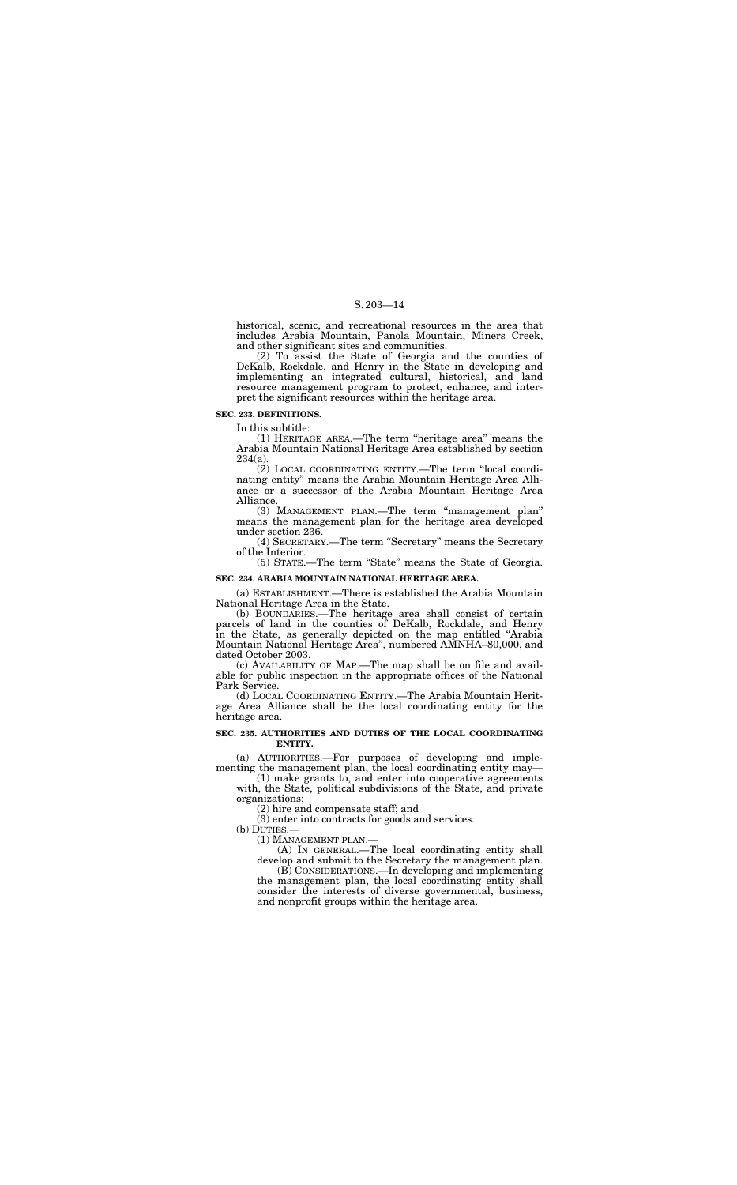historical, scenic, and recreational resources in the area that includes Arabia Mountain, Panola Mountain, Miners Creek, and other significant sites and communities.

(2) To assist the State of Georgia and the counties of DeKalb, Rockdale, and Henry in the State in developing and implementing an integrated cultural, historical, and land resource management program to protect, enhance, and interpret the significant resources within the heritage area.

# **SEC. 233. DEFINITIONS.**

In this subtitle:

(1) HERITAGE AREA.—The term ''heritage area'' means the Arabia Mountain National Heritage Area established by section 234(a).

(2) LOCAL COORDINATING ENTITY.—The term ''local coordinating entity'' means the Arabia Mountain Heritage Area Alliance or a successor of the Arabia Mountain Heritage Area Alliance.

(3) MANAGEMENT PLAN.—The term ''management plan'' means the management plan for the heritage area developed under section 236.

(4) SECRETARY.—The term ''Secretary'' means the Secretary of the Interior.

(5) STATE.—The term ''State'' means the State of Georgia.

#### **SEC. 234. ARABIA MOUNTAIN NATIONAL HERITAGE AREA.**

(A) In GENERAL.—The local coordinating entity shall develop and submit to the Secretary the management plan.

(a) ESTABLISHMENT.—There is established the Arabia Mountain National Heritage Area in the State.

(b) BOUNDARIES.—The heritage area shall consist of certain parcels of land in the counties of DeKalb, Rockdale, and Henry in the State, as generally depicted on the map entitled ''Arabia Mountain National Heritage Area'', numbered AMNHA–80,000, and dated October 2003.

(c) AVAILABILITY OF MAP.—The map shall be on file and available for public inspection in the appropriate offices of the National Park Service.

(d) LOCAL COORDINATING ENTITY.—The Arabia Mountain Heritage Area Alliance shall be the local coordinating entity for the heritage area.

# **SEC. 235. AUTHORITIES AND DUTIES OF THE LOCAL COORDINATING ENTITY.**

(a) AUTHORITIES.—For purposes of developing and implementing the management plan, the local coordinating entity may—

(1) make grants to, and enter into cooperative agreements with, the State, political subdivisions of the State, and private organizations;

(2) hire and compensate staff; and

(3) enter into contracts for goods and services.

(b) DUTIES.—<br>(1) MANAGEMENT PLAN.-

(B) CONSIDERATIONS.—In developing and implementing the management plan, the local coordinating entity shall consider the interests of diverse governmental, business, and nonprofit groups within the heritage area.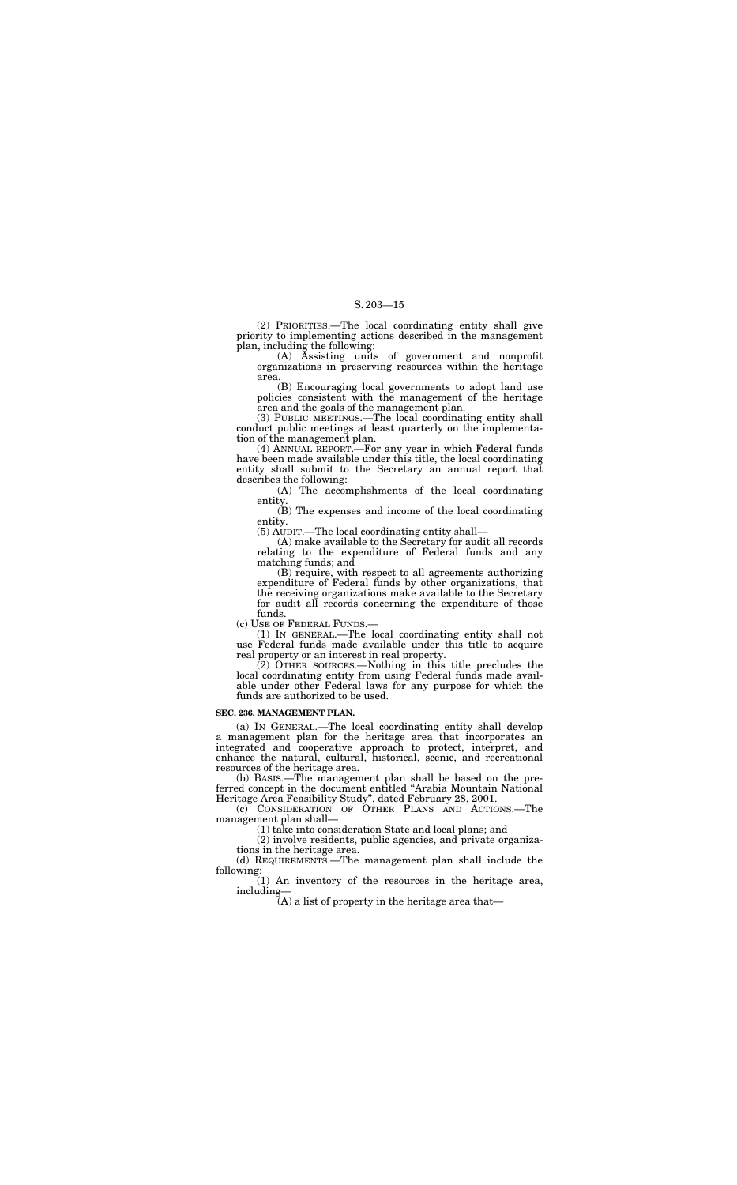(2) PRIORITIES.—The local coordinating entity shall give priority to implementing actions described in the management plan, including the following:

(A) Assisting units of government and nonprofit organizations in preserving resources within the heritage area.

(B) Encouraging local governments to adopt land use policies consistent with the management of the heritage area and the goals of the management plan.

(3) PUBLIC MEETINGS.—The local coordinating entity shall conduct public meetings at least quarterly on the implementation of the management plan.

(4) ANNUAL REPORT.—For any year in which Federal funds have been made available under this title, the local coordinating entity shall submit to the Secretary an annual report that describes the following:

(A) The accomplishments of the local coordinating entity.

(B) The expenses and income of the local coordinating entity.

(5) AUDIT.—The local coordinating entity shall—

(A) make available to the Secretary for audit all records relating to the expenditure of Federal funds and any matching funds; and

(B) require, with respect to all agreements authorizing expenditure of Federal funds by other organizations, that the receiving organizations make available to the Secretary for audit all records concerning the expenditure of those funds.

(c) USE OF FEDERAL FUNDS.—

(1) IN GENERAL.—The local coordinating entity shall not use Federal funds made available under this title to acquire real property or an interest in real property.

(2) OTHER SOURCES.—Nothing in this title precludes the local coordinating entity from using Federal funds made available under other Federal laws for any purpose for which the funds are authorized to be used.

#### **SEC. 236. MANAGEMENT PLAN.**

(a) IN GENERAL.—The local coordinating entity shall develop a management plan for the heritage area that incorporates an integrated and cooperative approach to protect, interpret, and enhance the natural, cultural, historical, scenic, and recreational resources of the heritage area.

(b) BASIS.—The management plan shall be based on the preferred concept in the document entitled ''Arabia Mountain National Heritage Area Feasibility Study'', dated February 28, 2001.

(c) CONSIDERATION OF OTHER PLANS AND ACTIONS.—The

management plan shall— (1) take into consideration State and local plans; and

(2) involve residents, public agencies, and private organizations in the heritage area.

(d) REQUIREMENTS.—The management plan shall include the following:

(1) An inventory of the resources in the heritage area, including—

 $(A)$  a list of property in the heritage area that—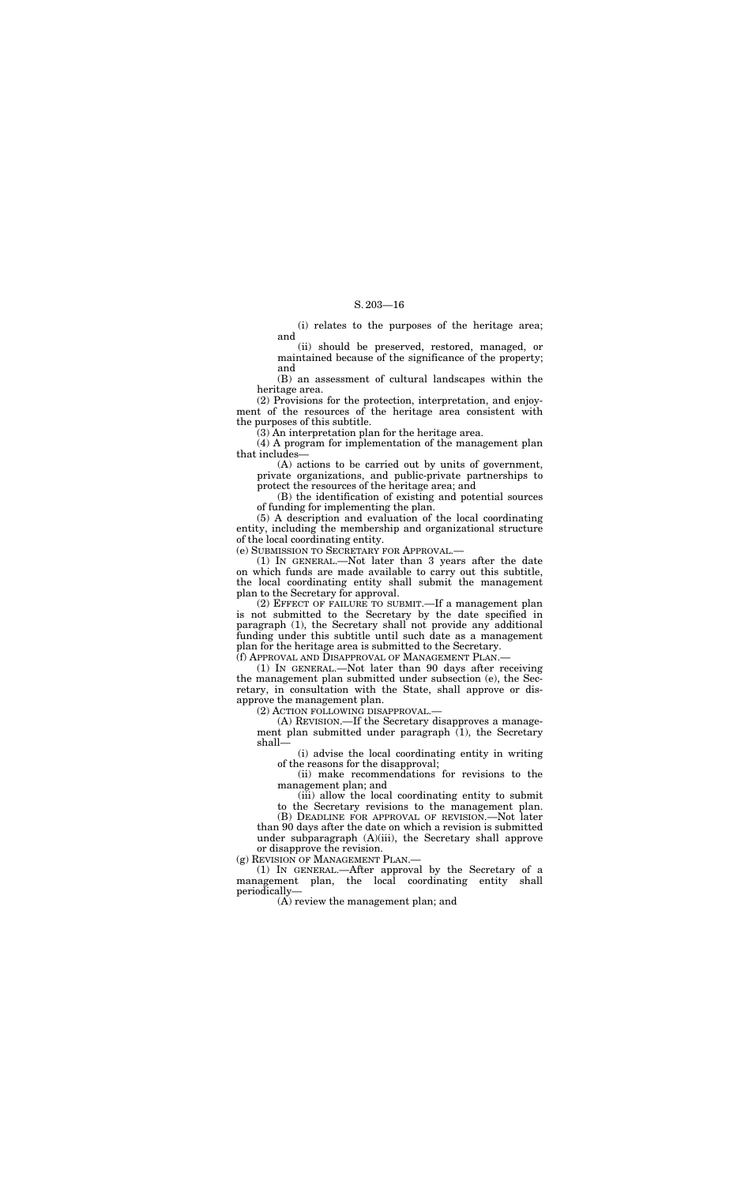(i) relates to the purposes of the heritage area; and

(ii) should be preserved, restored, managed, or maintained because of the significance of the property; and

(B) an assessment of cultural landscapes within the heritage area.

(2) Provisions for the protection, interpretation, and enjoyment of the resources of the heritage area consistent with the purposes of this subtitle.

(3) An interpretation plan for the heritage area.

(4) A program for implementation of the management plan that includes—

(A) actions to be carried out by units of government, private organizations, and public-private partnerships to protect the resources of the heritage area; and

(B) the identification of existing and potential sources of funding for implementing the plan.

(5) A description and evaluation of the local coordinating entity, including the membership and organizational structure of the local coordinating entity.

(e) SUBMISSION TO SECRETARY FOR APPROVAL.—

(1) IN GENERAL.—Not later than 3 years after the date on which funds are made available to carry out this subtitle, the local coordinating entity shall submit the management plan to the Secretary for approval.

(2) EFFECT OF FAILURE TO SUBMIT.—If a management plan is not submitted to the Secretary by the date specified in paragraph (1), the Secretary shall not provide any additional funding under this subtitle until such date as a management plan for the heritage area is submitted to the Secretary.

(f) APPROVAL AND DISAPPROVAL OF MANAGEMENT PLAN.—

(1) IN GENERAL.—Not later than 90 days after receiving the management plan submitted under subsection (e), the Secretary, in consultation with the State, shall approve or disapprove the management plan.

(2) ACTION FOLLOWING DISAPPROVAL.—

(A) REVISION.—If the Secretary disapproves a management plan submitted under paragraph (1), the Secretary shall—

(i) advise the local coordinating entity in writing of the reasons for the disapproval;

(ii) make recommendations for revisions to the management plan; and

(iii) allow the local coordinating entity to submit to the Secretary revisions to the management plan.

(B) DEADLINE FOR APPROVAL OF REVISION.—Not later than 90 days after the date on which a revision is submitted under subparagraph (A)(iii), the Secretary shall approve or disapprove the revision.

(g) REVISION OF MANAGEMENT PLAN.—

(1) IN GENERAL.—After approval by the Secretary of a management plan, the local coordinating entity shall periodically—

(A) review the management plan; and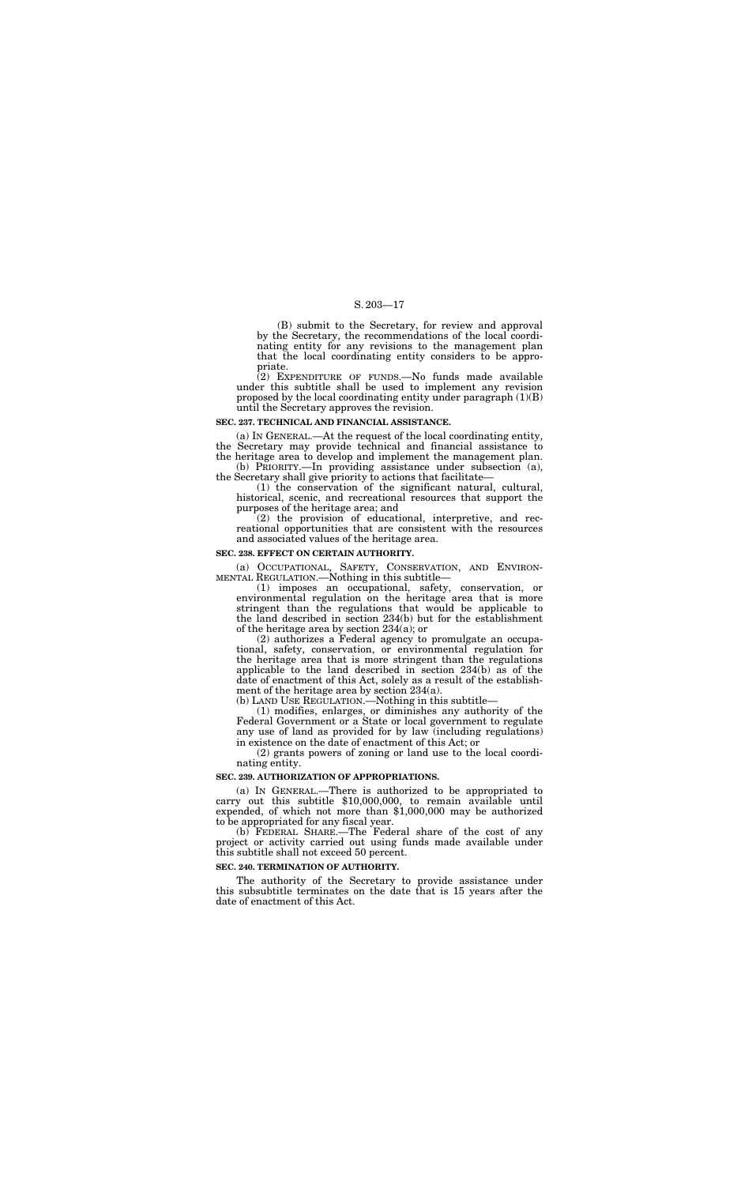(B) submit to the Secretary, for review and approval by the Secretary, the recommendations of the local coordinating entity for any revisions to the management plan that the local coordinating entity considers to be appropriate.

(2) EXPENDITURE OF FUNDS.—No funds made available under this subtitle shall be used to implement any revision proposed by the local coordinating entity under paragraph (1)(B) until the Secretary approves the revision.

#### **SEC. 237. TECHNICAL AND FINANCIAL ASSISTANCE.**

(a) IN GENERAL.—At the request of the local coordinating entity, the Secretary may provide technical and financial assistance to the heritage area to develop and implement the management plan. (b) PRIORITY.—In providing assistance under subsection (a),

the Secretary shall give priority to actions that facilitate—

(1) the conservation of the significant natural, cultural, historical, scenic, and recreational resources that support the purposes of the heritage area; and

(2) the provision of educational, interpretive, and recreational opportunities that are consistent with the resources and associated values of the heritage area.

# **SEC. 238. EFFECT ON CERTAIN AUTHORITY.**

(a) OCCUPATIONAL, SAFETY, CONSERVATION, AND ENVIRON-MENTAL REGULATION.—Nothing in this subtitle—

(1) imposes an occupational, safety, conservation, or environmental regulation on the heritage area that is more stringent than the regulations that would be applicable to the land described in section 234(b) but for the establishment of the heritage area by section 234(a); or

(2) authorizes a Federal agency to promulgate an occupational, safety, conservation, or environmental regulation for the heritage area that is more stringent than the regulations applicable to the land described in section  $234(b)$  as of the date of enactment of this Act, solely as a result of the establishment of the heritage area by section 234(a).

(b) LAND USE REGULATION.—Nothing in this subtitle—

(1) modifies, enlarges, or diminishes any authority of the Federal Government or a State or local government to regulate any use of land as provided for by law (including regulations) in existence on the date of enactment of this Act; or

(2) grants powers of zoning or land use to the local coordinating entity.

#### **SEC. 239. AUTHORIZATION OF APPROPRIATIONS.**

(a) IN GENERAL.—There is authorized to be appropriated to carry out this subtitle \$10,000,000, to remain available until expended, of which not more than \$1,000,000 may be authorized to be appropriated for any fiscal year.

(b) FEDERAL SHARE.—The Federal share of the cost of any project or activity carried out using funds made available under this subtitle shall not exceed 50 percent.

# **SEC. 240. TERMINATION OF AUTHORITY.**

The authority of the Secretary to provide assistance under this subsubtitle terminates on the date that is 15 years after the date of enactment of this Act.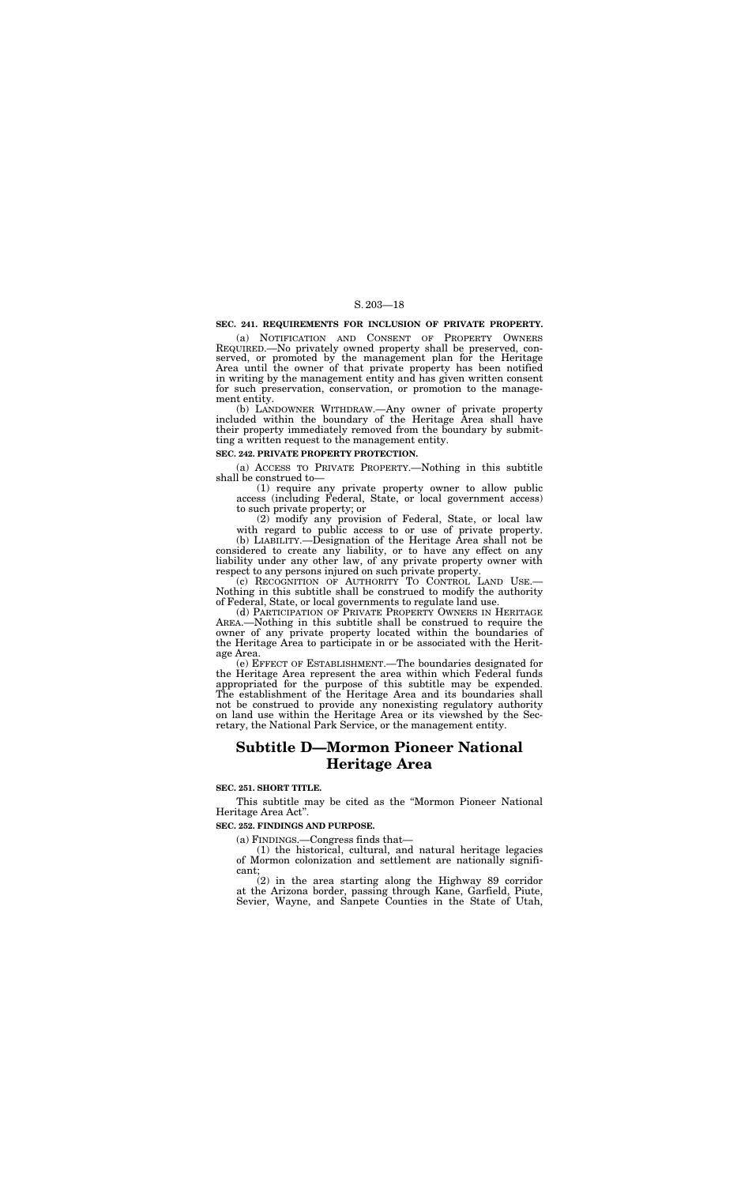#### **SEC. 241. REQUIREMENTS FOR INCLUSION OF PRIVATE PROPERTY.**

(a) NOTIFICATION AND CONSENT OF PROPERTY OWNERS REQUIRED.—No privately owned property shall be preserved, conserved, or promoted by the management plan for the Heritage Area until the owner of that private property has been notified in writing by the management entity and has given written consent for such preservation, conservation, or promotion to the management entity.

(b) LANDOWNER WITHDRAW.—Any owner of private property included within the boundary of the Heritage Area shall have their property immediately removed from the boundary by submitting a written request to the management entity.

### **SEC. 242. PRIVATE PROPERTY PROTECTION.**

(a) ACCESS TO PRIVATE PROPERTY.—Nothing in this subtitle shall be construed to—

(1) require any private property owner to allow public access (including Federal, State, or local government access) to such private property; or

(2) modify any provision of Federal, State, or local law with regard to public access to or use of private property.

(b) LIABILITY.—Designation of the Heritage Area shall not be considered to create any liability, or to have any effect on any liability under any other law, of any private property owner with respect to any persons injured on such private property.

(c) RECOGNITION OF AUTHORITY TO CONTROL LAND USE.— Nothing in this subtitle shall be construed to modify the authority of Federal, State, or local governments to regulate land use.

(d) PARTICIPATION OF PRIVATE PROPERTY OWNERS IN HERITAGE AREA.—Nothing in this subtitle shall be construed to require the owner of any private property located within the boundaries of the Heritage Area to participate in or be associated with the Heritage Area.

(e) EFFECT OF ESTABLISHMENT.—The boundaries designated for the Heritage Area represent the area within which Federal funds appropriated for the purpose of this subtitle may be expended. The establishment of the Heritage Area and its boundaries shall not be construed to provide any nonexisting regulatory authority on land use within the Heritage Area or its viewshed by the Secretary, the National Park Service, or the management entity.

# **Subtitle D—Mormon Pioneer National Heritage Area**

# **SEC. 251. SHORT TITLE.**

This subtitle may be cited as the ''Mormon Pioneer National Heritage Area Act''.

#### **SEC. 252. FINDINGS AND PURPOSE.**

(a) FINDINGS.—Congress finds that—

(1) the historical, cultural, and natural heritage legacies of Mormon colonization and settlement are nationally significant;

(2) in the area starting along the Highway 89 corridor at the Arizona border, passing through Kane, Garfield, Piute, Sevier, Wayne, and Sanpete Counties in the State of Utah,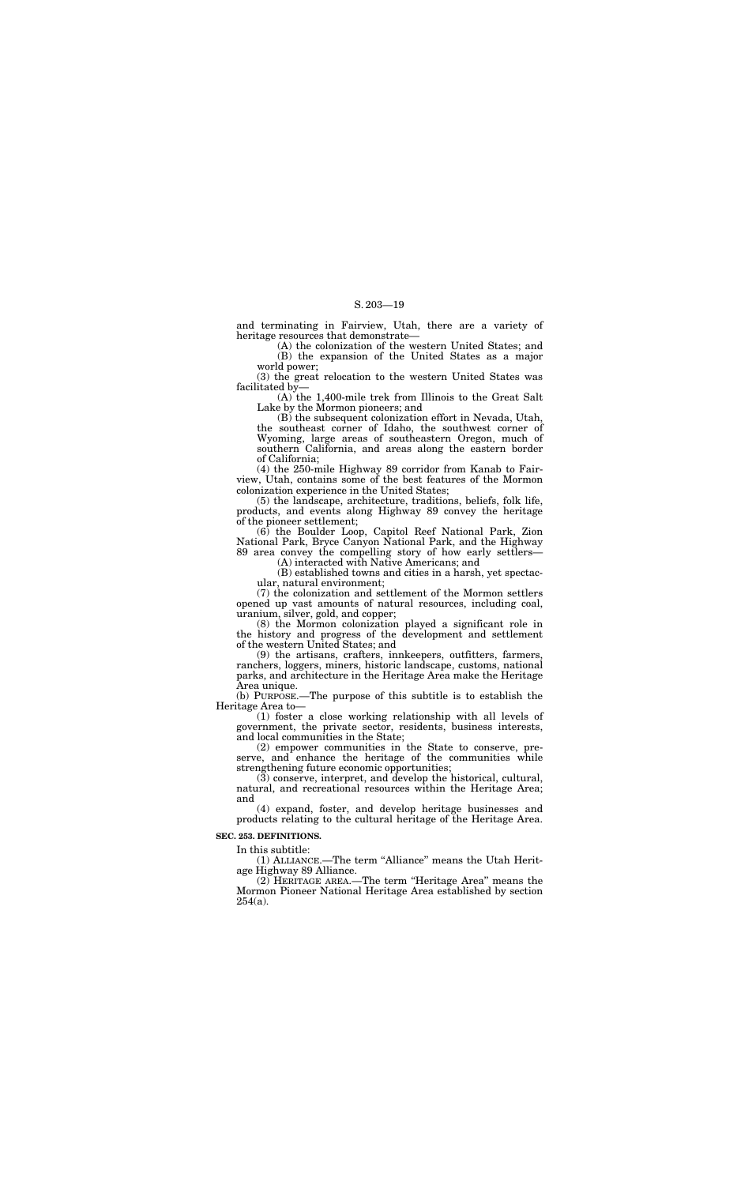and terminating in Fairview, Utah, there are a variety of heritage resources that demonstrate—

 $(A)$  the colonization of the western United States; and (B) the expansion of the United States as a major

world power; (3) the great relocation to the western United States was

facilitated by— (A) the 1,400-mile trek from Illinois to the Great Salt Lake by the Mormon pioneers; and

(B) the subsequent colonization effort in Nevada, Utah, the southeast corner of Idaho, the southwest corner of Wyoming, large areas of southeastern Oregon, much of southern California, and areas along the eastern border of California;

(4) the 250-mile Highway 89 corridor from Kanab to Fairview, Utah, contains some of the best features of the Mormon colonization experience in the United States;

(5) the landscape, architecture, traditions, beliefs, folk life, products, and events along Highway 89 convey the heritage of the pioneer settlement;

(6) the Boulder Loop, Capitol Reef National Park, Zion National Park, Bryce Canyon National Park, and the Highway 89 area convey the compelling story of how early settlers—

(A) interacted with Native Americans; and

(B) established towns and cities in a harsh, yet spectacular, natural environment;

(7) the colonization and settlement of the Mormon settlers opened up vast amounts of natural resources, including coal, uranium, silver, gold, and copper;

(8) the Mormon colonization played a significant role in the history and progress of the development and settlement of the western United States; and

(9) the artisans, crafters, innkeepers, outfitters, farmers, ranchers, loggers, miners, historic landscape, customs, national parks, and architecture in the Heritage Area make the Heritage Area unique.

(b) PURPOSE.—The purpose of this subtitle is to establish the Heritage Area to—

(1) foster a close working relationship with all levels of government, the private sector, residents, business interests, and local communities in the State;

(2) empower communities in the State to conserve, preserve, and enhance the heritage of the communities while strengthening future economic opportunities;

(3) conserve, interpret, and develop the historical, cultural, natural, and recreational resources within the Heritage Area; and

(4) expand, foster, and develop heritage businesses and products relating to the cultural heritage of the Heritage Area.

#### **SEC. 253. DEFINITIONS.**

In this subtitle:

(1) ALLIANCE.—The term ''Alliance'' means the Utah Heritage Highway 89 Alliance.

(2) HERITAGE AREA.—The term ''Heritage Area'' means the Mormon Pioneer National Heritage Area established by section 254(a).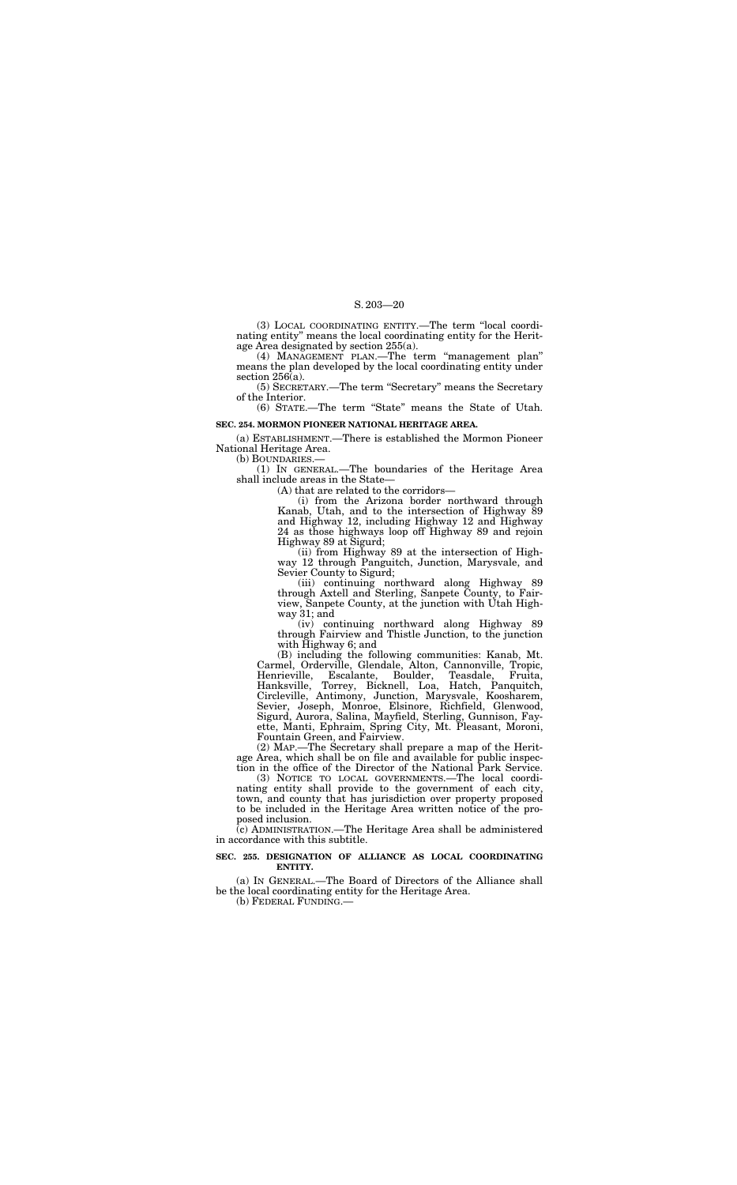(4) MANAGEMENT PLAN.—The term ''management plan'' means the plan developed by the local coordinating entity under section  $256(a)$ .

(3) LOCAL COORDINATING ENTITY.—The term ''local coordinating entity'' means the local coordinating entity for the Heritage Area designated by section 255(a).

(5) SECRETARY.—The term ''Secretary'' means the Secretary of the Interior.

(6) STATE.—The term ''State'' means the State of Utah.

# **SEC. 254. MORMON PIONEER NATIONAL HERITAGE AREA.**

(a) ESTABLISHMENT.—There is established the Mormon Pioneer National Heritage Area.

(b) BOUNDARIES.—

(1) IN GENERAL.—The boundaries of the Heritage Area shall include areas in the State—

(A) that are related to the corridors—

(i) from the Arizona border northward through Kanab, Utah, and to the intersection of Highway 89 and Highway 12, including Highway 12 and Highway 24 as those highways loop off Highway 89 and rejoin Highway 89 at Sigurd;

(ii) from Highway 89 at the intersection of Highway 12 through Panguitch, Junction, Marysvale, and Sevier County to Sigurd;

(iii) continuing northward along Highway 89 through Axtell and Sterling, Sanpete County, to Fairview, Sanpete County, at the junction with Utah Highway 31; and

(iv) continuing northward along Highway 89 through Fairview and Thistle Junction, to the junction with Highway 6; and

(B) including the following communities: Kanab, Mt. Carmel, Orderville, Glendale, Alton, Cannonville, Tropic, Henrieville, Escalante, Boulder, Teasdale, Fruita, Hanksville, Torrey, Bicknell, Loa, Hatch, Panquitch, Circleville, Antimony, Junction, Marysvale, Koosharem, Sevier, Joseph, Monroe, Elsinore, Richfield, Glenwood, Sigurd, Aurora, Salina, Mayfield, Sterling, Gunnison, Fayette, Manti, Ephraim, Spring City, Mt. Pleasant, Moroni, Fountain Green, and Fairview.

(2) MAP.—The Secretary shall prepare a map of the Heritage Area, which shall be on file and available for public inspection in the office of the Director of the National Park Service.

(3) NOTICE TO LOCAL GOVERNMENTS.—The local coordinating entity shall provide to the government of each city, town, and county that has jurisdiction over property proposed to be included in the Heritage Area written notice of the proposed inclusion.

(c) ADMINISTRATION.—The Heritage Area shall be administered in accordance with this subtitle.

#### **SEC. 255. DESIGNATION OF ALLIANCE AS LOCAL COORDINATING ENTITY.**

(a) IN GENERAL.—The Board of Directors of the Alliance shall be the local coordinating entity for the Heritage Area.

(b) FEDERAL FUNDING.—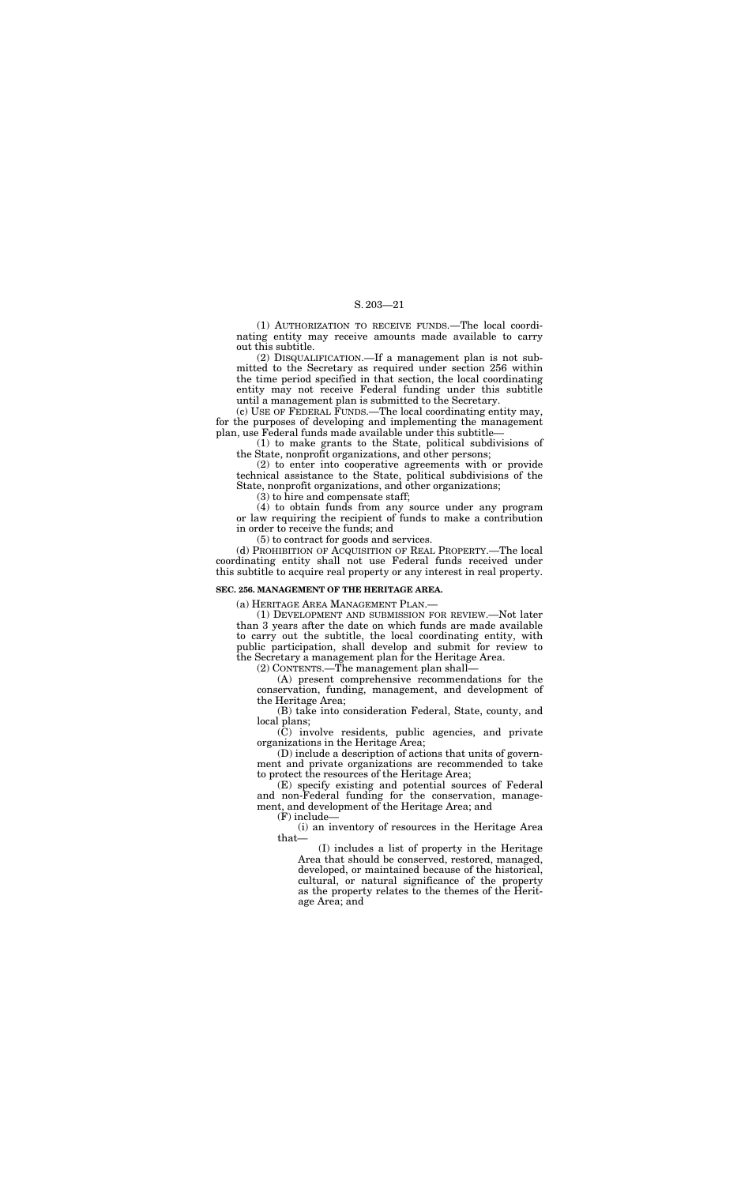(1) AUTHORIZATION TO RECEIVE FUNDS.—The local coordinating entity may receive amounts made available to carry out this subtitle.

(2) DISQUALIFICATION.—If a management plan is not submitted to the Secretary as required under section 256 within the time period specified in that section, the local coordinating entity may not receive Federal funding under this subtitle until a management plan is submitted to the Secretary.

(c) USE OF FEDERAL FUNDS.—The local coordinating entity may, for the purposes of developing and implementing the management plan, use Federal funds made available under this subtitle—

(1) to make grants to the State, political subdivisions of the State, nonprofit organizations, and other persons;

(2) to enter into cooperative agreements with or provide technical assistance to the State, political subdivisions of the State, nonprofit organizations, and other organizations;

(3) to hire and compensate staff;

(4) to obtain funds from any source under any program or law requiring the recipient of funds to make a contribution in order to receive the funds; and

(5) to contract for goods and services.

(d) PROHIBITION OF ACQUISITION OF REAL PROPERTY.—The local coordinating entity shall not use Federal funds received under this subtitle to acquire real property or any interest in real property.

# **SEC. 256. MANAGEMENT OF THE HERITAGE AREA.**

(a) HERITAGE AREA MANAGEMENT PLAN.—

(1) DEVELOPMENT AND SUBMISSION FOR REVIEW.—Not later than 3 years after the date on which funds are made available to carry out the subtitle, the local coordinating entity, with public participation, shall develop and submit for review to the Secretary a management plan for the Heritage Area.

(2) CONTENTS.—The management plan shall—

(A) present comprehensive recommendations for the conservation, funding, management, and development of the Heritage Area;

(B) take into consideration Federal, State, county, and local plans;

(C) involve residents, public agencies, and private organizations in the Heritage Area;

(D) include a description of actions that units of government and private organizations are recommended to take to protect the resources of the Heritage Area;

(E) specify existing and potential sources of Federal and non-Federal funding for the conservation, management, and development of the Heritage Area; and

(F) include—

(i) an inventory of resources in the Heritage Area that—

(I) includes a list of property in the Heritage Area that should be conserved, restored, managed, developed, or maintained because of the historical, cultural, or natural significance of the property as the property relates to the themes of the Heritage Area; and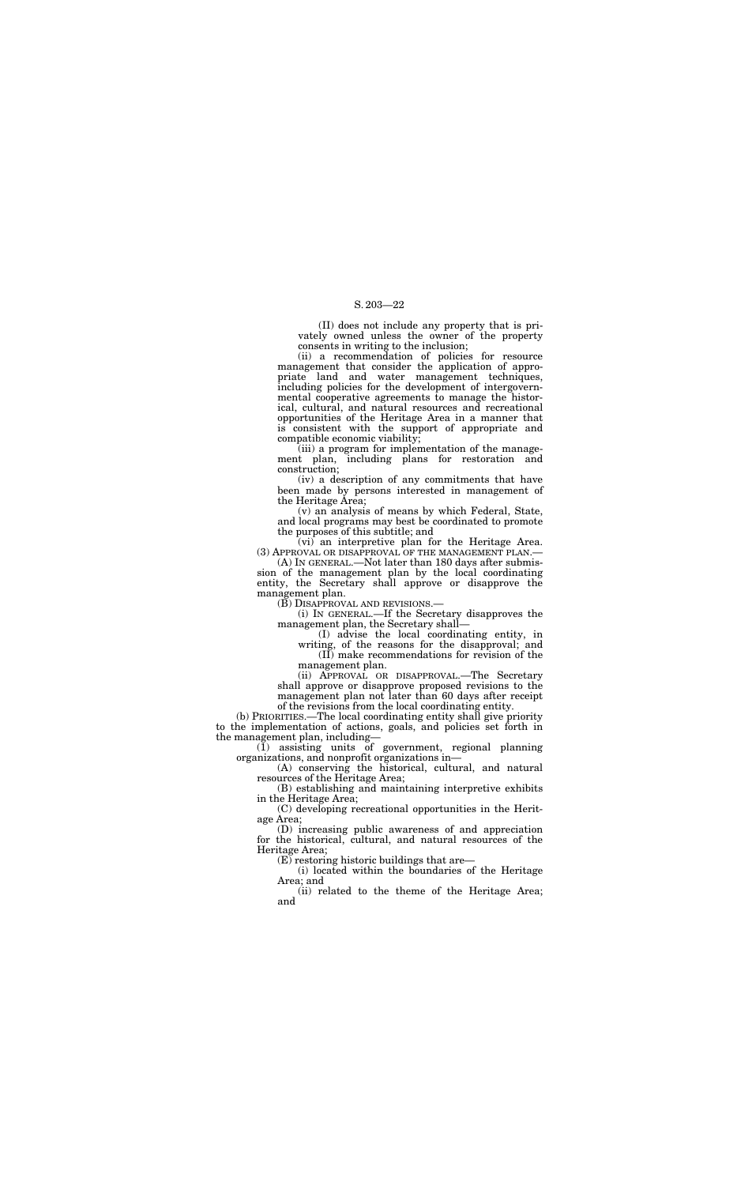(II) does not include any property that is privately owned unless the owner of the property consents in writing to the inclusion;

(ii) a recommendation of policies for resource management that consider the application of appropriate land and water management techniques, including policies for the development of intergovernmental cooperative agreements to manage the historical, cultural, and natural resources and recreational opportunities of the Heritage Area in a manner that is consistent with the support of appropriate and compatible economic viability;

(iii) a program for implementation of the management plan, including plans for restoration and construction;

(iv) a description of any commitments that have been made by persons interested in management of the Heritage Area;

(v) an analysis of means by which Federal, State, and local programs may best be coordinated to promote the purposes of this subtitle; and

(vi) an interpretive plan for the Heritage Area. (3) APPROVAL OR DISAPPROVAL OF THE MANAGEMENT PLAN.—

(A) IN GENERAL.—Not later than 180 days after submission of the management plan by the local coordinating entity, the Secretary shall approve or disapprove the management plan.

(B) DISAPPROVAL AND REVISIONS.—

(i) IN GENERAL.—If the Secretary disapproves the management plan, the Secretary shall—

(I) advise the local coordinating entity, in writing, of the reasons for the disapproval; and (II) make recommendations for revision of the management plan.

(ii) APPROVAL OR DISAPPROVAL.—The Secretary shall approve or disapprove proposed revisions to the management plan not later than 60 days after receipt of the revisions from the local coordinating entity.

(b) PRIORITIES.—The local coordinating entity shall give priority to the implementation of actions, goals, and policies set forth in the management plan, including—

(1) assisting units of government, regional planning organizations, and nonprofit organizations in—

(A) conserving the historical, cultural, and natural resources of the Heritage Area;

(B) establishing and maintaining interpretive exhibits in the Heritage Area;

(C) developing recreational opportunities in the Heritage Area;

(D) increasing public awareness of and appreciation for the historical, cultural, and natural resources of the Heritage Area;

 $(E)$  restoring historic buildings that are—

(i) located within the boundaries of the Heritage Area; and

(ii) related to the theme of the Heritage Area; and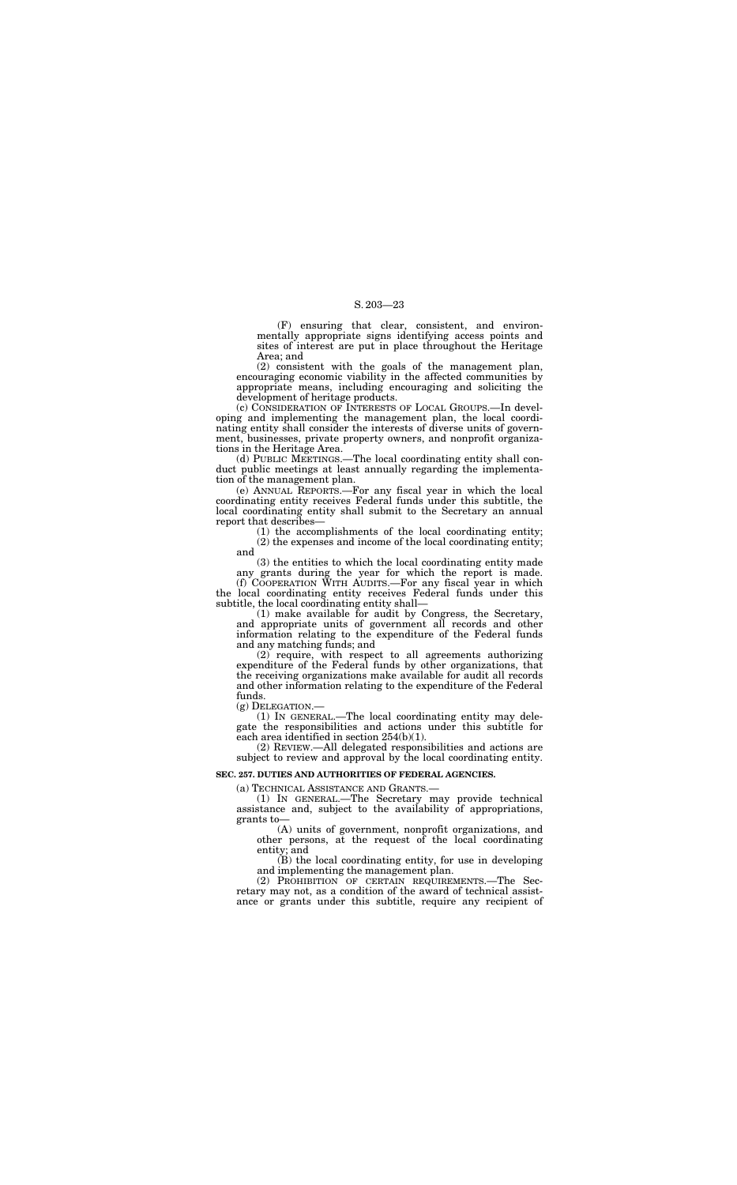(F) ensuring that clear, consistent, and environmentally appropriate signs identifying access points and sites of interest are put in place throughout the Heritage Area; and

(2) consistent with the goals of the management plan, encouraging economic viability in the affected communities by appropriate means, including encouraging and soliciting the development of heritage products.

(c) CONSIDERATION OF INTERESTS OF LOCAL GROUPS.—In developing and implementing the management plan, the local coordinating entity shall consider the interests of diverse units of government, businesses, private property owners, and nonprofit organizations in the Heritage Area.

(d) PUBLIC MEETINGS.—The local coordinating entity shall conduct public meetings at least annually regarding the implementation of the management plan.

(e) ANNUAL REPORTS.—For any fiscal year in which the local coordinating entity receives Federal funds under this subtitle, the local coordinating entity shall submit to the Secretary an annual report that describes—

(1) the accomplishments of the local coordinating entity; (2) the expenses and income of the local coordinating entity; and

(3) the entities to which the local coordinating entity made

any grants during the year for which the report is made. (f) COOPERATION WITH AUDITS.—For any fiscal year in which the local coordinating entity receives Federal funds under this subtitle, the local coordinating entity shall—

(1) make available for audit by Congress, the Secretary, and appropriate units of government all records and other information relating to the expenditure of the Federal funds and any matching funds; and

(2) require, with respect to all agreements authorizing expenditure of the Federal funds by other organizations, that the receiving organizations make available for audit all records and other information relating to the expenditure of the Federal funds.

(g) DELEGATION.—

(1) IN GENERAL.—The local coordinating entity may delegate the responsibilities and actions under this subtitle for each area identified in section 254(b)(1).

(2) REVIEW.—All delegated responsibilities and actions are subject to review and approval by the local coordinating entity.

#### **SEC. 257. DUTIES AND AUTHORITIES OF FEDERAL AGENCIES.**

(a) TECHNICAL ASSISTANCE AND GRANTS.—

(1) IN GENERAL.—The Secretary may provide technical assistance and, subject to the availability of appropriations, grants to—

(A) units of government, nonprofit organizations, and other persons, at the request of the local coordinating entity; and

(B) the local coordinating entity, for use in developing and implementing the management plan.

(2) PROHIBITION OF CERTAIN REQUIREMENTS.—The Secretary may not, as a condition of the award of technical assistance or grants under this subtitle, require any recipient of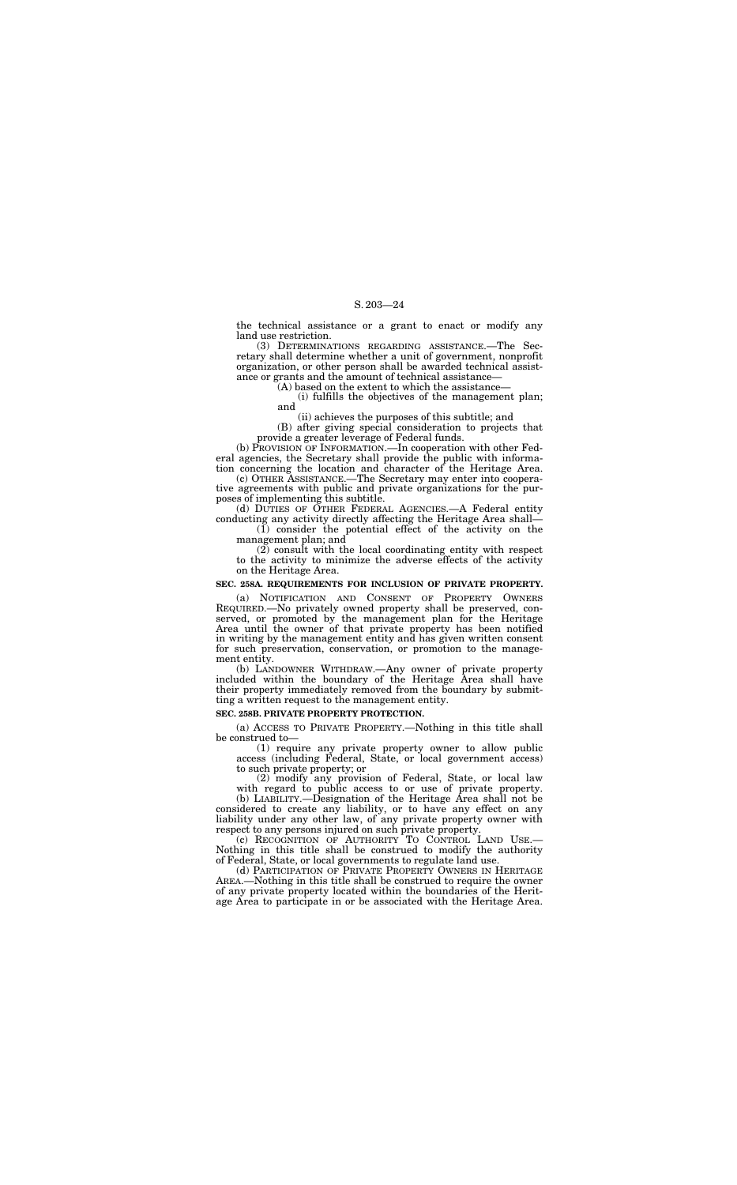(3) DETERMINATIONS REGARDING ASSISTANCE.—The Secretary shall determine whether a unit of government, nonprofit organization, or other person shall be awarded technical assistance or grants and the amount of technical assistance—<br>(A) based on the extent to which the assistance—<br>(i) fulfills the objectives of the management plan;

the technical assistance or a grant to enact or modify any land use restriction.

and

(ii) achieves the purposes of this subtitle; and

(B) after giving special consideration to projects that provide a greater leverage of Federal funds.

(b) PROVISION OF INFORMATION.—In cooperation with other Federal agencies, the Secretary shall provide the public with information concerning the location and character of the Heritage Area.

(c) OTHER ASSISTANCE.—The Secretary may enter into cooperative agreements with public and private organizations for the purposes of implementing this subtitle.

(d) DUTIES OF OTHER FEDERAL AGENCIES.—A Federal entity conducting any activity directly affecting the Heritage Area shall— (1) consider the potential effect of the activity on the

(1) require any private property owner to allow public access (including Federal, State, or local government access) to such private property; or

management plan; and

(2) consult with the local coordinating entity with respect to the activity to minimize the adverse effects of the activity on the Heritage Area.

# **SEC. 258A. REQUIREMENTS FOR INCLUSION OF PRIVATE PROPERTY.**

(a) NOTIFICATION AND CONSENT OF PROPERTY OWNERS REQUIRED.—No privately owned property shall be preserved, conserved, or promoted by the management plan for the Heritage Area until the owner of that private property has been notified in writing by the management entity and has given written consent for such preservation, conservation, or promotion to the management entity.

(b) LANDOWNER WITHDRAW.—Any owner of private property included within the boundary of the Heritage Area shall have their property immediately removed from the boundary by submitting a written request to the management entity.

### **SEC. 258B. PRIVATE PROPERTY PROTECTION.**

(a) ACCESS TO PRIVATE PROPERTY.—Nothing in this title shall

(2) modify any provision of Federal, State, or local law with regard to public access to or use of private property.

(b) LIABILITY.—Designation of the Heritage Area shall not be considered to create any liability, or to have any effect on any liability under any other law, of any private property owner with respect to any persons injured on such private property.

(c) RECOGNITION OF AUTHORITY TO CONTROL LAND USE.— Nothing in this title shall be construed to modify the authority of Federal, State, or local governments to regulate land use.

(d) PARTICIPATION OF PRIVATE PROPERTY OWNERS IN HERITAGE AREA.—Nothing in this title shall be construed to require the owner of any private property located within the boundaries of the Heritage Area to participate in or be associated with the Heritage Area.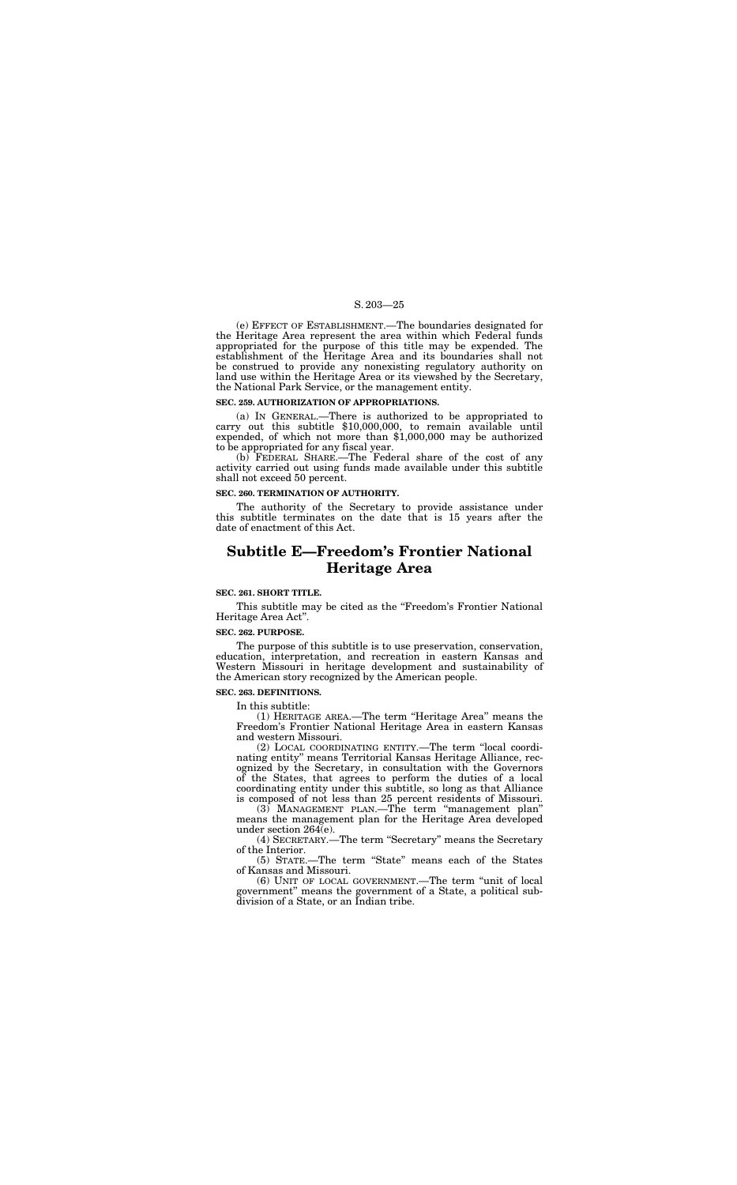(e) EFFECT OF ESTABLISHMENT.—The boundaries designated for the Heritage Area represent the area within which Federal funds appropriated for the purpose of this title may be expended. The establishment of the Heritage Area and its boundaries shall not be construed to provide any nonexisting regulatory authority on land use within the Heritage Area or its viewshed by the Secretary, the National Park Service, or the management entity.

#### **SEC. 259. AUTHORIZATION OF APPROPRIATIONS.**

(a) IN GENERAL.—There is authorized to be appropriated to carry out this subtitle \$10,000,000, to remain available until expended, of which not more than \$1,000,000 may be authorized to be appropriated for any fiscal year.

This subtitle may be cited as the "Freedom's Frontier National Heritage Area Act''.

(b) FEDERAL SHARE.—The Federal share of the cost of any activity carried out using funds made available under this subtitle shall not exceed 50 percent.

#### **SEC. 260. TERMINATION OF AUTHORITY.**

The authority of the Secretary to provide assistance under this subtitle terminates on the date that is 15 years after the date of enactment of this Act.

# **Subtitle E—Freedom's Frontier National Heritage Area**

# **SEC. 261. SHORT TITLE.**

#### **SEC. 262. PURPOSE.**

The purpose of this subtitle is to use preservation, conservation, education, interpretation, and recreation in eastern Kansas and Western Missouri in heritage development and sustainability of the American story recognized by the American people.

#### **SEC. 263. DEFINITIONS.**

In this subtitle:

(1) HERITAGE AREA.—The term ''Heritage Area'' means the Freedom's Frontier National Heritage Area in eastern Kansas and western Missouri.

(2) LOCAL COORDINATING ENTITY.—The term ''local coordinating entity'' means Territorial Kansas Heritage Alliance, recognized by the Secretary, in consultation with the Governors of the States, that agrees to perform the duties of a local coordinating entity under this subtitle, so long as that Alliance is composed of not less than 25 percent residents of Missouri.

(3) MANAGEMENT PLAN.—The term ''management plan'' means the management plan for the Heritage Area developed under section 264(e).

(4) SECRETARY.—The term ''Secretary'' means the Secretary of the Interior.

(5) STATE.—The term ''State'' means each of the States of Kansas and Missouri.

(6) UNIT OF LOCAL GOVERNMENT.—The term ''unit of local government'' means the government of a State, a political subdivision of a State, or an Indian tribe.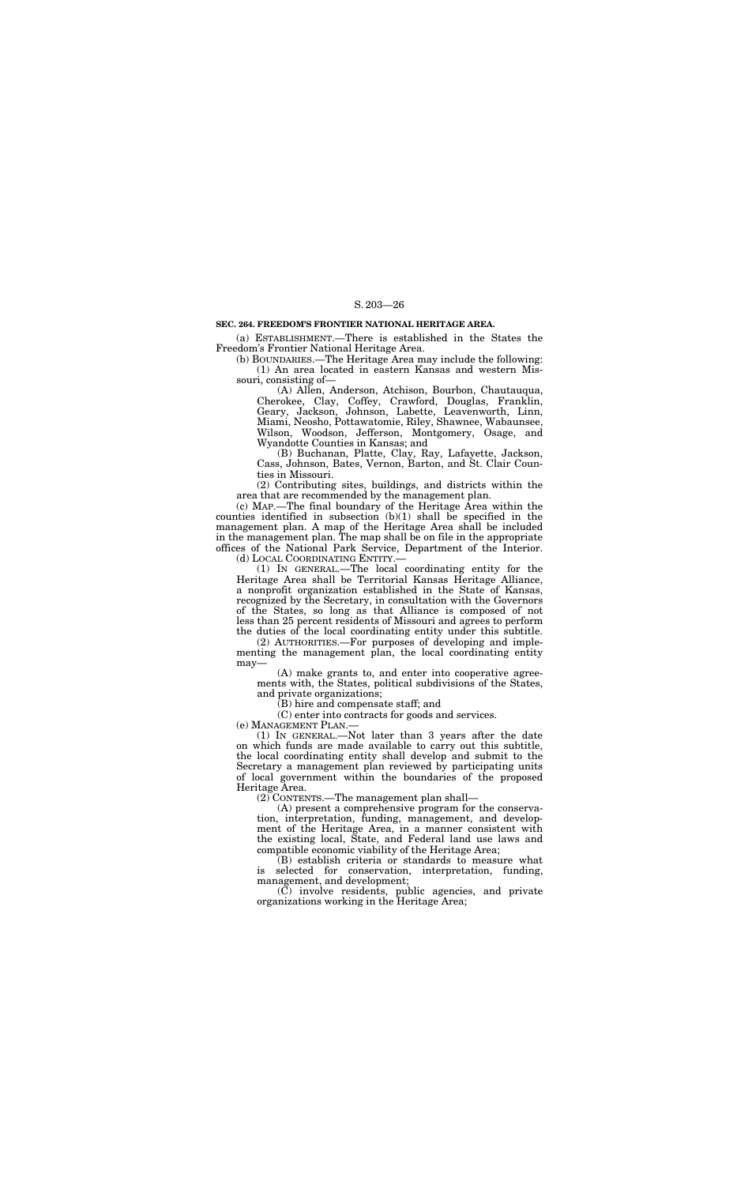#### **SEC. 264. FREEDOM'S FRONTIER NATIONAL HERITAGE AREA.**

(a) ESTABLISHMENT.—There is established in the States the Freedom's Frontier National Heritage Area.

(b) BOUNDARIES.—The Heritage Area may include the following: (1) An area located in eastern Kansas and western Missouri, consisting of—

(A) Allen, Anderson, Atchison, Bourbon, Chautauqua, Cherokee, Clay, Coffey, Crawford, Douglas, Franklin, Geary, Jackson, Johnson, Labette, Leavenworth, Linn, Miami, Neosho, Pottawatomie, Riley, Shawnee, Wabaunsee, Wilson, Woodson, Jefferson, Montgomery, Osage, and Wyandotte Counties in Kansas; and

(B) Buchanan, Platte, Clay, Ray, Lafayette, Jackson, Cass, Johnson, Bates, Vernon, Barton, and St. Clair Counties in Missouri.

(2) Contributing sites, buildings, and districts within the area that are recommended by the management plan.

(c) MAP.—The final boundary of the Heritage Area within the counties identified in subsection (b)(1) shall be specified in the management plan. A map of the Heritage Area shall be included in the management plan. The map shall be on file in the appropriate offices of the National Park Service, Department of the Interior.

(d) LOCAL COORDINATING ENTITY.—

(1) IN GENERAL.—The local coordinating entity for the Heritage Area shall be Territorial Kansas Heritage Alliance, a nonprofit organization established in the State of Kansas, recognized by the Secretary, in consultation with the Governors of the States, so long as that Alliance is composed of not less than 25 percent residents of Missouri and agrees to perform the duties of the local coordinating entity under this subtitle.

(2) AUTHORITIES.—For purposes of developing and implementing the management plan, the local coordinating entity may—

(A) make grants to, and enter into cooperative agreements with, the States, political subdivisions of the States,

and private organizations; (B) hire and compensate staff; and

(C) enter into contracts for goods and services. (e) MANAGEMENT PLAN.—

(1) IN GENERAL.—Not later than 3 years after the date on which funds are made available to carry out this subtitle, the local coordinating entity shall develop and submit to the Secretary a management plan reviewed by participating units of local government within the boundaries of the proposed Heritage Area.

(2) CONTENTS.—The management plan shall—

(A) present a comprehensive program for the conservation, interpretation, funding, management, and development of the Heritage Area, in a manner consistent with the existing local, State, and Federal land use laws and compatible economic viability of the Heritage Area;

(B) establish criteria or standards to measure what is selected for conservation, interpretation, funding, management, and development;

(C) involve residents, public agencies, and private organizations working in the Heritage Area;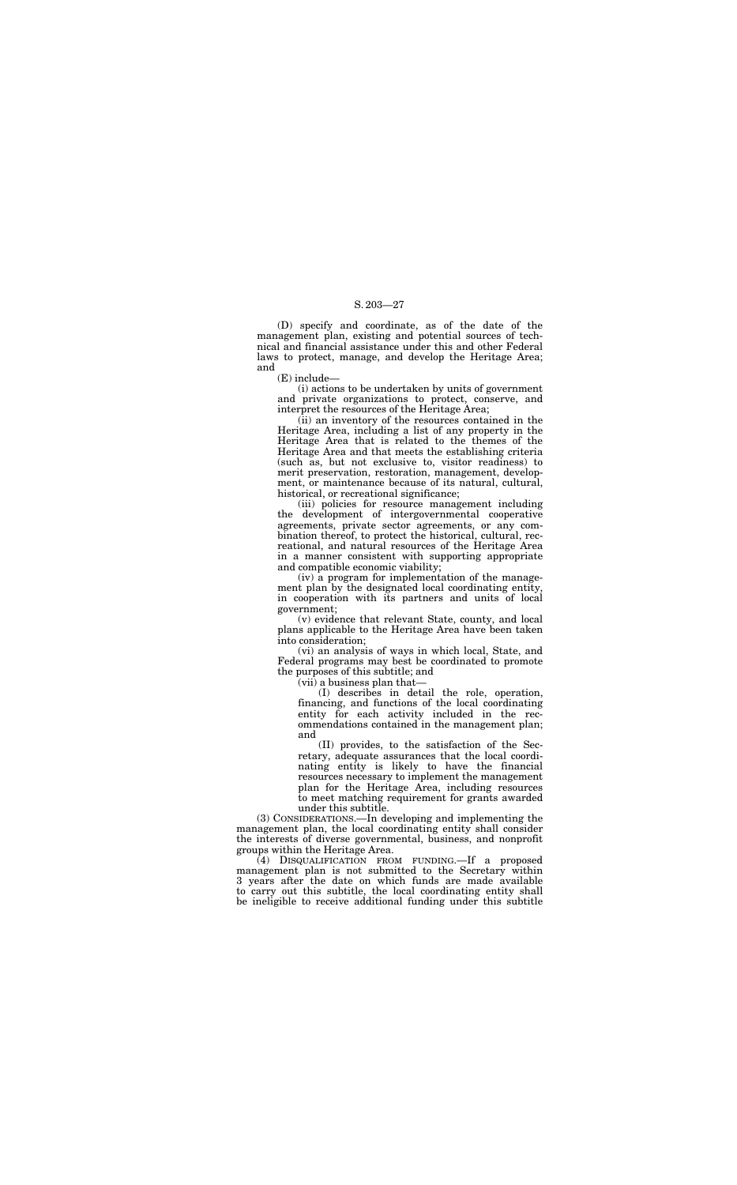(D) specify and coordinate, as of the date of the management plan, existing and potential sources of technical and financial assistance under this and other Federal laws to protect, manage, and develop the Heritage Area; and

(E) include—

(i) actions to be undertaken by units of government and private organizations to protect, conserve, and interpret the resources of the Heritage Area;

(ii) an inventory of the resources contained in the Heritage Area, including a list of any property in the Heritage Area that is related to the themes of the Heritage Area and that meets the establishing criteria (such as, but not exclusive to, visitor readiness) to merit preservation, restoration, management, development, or maintenance because of its natural, cultural, historical, or recreational significance;

(iii) policies for resource management including the development of intergovernmental cooperative agreements, private sector agreements, or any combination thereof, to protect the historical, cultural, recreational, and natural resources of the Heritage Area in a manner consistent with supporting appropriate and compatible economic viability;

(iv) a program for implementation of the management plan by the designated local coordinating entity, in cooperation with its partners and units of local government;

(v) evidence that relevant State, county, and local plans applicable to the Heritage Area have been taken into consideration;

(vi) an analysis of ways in which local, State, and Federal programs may best be coordinated to promote the purposes of this subtitle; and

(vii) a business plan that—

(I) describes in detail the role, operation, financing, and functions of the local coordinating entity for each activity included in the recommendations contained in the management plan; and

(II) provides, to the satisfaction of the Secretary, adequate assurances that the local coordinating entity is likely to have the financial resources necessary to implement the management plan for the Heritage Area, including resources to meet matching requirement for grants awarded under this subtitle.

(3) CONSIDERATIONS.—In developing and implementing the management plan, the local coordinating entity shall consider the interests of diverse governmental, business, and nonprofit groups within the Heritage Area.

(4) DISQUALIFICATION FROM FUNDING.—If a proposed management plan is not submitted to the Secretary within 3 years after the date on which funds are made available to carry out this subtitle, the local coordinating entity shall be ineligible to receive additional funding under this subtitle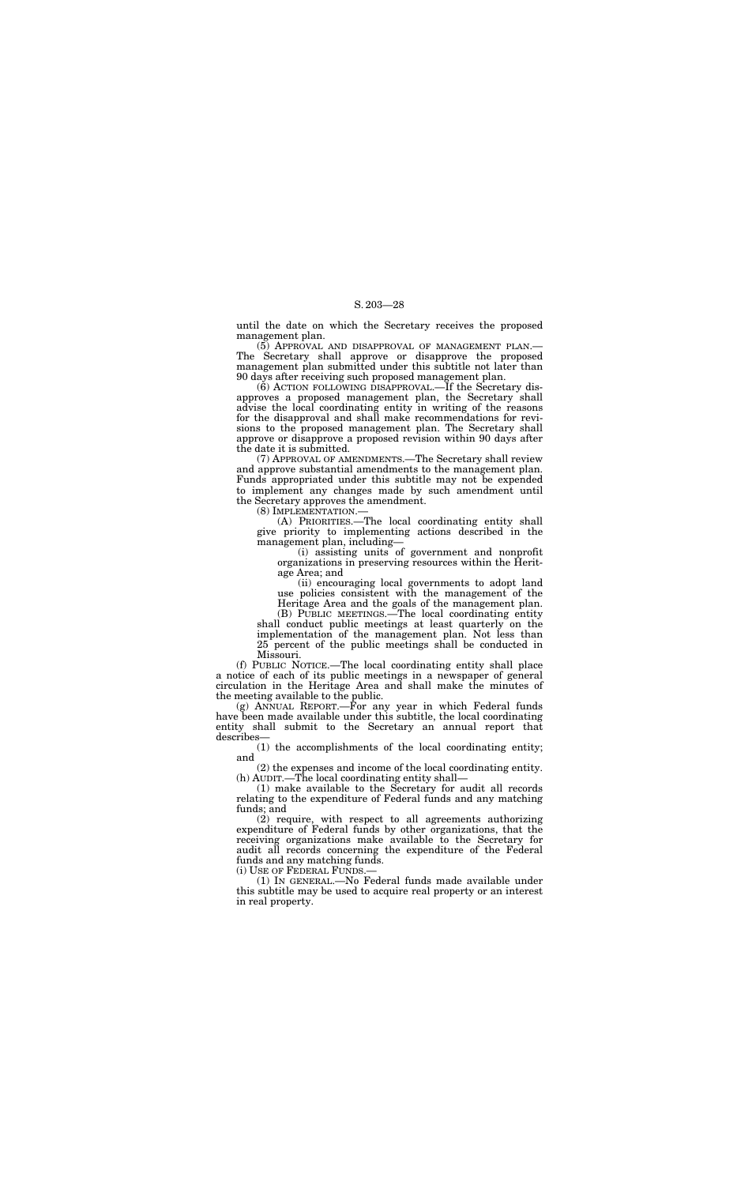until the date on which the Secretary receives the proposed management plan.

(5) APPROVAL AND DISAPPROVAL OF MANAGEMENT PLAN.— The Secretary shall approve or disapprove the proposed management plan submitted under this subtitle not later than 90 days after receiving such proposed management plan.

(6) ACTION FOLLOWING DISAPPROVAL.—If the Secretary disapproves a proposed management plan, the Secretary shall advise the local coordinating entity in writing of the reasons for the disapproval and shall make recommendations for revisions to the proposed management plan. The Secretary shall approve or disapprove a proposed revision within 90 days after the date it is submitted.

(7) APPROVAL OF AMENDMENTS.—The Secretary shall review and approve substantial amendments to the management plan. Funds appropriated under this subtitle may not be expended to implement any changes made by such amendment until the Secretary approves the amendment.

(8) IMPLEMENTATION.—

(A) PRIORITIES.—The local coordinating entity shall give priority to implementing actions described in the management plan, including—

(2) require, with respect to all agreements authorizing expenditure of Federal funds by other organizations, that the receiving organizations make available to the Secretary for audit all records concerning the expenditure of the Federal funds and any matching funds.<br>(i) USE OF FEDERAL FUNDS.—

(i) assisting units of government and nonprofit organizations in preserving resources within the Heritage Area; and

(ii) encouraging local governments to adopt land use policies consistent with the management of the Heritage Area and the goals of the management plan.

 $(1)$  In GENERAL.—No Federal funds made available under this subtitle may be used to acquire real property or an interest in real property.

(B) PUBLIC MEETINGS.—The local coordinating entity shall conduct public meetings at least quarterly on the implementation of the management plan. Not less than 25 percent of the public meetings shall be conducted in Missouri.

(f) PUBLIC NOTICE.—The local coordinating entity shall place a notice of each of its public meetings in a newspaper of general circulation in the Heritage Area and shall make the minutes of the meeting available to the public.

(g) ANNUAL REPORT.—For any year in which Federal funds have been made available under this subtitle, the local coordinating entity shall submit to the Secretary an annual report that describes—

(1) the accomplishments of the local coordinating entity; and

(2) the expenses and income of the local coordinating entity. (h) AUDIT.—The local coordinating entity shall—

(1) make available to the Secretary for audit all records relating to the expenditure of Federal funds and any matching funds; and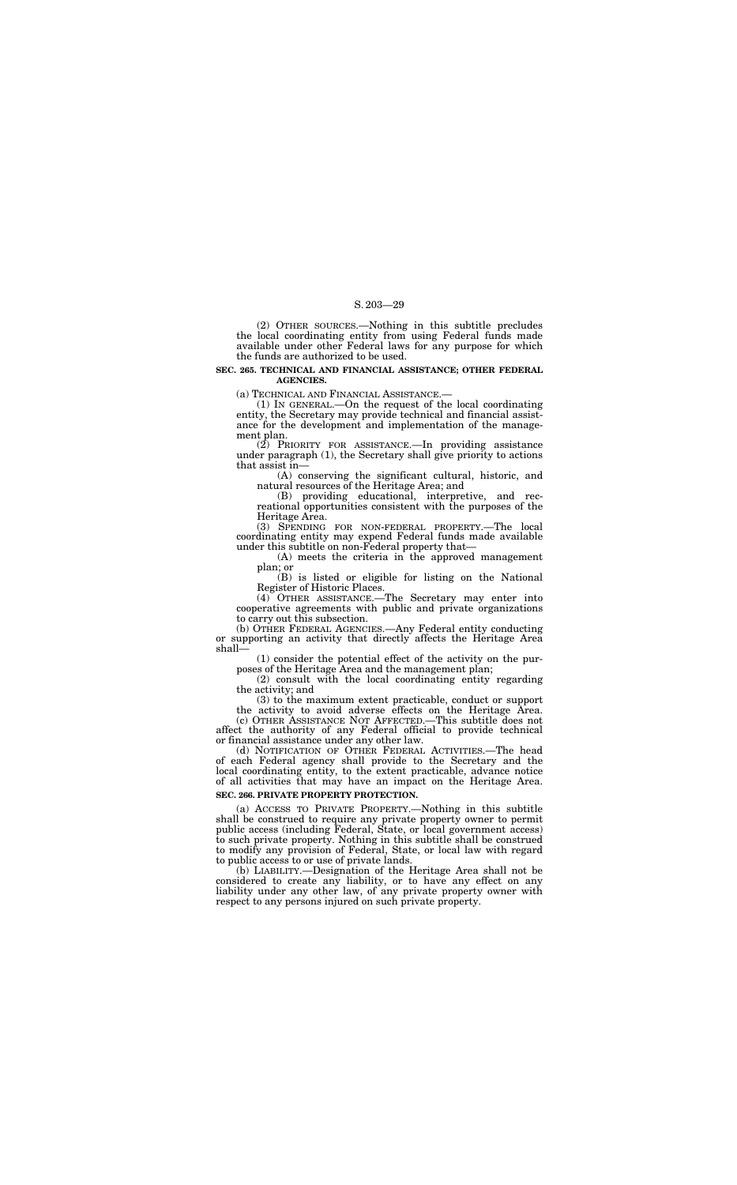(2) OTHER SOURCES.—Nothing in this subtitle precludes the local coordinating entity from using Federal funds made available under other Federal laws for any purpose for which the funds are authorized to be used.

#### **SEC. 265. TECHNICAL AND FINANCIAL ASSISTANCE; OTHER FEDERAL AGENCIES.**

(a) TECHNICAL AND FINANCIAL ASSISTANCE.— (1) IN GENERAL.—On the request of the local coordinating entity, the Secretary may provide technical and financial assistance for the development and implementation of the management plan.

 $(A)$  meets the criteria in the approved management plan; or

(2) PRIORITY FOR ASSISTANCE.—In providing assistance under paragraph  $(1)$ , the Secretary shall give priority to actions that assist in that assist in— (A) conserving the significant cultural, historic, and

natural resources of the Heritage Area; and

 $(1)$  consider the potential effect of the activity on the purposes of the Heritage Area and the management plan;

(B) providing educational, interpretive, and recreational opportunities consistent with the purposes of the Heritage Area.

(3) SPENDING FOR NON-FEDERAL PROPERTY.—The local coordinating entity may expend Federal funds made available

(B) is listed or eligible for listing on the National Register of Historic Places.

(4) OTHER ASSISTANCE.—The Secretary may enter into cooperative agreements with public and private organizations to carry out this subsection.

(b) OTHER FEDERAL AGENCIES.—Any Federal entity conducting or supporting an activity that directly affects the Heritage Area

(2) consult with the local coordinating entity regarding the activity; and

(3) to the maximum extent practicable, conduct or support the activity to avoid adverse effects on the Heritage Area.

(c) OTHER ASSISTANCE NOT AFFECTED.—This subtitle does not affect the authority of any Federal official to provide technical or financial assistance under any other law.

(d) NOTIFICATION OF OTHER FEDERAL ACTIVITIES.—The head of each Federal agency shall provide to the Secretary and the local coordinating entity, to the extent practicable, advance notice of all activities that may have an impact on the Heritage Area. **SEC. 266. PRIVATE PROPERTY PROTECTION.**

# (a) ACCESS TO PRIVATE PROPERTY.—Nothing in this subtitle shall be construed to require any private property owner to permit public access (including Federal, State, or local government access) to such private property. Nothing in this subtitle shall be construed

to modify any provision of Federal, State, or local law with regard to public access to or use of private lands.

(b) LIABILITY.—Designation of the Heritage Area shall not be considered to create any liability, or to have any effect on any liability under any other law, of any private property owner with respect to any persons injured on such private property.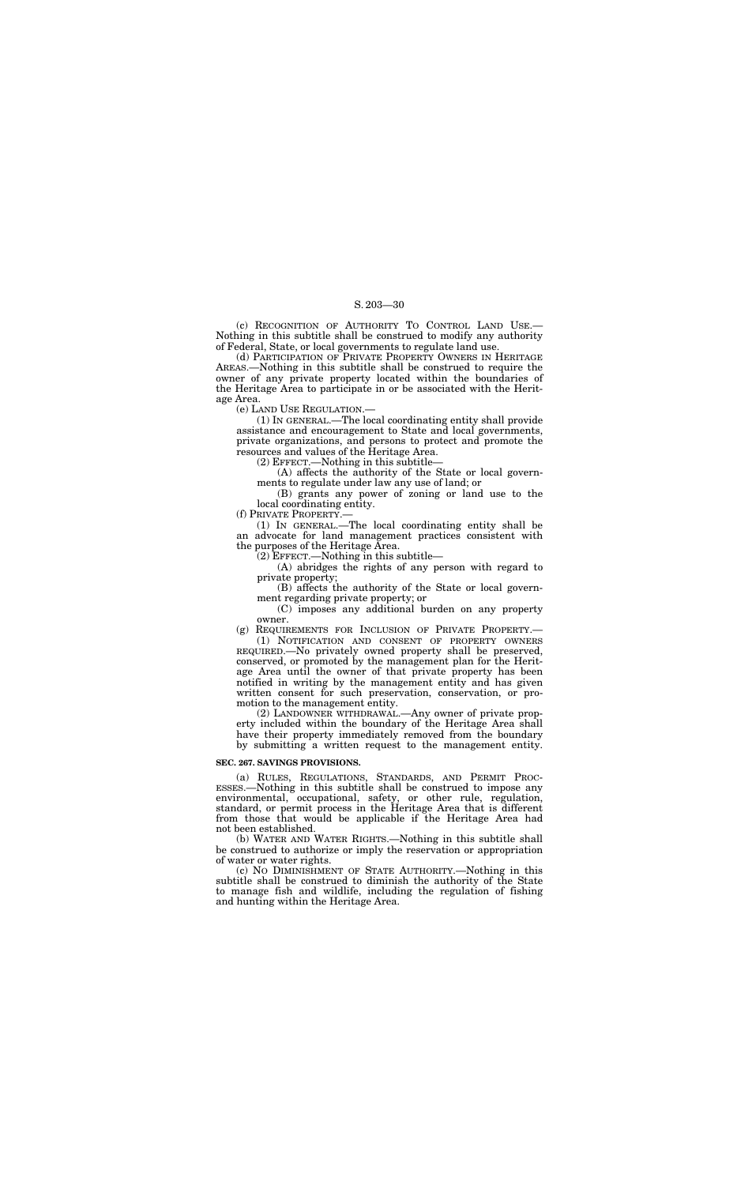(c) RECOGNITION OF AUTHORITY TO CONTROL LAND USE.— Nothing in this subtitle shall be construed to modify any authority of Federal, State, or local governments to regulate land use.

(d) PARTICIPATION OF PRIVATE PROPERTY OWNERS IN HERITAGE AREAS.—Nothing in this subtitle shall be construed to require the owner of any private property located within the boundaries of the Heritage Area to participate in or be associated with the Heritage Area.

(e) LAND USE REGULATION.—

(1) IN GENERAL.—The local coordinating entity shall provide assistance and encouragement to State and local governments, private organizations, and persons to protect and promote the resources and values of the Heritage Area.

(2) EFFECT.—Nothing in this subtitle—

(A) affects the authority of the State or local governments to regulate under law any use of land; or

(B) grants any power of zoning or land use to the local coordinating entity.

(f) PRIVATE PROPERTY.—

(1) IN GENERAL.—The local coordinating entity shall be an advocate for land management practices consistent with the purposes of the Heritage Area.

(2) EFFECT.—Nothing in this subtitle—

(A) abridges the rights of any person with regard to private property;

(B) affects the authority of the State or local government regarding private property; or

(C) imposes any additional burden on any property owner.

(g) REQUIREMENTS FOR INCLUSION OF PRIVATE PROPERTY.— (1) NOTIFICATION AND CONSENT OF PROPERTY OWNERS

REQUIRED.—No privately owned property shall be preserved, conserved, or promoted by the management plan for the Heritage Area until the owner of that private property has been notified in writing by the management entity and has given written consent for such preservation, conservation, or promotion to the management entity.

(2) LANDOWNER WITHDRAWAL.—Any owner of private property included within the boundary of the Heritage Area shall have their property immediately removed from the boundary by submitting a written request to the management entity.

#### **SEC. 267. SAVINGS PROVISIONS.**

(a) RULES, REGULATIONS, STANDARDS, AND PERMIT PROC-ESSES.—Nothing in this subtitle shall be construed to impose any environmental, occupational, safety, or other rule, regulation, standard, or permit process in the Heritage Area that is different from those that would be applicable if the Heritage Area had not been established.

(b) WATER AND WATER RIGHTS.—Nothing in this subtitle shall be construed to authorize or imply the reservation or appropriation of water or water rights.

(c) NO DIMINISHMENT OF STATE AUTHORITY.—Nothing in this subtitle shall be construed to diminish the authority of the State to manage fish and wildlife, including the regulation of fishing and hunting within the Heritage Area.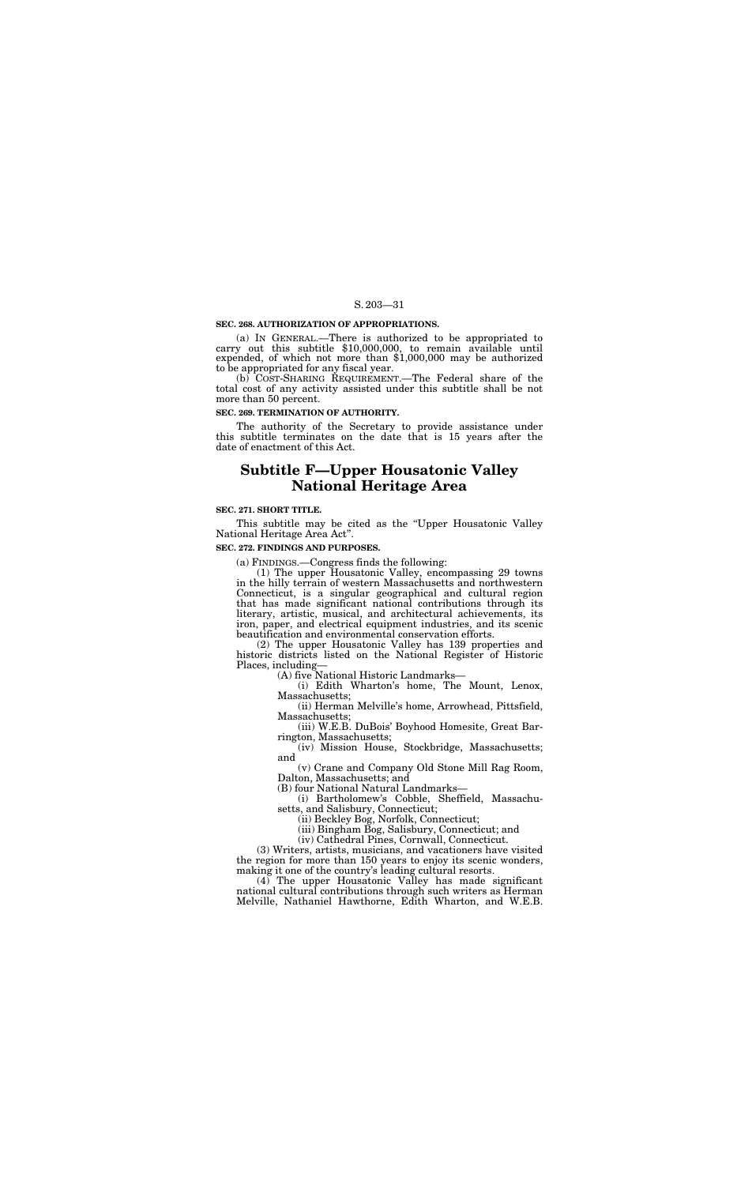#### **SEC. 268. AUTHORIZATION OF APPROPRIATIONS.**

(a) IN GENERAL.—There is authorized to be appropriated to carry out this subtitle \$10,000,000, to remain available until expended, of which not more than \$1,000,000 may be authorized to be appropriated for any fiscal year.

(b) COST-SHARING REQUIREMENT.—The Federal share of the total cost of any activity assisted under this subtitle shall be not more than 50 percent.

This subtitle may be cited as the "Upper Housatonic Valley" National Heritage Area Act''.

#### **SEC. 269. TERMINATION OF AUTHORITY.**

The authority of the Secretary to provide assistance under this subtitle terminates on the date that is 15 years after the date of enactment of this Act.

# **Subtitle F—Upper Housatonic Valley National Heritage Area**

# **SEC. 271. SHORT TITLE.**

#### **SEC. 272. FINDINGS AND PURPOSES.**

(a) FINDINGS.—Congress finds the following:

(1) The upper Housatonic Valley, encompassing 29 towns in the hilly terrain of western Massachusetts and northwestern Connecticut, is a singular geographical and cultural region that has made significant national contributions through its literary, artistic, musical, and architectural achievements, its iron, paper, and electrical equipment industries, and its scenic beautification and environmental conservation efforts.

(2) The upper Housatonic Valley has 139 properties and historic districts listed on the National Register of Historic Places, including—

(A) five National Historic Landmarks—

(i) Edith Wharton's home, The Mount, Lenox, Massachusetts;

(ii) Herman Melville's home, Arrowhead, Pittsfield, Massachusetts;

(iii) W.E.B. DuBois' Boyhood Homesite, Great Barrington, Massachusetts;

(iv) Mission House, Stockbridge, Massachusetts; and

(v) Crane and Company Old Stone Mill Rag Room, Dalton, Massachusetts; and

(B) four National Natural Landmarks—

(i) Bartholomew's Cobble, Sheffield, Massachusetts, and Salisbury, Connecticut;

(ii) Beckley Bog, Norfolk, Connecticut;

(iii) Bingham Bog, Salisbury, Connecticut; and

(iv) Cathedral Pines, Cornwall, Connecticut.

(3) Writers, artists, musicians, and vacationers have visited the region for more than 150 years to enjoy its scenic wonders, making it one of the country's leading cultural resorts.

(4) The upper Housatonic Valley has made significant national cultural contributions through such writers as Herman Melville, Nathaniel Hawthorne, Edith Wharton, and W.E.B.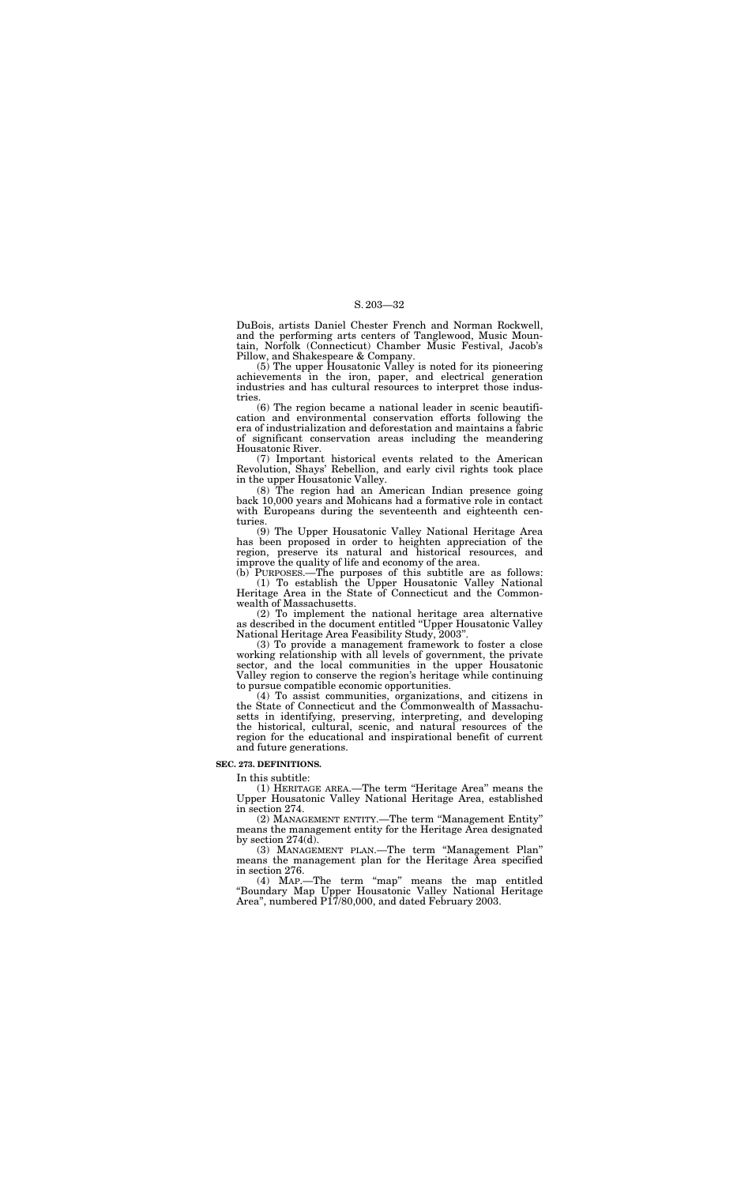DuBois, artists Daniel Chester French and Norman Rockwell, and the performing arts centers of Tanglewood, Music Mountain, Norfolk (Connecticut) Chamber Music Festival, Jacob's Pillow, and Shakespeare & Company.

(5) The upper Housatonic Valley is noted for its pioneering achievements in the iron, paper, and electrical generation industries and has cultural resources to interpret those industries.

(6) The region became a national leader in scenic beautification and environmental conservation efforts following the era of industrialization and deforestation and maintains a fabric of significant conservation areas including the meandering Housatonic River.

(7) Important historical events related to the American Revolution, Shays' Rebellion, and early civil rights took place in the upper Housatonic Valley.

(8) The region had an American Indian presence going back 10,000 years and Mohicans had a formative role in contact with Europeans during the seventeenth and eighteenth centuries.

(9) The Upper Housatonic Valley National Heritage Area has been proposed in order to heighten appreciation of the region, preserve its natural and historical resources, and improve the quality of life and economy of the area.

(1) HERITAGE AREA.—The term ''Heritage Area'' means the Upper Housatonic Valley National Heritage Area, established in section 274.<br>(2) MANAGEMENT ENTITY.—The term "Management Entity"

means the management entity for the Heritage Area designated by section 274(d).

(b) PURPOSES.—The purposes of this subtitle are as follows: (1) To establish the Upper Housatonic Valley National Heritage Area in the State of Connecticut and the Commonwealth of Massachusetts.

(2) To implement the national heritage area alternative as described in the document entitled ''Upper Housatonic Valley National Heritage Area Feasibility Study, 2003''.

(3) To provide a management framework to foster a close working relationship with all levels of government, the private sector, and the local communities in the upper Housatonic Valley region to conserve the region's heritage while continuing to pursue compatible economic opportunities.

(4) To assist communities, organizations, and citizens in the State of Connecticut and the Commonwealth of Massachusetts in identifying, preserving, interpreting, and developing the historical, cultural, scenic, and natural resources of the region for the educational and inspirational benefit of current and future generations.

#### **SEC. 273. DEFINITIONS.**

In this subtitle:

(3) MANAGEMENT PLAN.—The term ''Management Plan'' means the management plan for the Heritage Area specified in section 276.

(4) MAP.—The term "map" means the map entitled ''Boundary Map Upper Housatonic Valley National Heritage Area", numbered P17/80,000, and dated February 2003.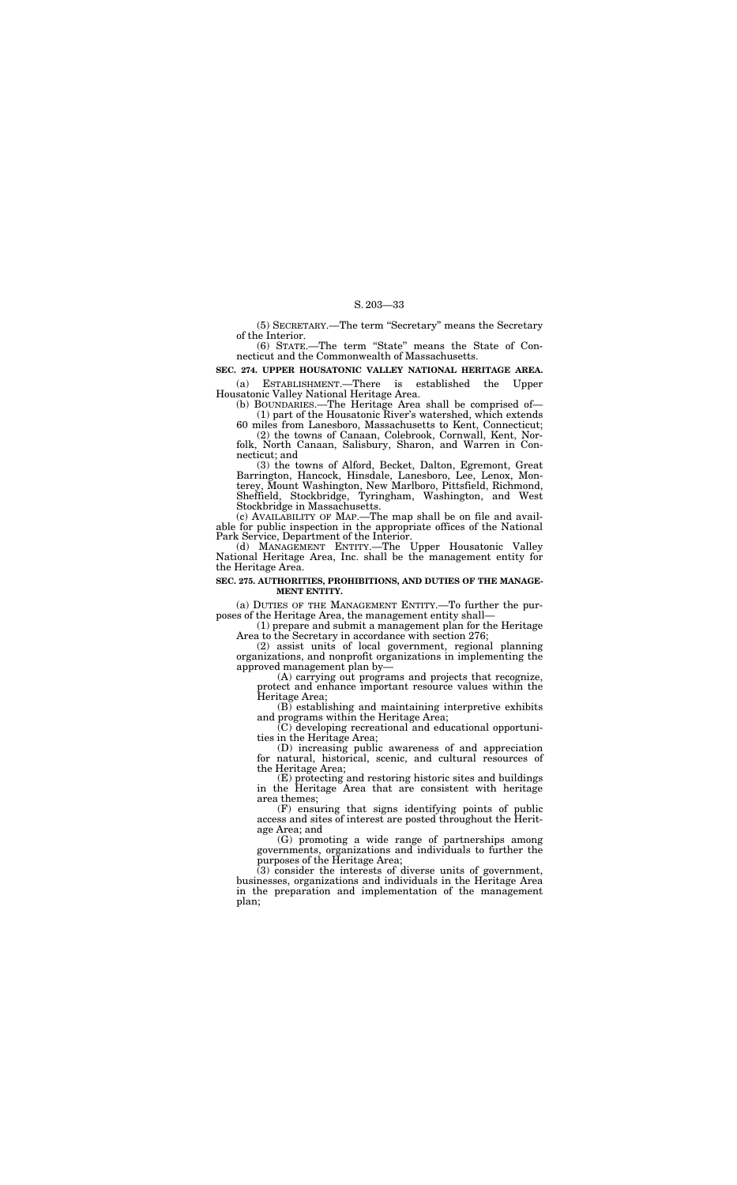(5) SECRETARY.—The term ''Secretary'' means the Secretary of the Interior.

(6) STATE.—The term ''State'' means the State of Connecticut and the Commonwealth of Massachusetts.

#### **SEC. 274. UPPER HOUSATONIC VALLEY NATIONAL HERITAGE AREA.**

(a) ESTABLISHMENT.—There is established the Upper Housatonic Valley National Heritage Area.

(b) BOUNDARIES.—The Heritage Area shall be comprised of— (1) part of the Housatonic River's watershed, which extends

60 miles from Lanesboro, Massachusetts to Kent, Connecticut; (2) the towns of Canaan, Colebrook, Cornwall, Kent, Nor-

folk, North Canaan, Salisbury, Sharon, and Warren in Connecticut; and

(3) the towns of Alford, Becket, Dalton, Egremont, Great Barrington, Hancock, Hinsdale, Lanesboro, Lee, Lenox, Monterey, Mount Washington, New Marlboro, Pittsfield, Richmond, Sheffield, Stockbridge, Tyringham, Washington, and West Stockbridge in Massachusetts.

 $(A)$  carrying out programs and projects that recognize, protect and enhance important resource values within the Heritage Area;

(c) AVAILABILITY OF MAP.—The map shall be on file and available for public inspection in the appropriate offices of the National Park Service, Department of the Interior.

(d) MANAGEMENT ENTITY.—The Upper Housatonic Valley National Heritage Area, Inc. shall be the management entity for the Heritage Area.

# **SEC. 275. AUTHORITIES, PROHIBITIONS, AND DUTIES OF THE MANAGE-MENT ENTITY.**

(a) DUTIES OF THE MANAGEMENT ENTITY.—To further the pur-

poses of the Heritage Area, the management entity shall— (1) prepare and submit a management plan for the Heritage Area to the Secretary in accordance with section 276;

(2) assist units of local government, regional planning organizations, and nonprofit organizations in implementing the

(B) establishing and maintaining interpretive exhibits and programs within the Heritage Area;

(C) developing recreational and educational opportunities in the Heritage Area;

(D) increasing public awareness of and appreciation for natural, historical, scenic, and cultural resources of the Heritage Area;

(E) protecting and restoring historic sites and buildings in the Heritage Area that are consistent with heritage area themes;

(F) ensuring that signs identifying points of public access and sites of interest are posted throughout the Heritage Area; and

(G) promoting a wide range of partnerships among governments, organizations and individuals to further the purposes of the Heritage Area;

(3) consider the interests of diverse units of government, businesses, organizations and individuals in the Heritage Area in the preparation and implementation of the management plan;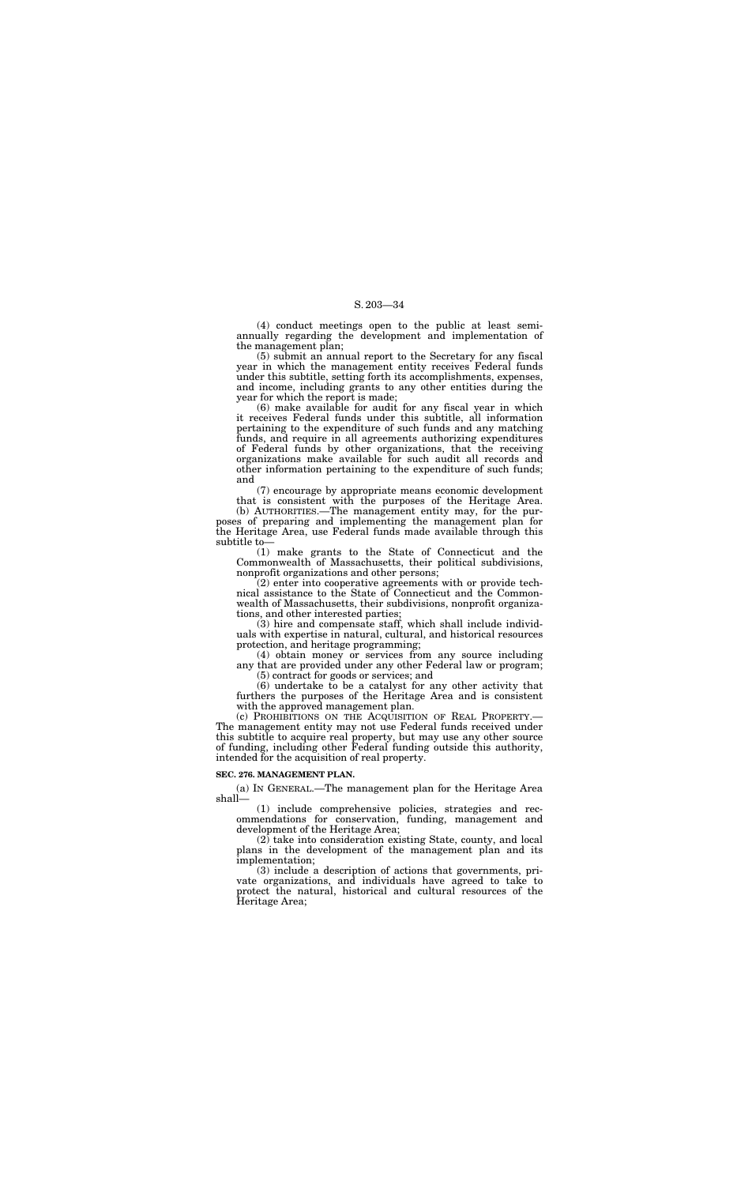(4) conduct meetings open to the public at least semiannually regarding the development and implementation of the management plan;

(5) submit an annual report to the Secretary for any fiscal year in which the management entity receives Federal funds under this subtitle, setting forth its accomplishments, expenses, and income, including grants to any other entities during the year for which the report is made;

(6) make available for audit for any fiscal year in which it receives Federal funds under this subtitle, all information pertaining to the expenditure of such funds and any matching funds, and require in all agreements authorizing expenditures of Federal funds by other organizations, that the receiving organizations make available for such audit all records and other information pertaining to the expenditure of such funds; and

(7) encourage by appropriate means economic development that is consistent with the purposes of the Heritage Area.

(b) AUTHORITIES.—The management entity may, for the purposes of preparing and implementing the management plan for the Heritage Area, use Federal funds made available through this subtitle to—

(1) make grants to the State of Connecticut and the Commonwealth of Massachusetts, their political subdivisions, nonprofit organizations and other persons;

(2) enter into cooperative agreements with or provide technical assistance to the State of Connecticut and the Commonwealth of Massachusetts, their subdivisions, nonprofit organizations, and other interested parties;

(3) hire and compensate staff, which shall include individuals with expertise in natural, cultural, and historical resources protection, and heritage programming;

(4) obtain money or services from any source including any that are provided under any other Federal law or program; (5) contract for goods or services; and

(6) undertake to be a catalyst for any other activity that furthers the purposes of the Heritage Area and is consistent with the approved management plan.

(c) PROHIBITIONS ON THE ACQUISITION OF REAL PROPERTY.— The management entity may not use Federal funds received under this subtitle to acquire real property, but may use any other source of funding, including other Federal funding outside this authority, intended for the acquisition of real property.

# **SEC. 276. MANAGEMENT PLAN.**

(a) IN GENERAL.—The management plan for the Heritage Area shall—

(1) include comprehensive policies, strategies and recommendations for conservation, funding, management and development of the Heritage Area;

(2) take into consideration existing State, county, and local plans in the development of the management plan and its implementation;

(3) include a description of actions that governments, private organizations, and individuals have agreed to take to protect the natural, historical and cultural resources of the Heritage Area;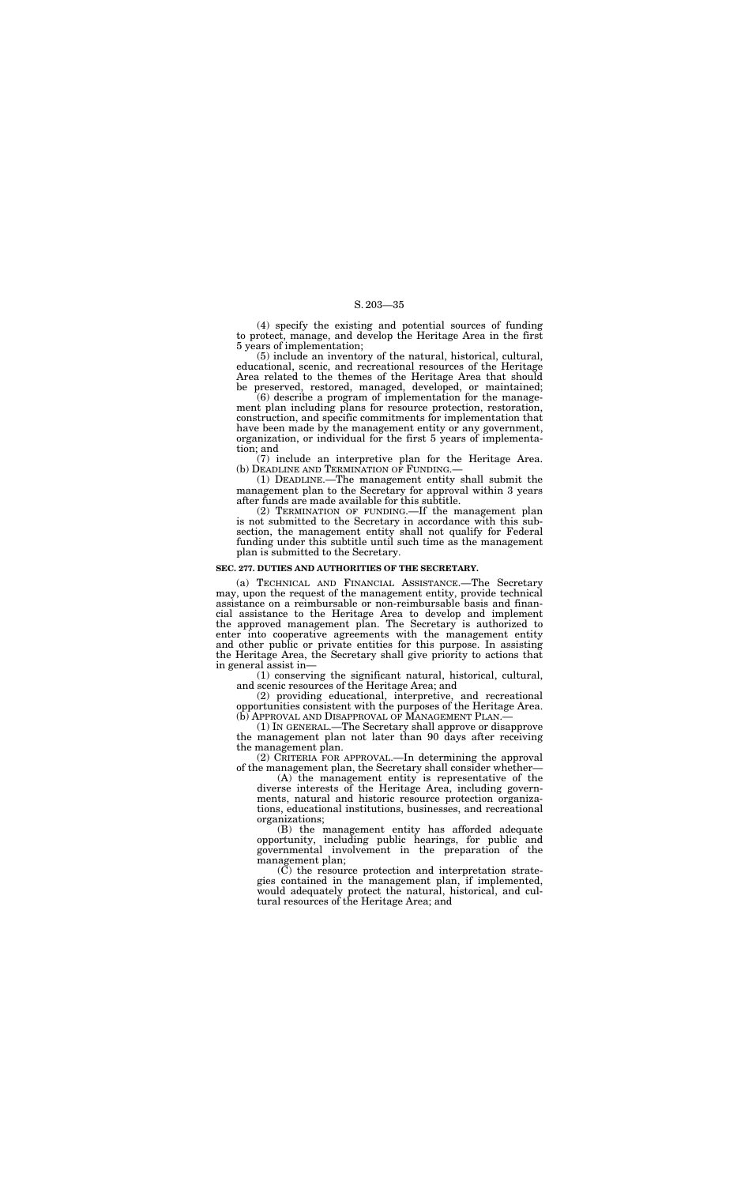(4) specify the existing and potential sources of funding to protect, manage, and develop the Heritage Area in the first 5 years of implementation;

(5) include an inventory of the natural, historical, cultural, educational, scenic, and recreational resources of the Heritage Area related to the themes of the Heritage Area that should be preserved, restored, managed, developed, or maintained;

(6) describe a program of implementation for the management plan including plans for resource protection, restoration, construction, and specific commitments for implementation that have been made by the management entity or any government, organization, or individual for the first 5 years of implementation; and

(7) include an interpretive plan for the Heritage Area. (b) DEADLINE AND TERMINATION OF FUNDING.—

(1) DEADLINE.—The management entity shall submit the management plan to the Secretary for approval within 3 years after funds are made available for this subtitle.

(2) TERMINATION OF FUNDING.—If the management plan is not submitted to the Secretary in accordance with this subsection, the management entity shall not qualify for Federal funding under this subtitle until such time as the management plan is submitted to the Secretary.

#### **SEC. 277. DUTIES AND AUTHORITIES OF THE SECRETARY.**

 $(\tilde{C})$  the resource protection and interpretation strategies contained in the management plan, if implemented, would adequately protect the natural, historical, and cultural resources of the Heritage Area; and

(a) TECHNICAL AND FINANCIAL ASSISTANCE.—The Secretary may, upon the request of the management entity, provide technical assistance on a reimbursable or non-reimbursable basis and financial assistance to the Heritage Area to develop and implement the approved management plan. The Secretary is authorized to enter into cooperative agreements with the management entity and other public or private entities for this purpose. In assisting the Heritage Area, the Secretary shall give priority to actions that in general assist in—

(1) conserving the significant natural, historical, cultural, and scenic resources of the Heritage Area; and

(2) providing educational, interpretive, and recreational opportunities consistent with the purposes of the Heritage Area. (b) APPROVAL AND DISAPPROVAL OF MANAGEMENT PLAN.—

(1) IN GENERAL.—The Secretary shall approve or disapprove the management plan not later than 90 days after receiving the management plan.

(2) CRITERIA FOR APPROVAL.—In determining the approval of the management plan, the Secretary shall consider whether—

(A) the management entity is representative of the diverse interests of the Heritage Area, including governments, natural and historic resource protection organizations, educational institutions, businesses, and recreational organizations;

(B) the management entity has afforded adequate opportunity, including public hearings, for public and governmental involvement in the preparation of the management plan;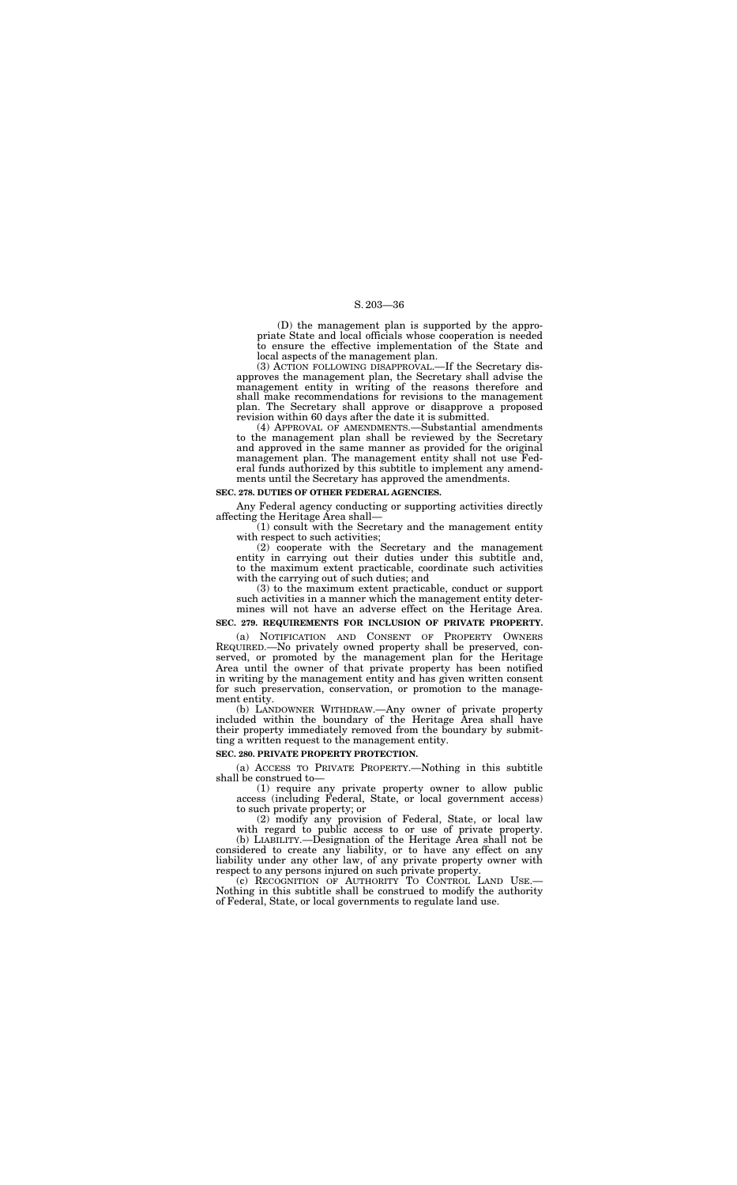(D) the management plan is supported by the appropriate State and local officials whose cooperation is needed to ensure the effective implementation of the State and local aspects of the management plan.

(3) ACTION FOLLOWING DISAPPROVAL.—If the Secretary disapproves the management plan, the Secretary shall advise the management entity in writing of the reasons therefore and shall make recommendations for revisions to the management plan. The Secretary shall approve or disapprove a proposed revision within 60 days after the date it is submitted.

 $(1)$  consult with the Secretary and the management entity with respect to such activities;

(4) APPROVAL OF AMENDMENTS.—Substantial amendments to the management plan shall be reviewed by the Secretary and approved in the same manner as provided for the original management plan. The management entity shall not use Federal funds authorized by this subtitle to implement any amendments until the Secretary has approved the amendments.

#### **SEC. 278. DUTIES OF OTHER FEDERAL AGENCIES.**

Any Federal agency conducting or supporting activities directly affecting the Heritage Area shall—

(2) modify any provision of Federal, State, or local law with regard to public access to or use of private property.

(2) cooperate with the Secretary and the management entity in carrying out their duties under this subtitle and, to the maximum extent practicable, coordinate such activities with the carrying out of such duties; and

(3) to the maximum extent practicable, conduct or support such activities in a manner which the management entity determines will not have an adverse effect on the Heritage Area.

#### **SEC. 279. REQUIREMENTS FOR INCLUSION OF PRIVATE PROPERTY.**

(a) NOTIFICATION AND CONSENT OF PROPERTY OWNERS REQUIRED.—No privately owned property shall be preserved, conserved, or promoted by the management plan for the Heritage Area until the owner of that private property has been notified in writing by the management entity and has given written consent for such preservation, conservation, or promotion to the management entity.

(b) LANDOWNER WITHDRAW.—Any owner of private property included within the boundary of the Heritage Area shall have their property immediately removed from the boundary by submitting a written request to the management entity.

# **SEC. 280. PRIVATE PROPERTY PROTECTION.**

(a) ACCESS TO PRIVATE PROPERTY.—Nothing in this subtitle shall be construed to—

(1) require any private property owner to allow public access (including Federal, State, or local government access) to such private property; or

(b) LIABILITY.—Designation of the Heritage Area shall not be considered to create any liability, or to have any effect on any liability under any other law, of any private property owner with respect to any persons injured on such private property.

(c) RECOGNITION OF AUTHORITY TO CONTROL LAND USE.— Nothing in this subtitle shall be construed to modify the authority of Federal, State, or local governments to regulate land use.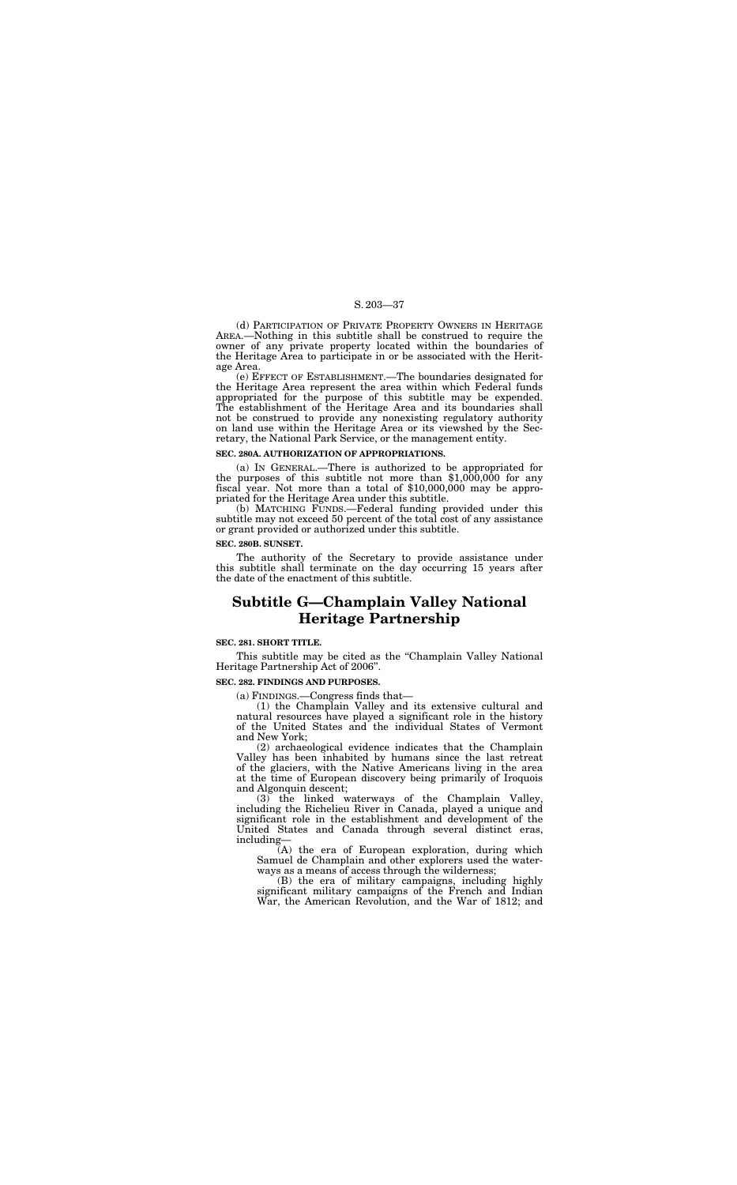(d) PARTICIPATION OF PRIVATE PROPERTY OWNERS IN HERITAGE AREA.—Nothing in this subtitle shall be construed to require the owner of any private property located within the boundaries of the Heritage Area to participate in or be associated with the Heritage Area.

(e) EFFECT OF ESTABLISHMENT.—The boundaries designated for the Heritage Area represent the area within which Federal funds appropriated for the purpose of this subtitle may be expended. The establishment of the Heritage Area and its boundaries shall not be construed to provide any nonexisting regulatory authority on land use within the Heritage Area or its viewshed by the Secretary, the National Park Service, or the management entity.

### **SEC. 280A. AUTHORIZATION OF APPROPRIATIONS.**

This subtitle may be cited as the "Champlain Valley National" Heritage Partnership Act of 2006''.

(a) IN GENERAL.—There is authorized to be appropriated for the purposes of this subtitle not more than \$1,000,000 for any fiscal year. Not more than a total of \$10,000,000 may be appropriated for the Heritage Area under this subtitle.

(b) MATCHING FUNDS.—Federal funding provided under this subtitle may not exceed 50 percent of the total cost of any assistance or grant provided or authorized under this subtitle.

## **SEC. 280B. SUNSET.**

(B) the era of military campaigns, including highly significant military campaigns of the French and Indian War, the American Revolution, and the War of 1812; and

The authority of the Secretary to provide assistance under this subtitle shall terminate on the day occurring 15 years after the date of the enactment of this subtitle.

# **Subtitle G—Champlain Valley National Heritage Partnership**

## **SEC. 281. SHORT TITLE.**

### **SEC. 282. FINDINGS AND PURPOSES.**

(a) FINDINGS.—Congress finds that—

(1) the Champlain Valley and its extensive cultural and natural resources have played a significant role in the history of the United States and the individual States of Vermont and New York;

(2) archaeological evidence indicates that the Champlain Valley has been inhabited by humans since the last retreat of the glaciers, with the Native Americans living in the area at the time of European discovery being primarily of Iroquois and Algonquin descent;

(3) the linked waterways of the Champlain Valley, including the Richelieu River in Canada, played a unique and significant role in the establishment and development of the United States and Canada through several distinct eras, including—

(A) the era of European exploration, during which Samuel de Champlain and other explorers used the waterways as a means of access through the wilderness;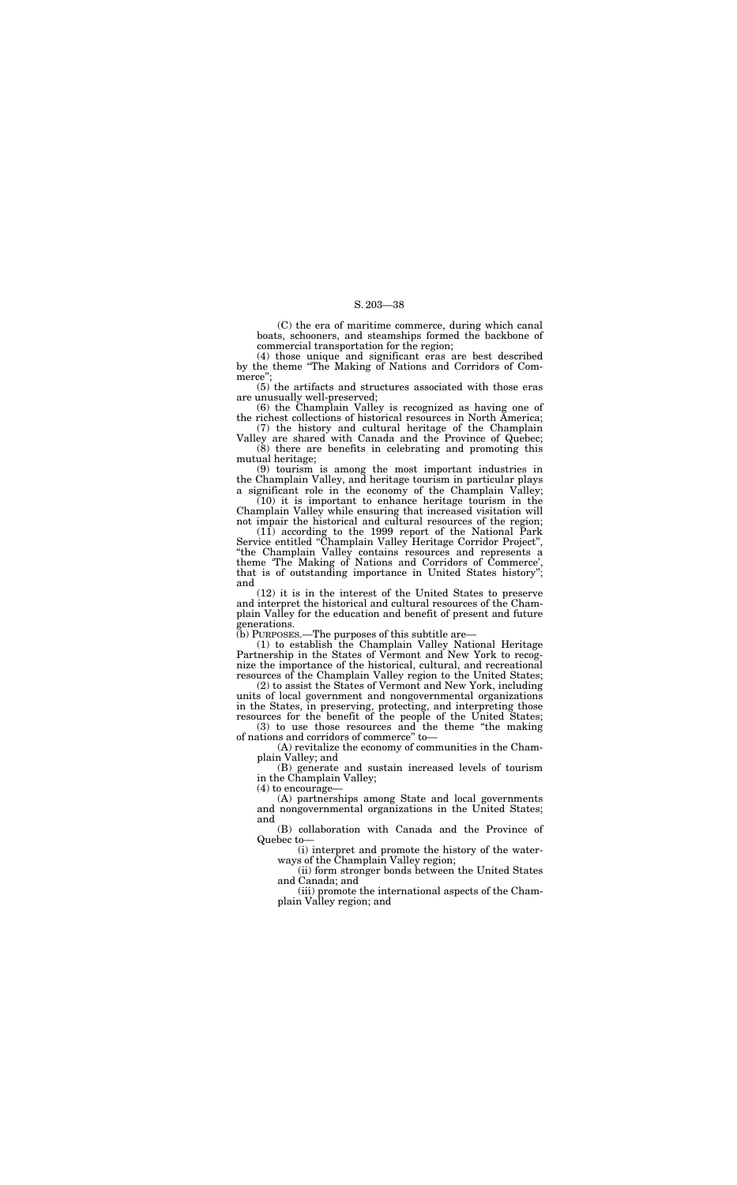(4) those unique and significant eras are best described by the theme ''The Making of Nations and Corridors of Commerce";

(C) the era of maritime commerce, during which canal boats, schooners, and steamships formed the backbone of commercial transportation for the region;

(5) the artifacts and structures associated with those eras are unusually well-preserved;

(6) the Champlain Valley is recognized as having one of the richest collections of historical resources in North America;

(7) the history and cultural heritage of the Champlain Valley are shared with Canada and the Province of Quebec; (8) there are benefits in celebrating and promoting this

mutual heritage;

(9) tourism is among the most important industries in the Champlain Valley, and heritage tourism in particular plays a significant role in the economy of the Champlain Valley;

(10) it is important to enhance heritage tourism in the Champlain Valley while ensuring that increased visitation will not impair the historical and cultural resources of the region;

(11) according to the 1999 report of the National Park Service entitled ''Champlain Valley Heritage Corridor Project'', ''the Champlain Valley contains resources and represents a theme 'The Making of Nations and Corridors of Commerce', that is of outstanding importance in United States history''; and

(12) it is in the interest of the United States to preserve and interpret the historical and cultural resources of the Champlain Valley for the education and benefit of present and future generations.

(b) PURPOSES.—The purposes of this subtitle are—

(1) to establish the Champlain Valley National Heritage Partnership in the States of Vermont and New York to recognize the importance of the historical, cultural, and recreational resources of the Champlain Valley region to the United States;

(2) to assist the States of Vermont and New York, including units of local government and nongovernmental organizations in the States, in preserving, protecting, and interpreting those resources for the benefit of the people of the United States;

(3) to use those resources and the theme ''the making of nations and corridors of commerce'' to—

(A) revitalize the economy of communities in the Champlain Valley; and

(B) generate and sustain increased levels of tourism in the Champlain Valley;

(4) to encourage—

(A) partnerships among State and local governments and nongovernmental organizations in the United States; and

(B) collaboration with Canada and the Province of Quebec to—

(i) interpret and promote the history of the waterways of the Champlain Valley region;

(ii) form stronger bonds between the United States and Canada; and

(iii) promote the international aspects of the Champlain Valley region; and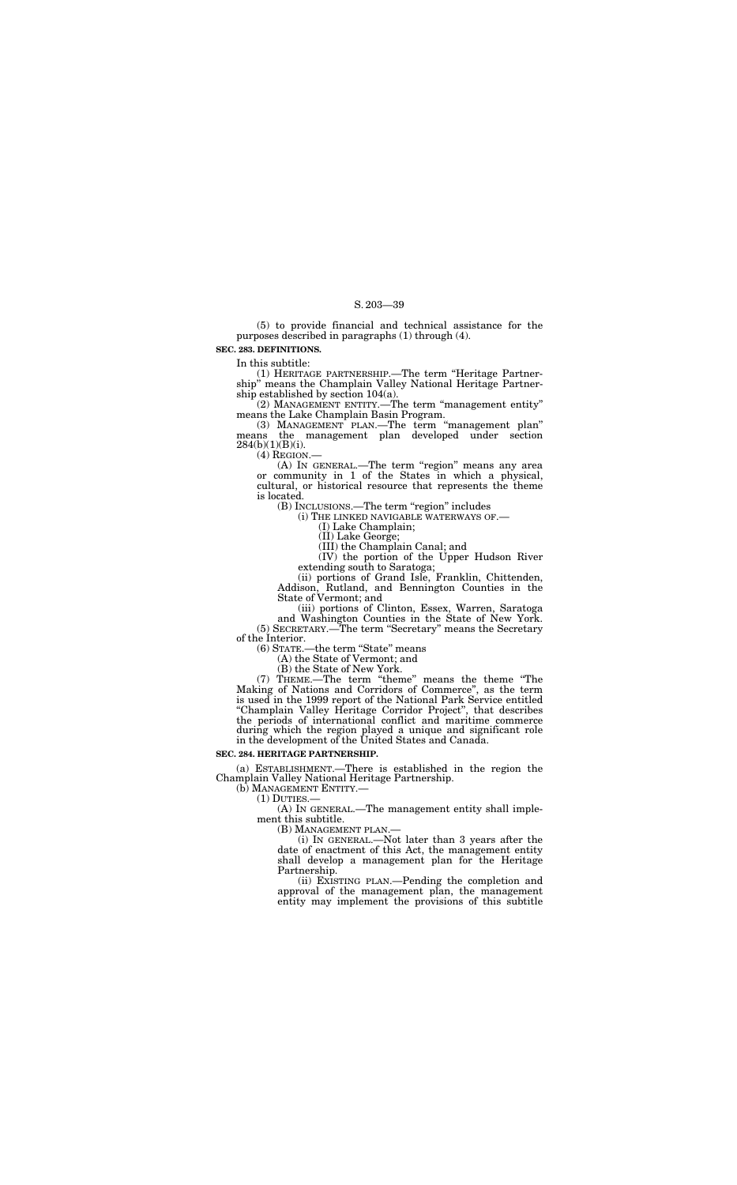(5) to provide financial and technical assistance for the purposes described in paragraphs (1) through (4).

(1) HERITAGE PARTNERSHIP.—The term ''Heritage Partnership'' means the Champlain Valley National Heritage Partnership established by section  $104(a)$ .<br>(2) MANAGEMENT ENTITY.—The term "management entity"

## **SEC. 283. DEFINITIONS.**

In this subtitle:

(2) MANAGEMENT ENTITY.—The term ''management entity'' means the Lake Champlain Basin Program.

(3) MANAGEMENT PLAN.—The term ''management plan'' means the management plan developed under section 284(b)(1)(B)(i).

(4) REGION.— (A) IN GENERAL.—The term ''region'' means any area or community in 1 of the States in which a physical, cultural, or historical resource that represents the theme is located.

(B) INCLUSIONS.—The term ''region'' includes

(i) THE LINKED NAVIGABLE WATERWAYS OF.— (I) Lake Champlain;

(II) Lake George;

(III) the Champlain Canal; and

(IV) the portion of the Upper Hudson River extending south to Saratoga;

(b) MANAGEMENT ENTITY.—<br>
(1) DUTIES.—<br>
(A) IN GENERAL.—The management entity shall implement this subtitle.

(ii) portions of Grand Isle, Franklin, Chittenden, Addison, Rutland, and Bennington Counties in the State of Vermont; and

(iii) portions of Clinton, Essex, Warren, Saratoga and Washington Counties in the State of New York. (5) SECRETARY.—The term ''Secretary'' means the Secretary of the Interior.

(6) STATE.—the term ''State'' means

(A) the State of Vermont; and

(B) the State of New York.

(7) THEME.—The term ''theme'' means the theme ''The Making of Nations and Corridors of Commerce'', as the term is used in the 1999 report of the National Park Service entitled ''Champlain Valley Heritage Corridor Project'', that describes the periods of international conflict and maritime commerce during which the region played a unique and significant role in the development of the United States and Canada.

### **SEC. 284. HERITAGE PARTNERSHIP.**

(a) ESTABLISHMENT.—There is established in the region the Champlain Valley National Heritage Partnership.

(B) MANAGEMENT PLAN.—

(i) IN GENERAL.—Not later than 3 years after the date of enactment of this Act, the management entity shall develop a management plan for the Heritage Partnership.

(ii) EXISTING PLAN.—Pending the completion and approval of the management plan, the management entity may implement the provisions of this subtitle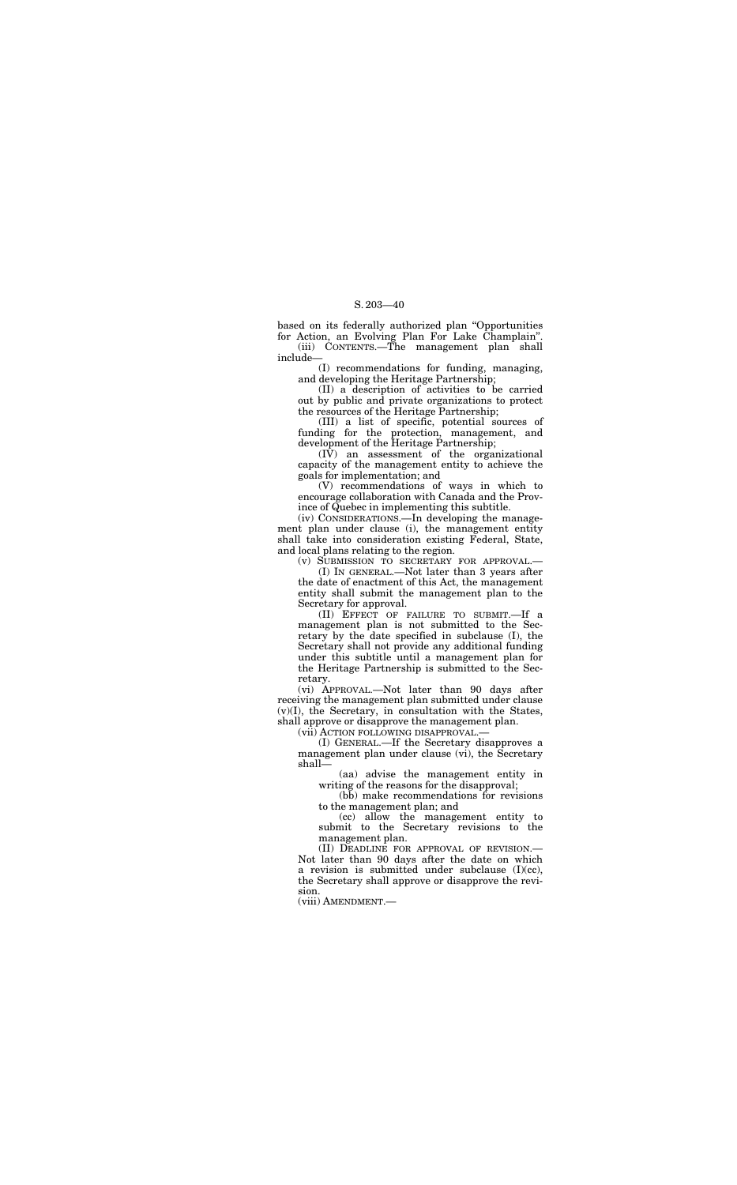based on its federally authorized plan ''Opportunities for Action, an Evolving Plan For Lake Champlain''. (iii) CONTENTS.—The management plan shall include—

(I) recommendations for funding, managing, and developing the Heritage Partnership;

(II) a description of activities to be carried out by public and private organizations to protect the resources of the Heritage Partnership;

(III) a list of specific, potential sources of funding for the protection, management, and development of the Heritage Partnership;

(IV) an assessment of the organizational capacity of the management entity to achieve the goals for implementation; and

(V) recommendations of ways in which to encourage collaboration with Canada and the Province of Quebec in implementing this subtitle.

(iv) CONSIDERATIONS.—In developing the management plan under clause (i), the management entity shall take into consideration existing Federal, State, and local plans relating to the region.

(v) SUBMISSION TO SECRETARY FOR APPROVAL.— (I) IN GENERAL.—Not later than 3 years after

the date of enactment of this Act, the management entity shall submit the management plan to the Secretary for approval.

(II) EFFECT OF FAILURE TO SUBMIT.—If a management plan is not submitted to the Secretary by the date specified in subclause (I), the Secretary shall not provide any additional funding under this subtitle until a management plan for the Heritage Partnership is submitted to the Secretary.

(vi) APPROVAL.—Not later than 90 days after receiving the management plan submitted under clause (v)(I), the Secretary, in consultation with the States, shall approve or disapprove the management plan.

(vii) ACTION FOLLOWING DISAPPROVAL.—

(I) GENERAL.—If the Secretary disapproves a management plan under clause (vi), the Secretary shall—

(aa) advise the management entity in writing of the reasons for the disapproval;

(bb) make recommendations for revisions to the management plan; and

(cc) allow the management entity to submit to the Secretary revisions to the management plan.

(II) DEADLINE FOR APPROVAL OF REVISION.— Not later than 90 days after the date on which a revision is submitted under subclause (I)(cc), the Secretary shall approve or disapprove the revision.

(viii) AMENDMENT.—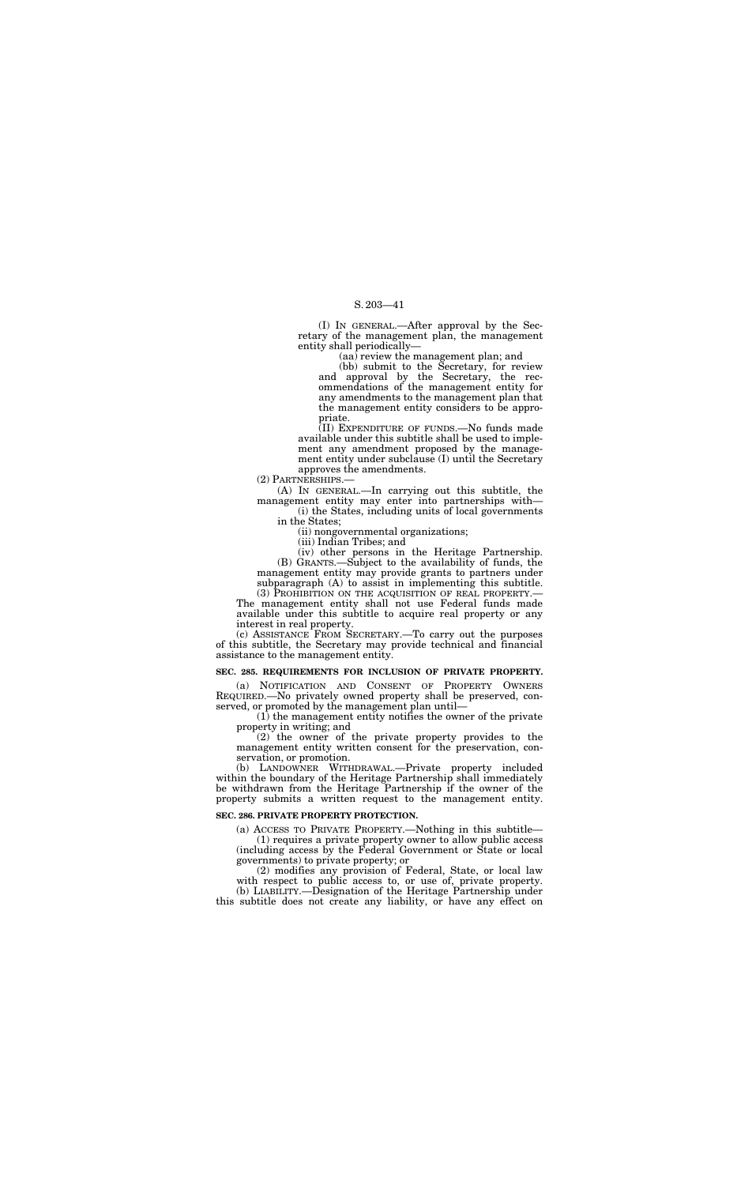(I) IN GENERAL.—After approval by the Secretary of the management plan, the management entity shall periodically—

(aa) review the management plan; and

(bb) submit to the Secretary, for review and approval by the Secretary, the recommendations of the management entity for any amendments to the management plan that the management entity considers to be appropriate.

(II) EXPENDITURE OF FUNDS.—No funds made available under this subtitle shall be used to implement any amendment proposed by the management entity under subclause (I) until the Secretary approves the amendments.

(2) PARTNERSHIPS.—

(A) IN GENERAL.—In carrying out this subtitle, the management entity may enter into partnerships with—

(i) the States, including units of local governments in the States;

(ii) nongovernmental organizations;

(iii) Indian Tribes; and

(iv) other persons in the Heritage Partnership.

(B) GRANTS.—Subject to the availability of funds, the management entity may provide grants to partners under subparagraph (A) to assist in implementing this subtitle.

(b) LANDOWNER WITHDRAWAL.-Private property included within the boundary of the Heritage Partnership shall immediately be withdrawn from the Heritage Partnership if the owner of the property submits a written request to the management entity.

(3) PROHIBITION ON THE ACQUISITION OF REAL PROPERTY.— The management entity shall not use Federal funds made available under this subtitle to acquire real property or any interest in real property.

(c) ASSISTANCE FROM SECRETARY.—To carry out the purposes of this subtitle, the Secretary may provide technical and financial assistance to the management entity.

#### **SEC. 285. REQUIREMENTS FOR INCLUSION OF PRIVATE PROPERTY.**

(a) NOTIFICATION AND CONSENT OF PROPERTY OWNERS REQUIRED.—No privately owned property shall be preserved, conserved, or promoted by the management plan until—

(1) the management entity notifies the owner of the private property in writing; and

(2) the owner of the private property provides to the management entity written consent for the preservation, conservation, or promotion.

#### **SEC. 286. PRIVATE PROPERTY PROTECTION.**

(a) ACCESS TO PRIVATE PROPERTY.—Nothing in this subtitle—

(1) requires a private property owner to allow public access (including access by the Federal Government or State or local governments) to private property; or

(2) modifies any provision of Federal, State, or local law with respect to public access to, or use of, private property. (b) LIABILITY.—Designation of the Heritage Partnership under this subtitle does not create any liability, or have any effect on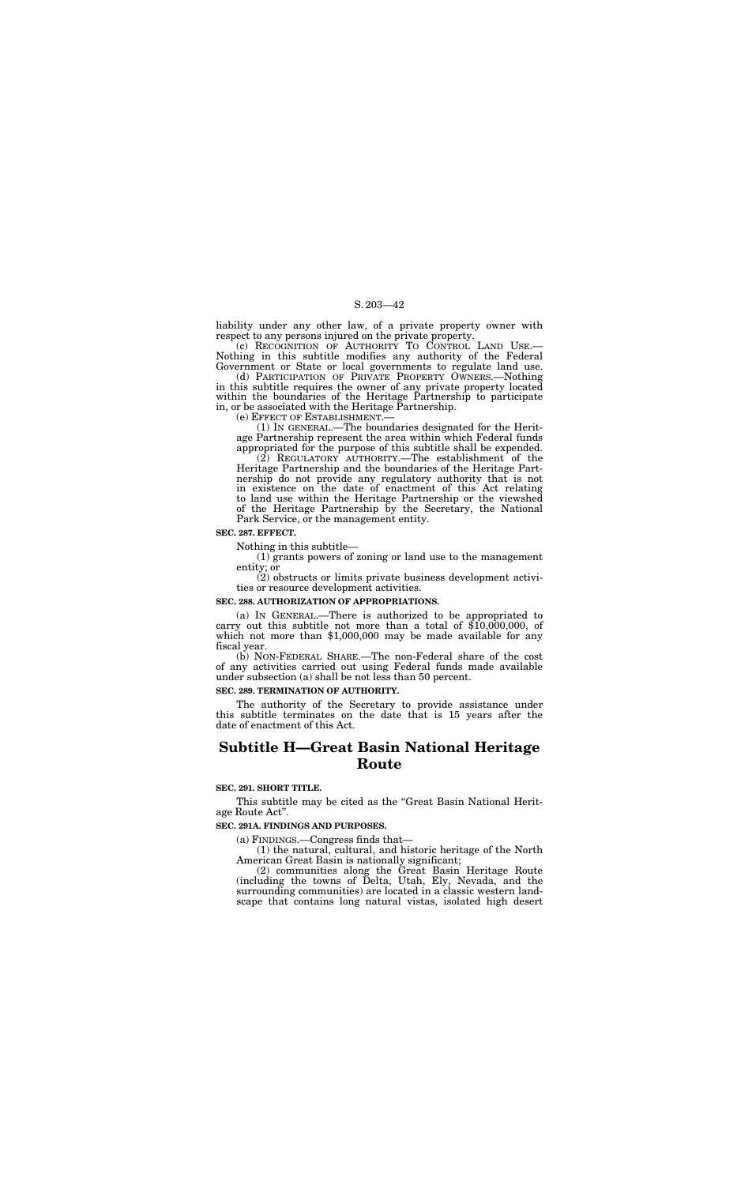liability under any other law, of a private property owner with respect to any persons injured on the private property.

(d) PARTICIPATION OF PRIVATE PROPERTY OWNERS.—Nothing in this subtitle requires the owner of any private property located within the boundaries of the Heritage Partnership to participate in, or be associated with the Heritage Partnership.<br>(e) EFFECT OF ESTABLISHMENT.—

(c) RECOGNITION OF AUTHORITY TO CONTROL LAND USE.— Nothing in this subtitle modifies any authority of the Federal Government or State or local governments to regulate land use.

 $(1)$  In GENERAL.—The boundaries designated for the Heritage Partnership represent the area within which Federal funds appropriated for the purpose of this subtitle shall be expended.

(2) REGULATORY AUTHORITY.—The establishment of the Heritage Partnership and the boundaries of the Heritage Partnership do not provide any regulatory authority that is not in existence on the date of enactment of this Act relating to land use within the Heritage Partnership or the viewshed of the Heritage Partnership by the Secretary, the National Park Service, or the management entity.

#### **SEC. 287. EFFECT.**

Nothing in this subtitle— (1) grants powers of zoning or land use to the management entity; or

(2) obstructs or limits private business development activities or resource development activities.

### **SEC. 288. AUTHORIZATION OF APPROPRIATIONS.**

(a) IN GENERAL.—There is authorized to be appropriated to carry out this subtitle not more than a total of \$10,000,000, of which not more than \$1,000,000 may be made available for any fiscal year.

(b) NON-FEDERAL SHARE.—The non-Federal share of the cost of any activities carried out using Federal funds made available under subsection (a) shall be not less than 50 percent.

## **SEC. 289. TERMINATION OF AUTHORITY.**

The authority of the Secretary to provide assistance under this subtitle terminates on the date that is 15 years after the date of enactment of this Act.

# **Subtitle H—Great Basin National Heritage Route**

## **SEC. 291. SHORT TITLE.**

This subtitle may be cited as the ''Great Basin National Heritage Route Act''.

#### **SEC. 291A. FINDINGS AND PURPOSES.**

(a) FINDINGS.—Congress finds that—

(1) the natural, cultural, and historic heritage of the North American Great Basin is nationally significant;

(2) communities along the Great Basin Heritage Route (including the towns of Delta, Utah, Ely, Nevada, and the surrounding communities) are located in a classic western landscape that contains long natural vistas, isolated high desert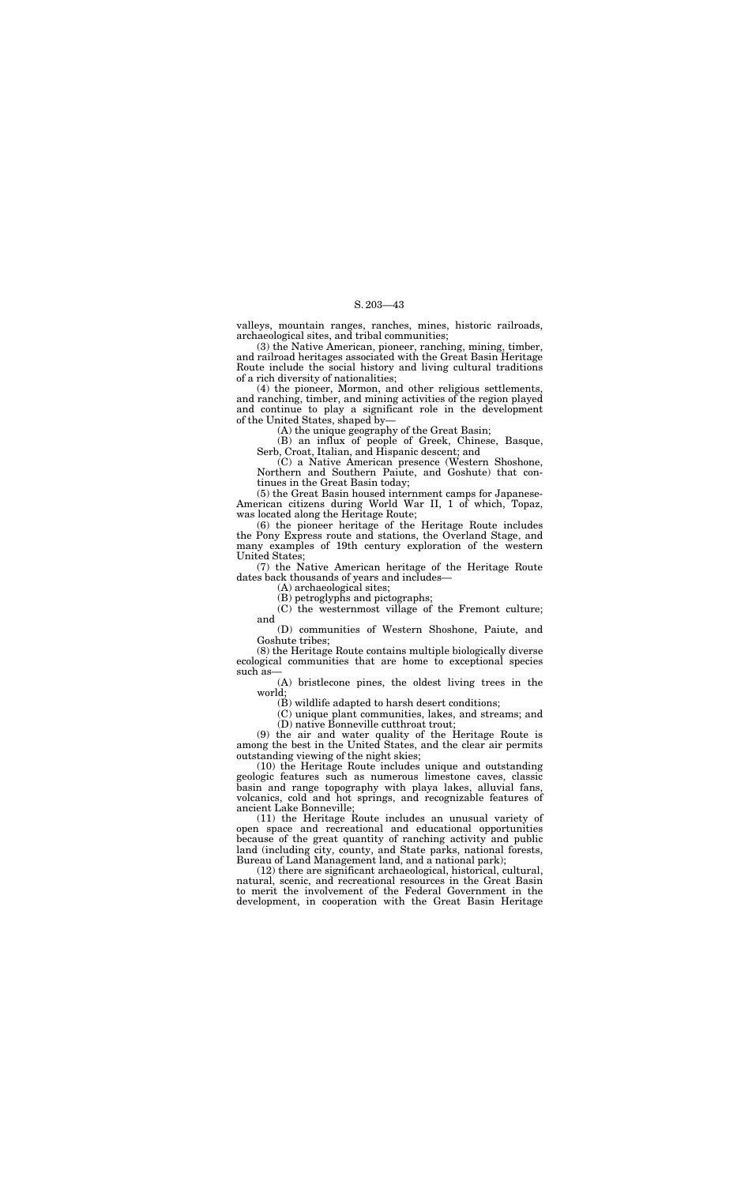valleys, mountain ranges, ranches, mines, historic railroads, archaeological sites, and tribal communities;

(3) the Native American, pioneer, ranching, mining, timber, and railroad heritages associated with the Great Basin Heritage Route include the social history and living cultural traditions of a rich diversity of nationalities;

(4) the pioneer, Mormon, and other religious settlements, and ranching, timber, and mining activities of the region played and continue to play a significant role in the development of the United States, shaped by—

(A) the unique geography of the Great Basin;

(7) the Native American heritage of the Heritage Route dates back thousands of years and includes-

(B) an influx of people of Greek, Chinese, Basque, Serb, Croat, Italian, and Hispanic descent; and

(8) the Heritage Route contains multiple biologically diverse ecological communities that are home to exceptional species such as-

(C) a Native American presence (Western Shoshone, Northern and Southern Paiute, and Goshute) that continues in the Great Basin today;

(5) the Great Basin housed internment camps for Japanese-American citizens during World War II, 1 of which, Topaz, was located along the Heritage Route;

(6) the pioneer heritage of the Heritage Route includes the Pony Express route and stations, the Overland Stage, and many examples of 19th century exploration of the western United States;

(A) archaeological sites;

(B) petroglyphs and pictographs;

(C) the westernmost village of the Fremont culture; and

(D) communities of Western Shoshone, Paiute, and Goshute tribes;

(A) bristlecone pines, the oldest living trees in the world;

(B) wildlife adapted to harsh desert conditions;

(C) unique plant communities, lakes, and streams; and (D) native Bonneville cutthroat trout;

(9) the air and water quality of the Heritage Route is among the best in the United States, and the clear air permits outstanding viewing of the night skies;

(10) the Heritage Route includes unique and outstanding geologic features such as numerous limestone caves, classic basin and range topography with playa lakes, alluvial fans, volcanics, cold and hot springs, and recognizable features of ancient Lake Bonneville;

(11) the Heritage Route includes an unusual variety of open space and recreational and educational opportunities because of the great quantity of ranching activity and public land (including city, county, and State parks, national forests, Bureau of Land Management land, and a national park);

(12) there are significant archaeological, historical, cultural, natural, scenic, and recreational resources in the Great Basin to merit the involvement of the Federal Government in the development, in cooperation with the Great Basin Heritage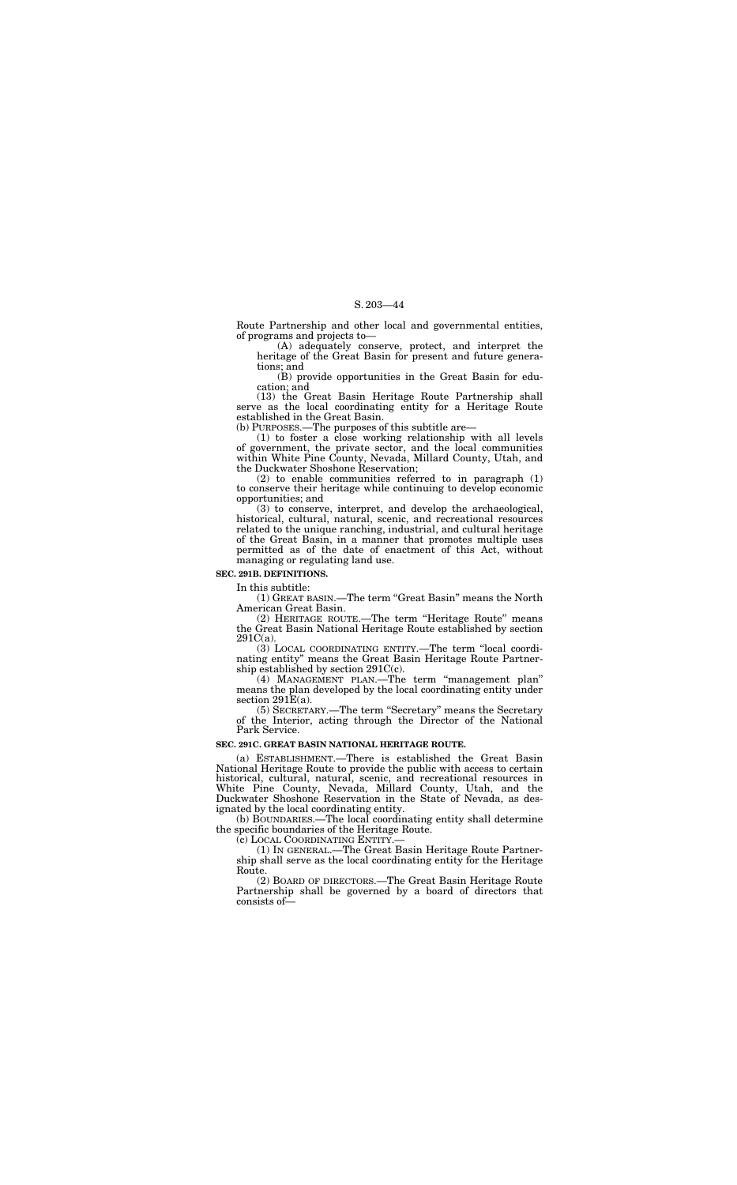Route Partnership and other local and governmental entities, of programs and projects to of programs and projects to— (A) adequately conserve, protect, and interpret the

(13) the Great Basin Heritage Route Partnership shall serve as the local coordinating entity for a Heritage Route established in the Great Basin.<br>
(b) PURPOSES.—The purposes of this subtitle are—

heritage of the Great Basin for present and future generations; and

(B) provide opportunities in the Great Basin for education; and

 $(1)$  to foster a close working relationship with all levels of government, the private sector, and the local communities within White Pine County, Nevada, Millard County, Utah, and the Duckwater Shoshone Reservation;

(2) to enable communities referred to in paragraph (1) to conserve their heritage while continuing to develop economic opportunities; and

(4) MANAGEMENT PLAN.—The term ''management plan'' means the plan developed by the local coordinating entity under section  $291E(a)$ .

(3) to conserve, interpret, and develop the archaeological, historical, cultural, natural, scenic, and recreational resources related to the unique ranching, industrial, and cultural heritage of the Great Basin, in a manner that promotes multiple uses permitted as of the date of enactment of this Act, without managing or regulating land use.

## **SEC. 291B. DEFINITIONS.**

In this subtitle:

(1) GREAT BASIN.—The term ''Great Basin'' means the North American Great Basin.

(2) HERITAGE ROUTE.—The term ''Heritage Route'' means the Great Basin National Heritage Route established by section 291C(a).

(3) LOCAL COORDINATING ENTITY.—The term ''local coordinating entity'' means the Great Basin Heritage Route Partnership established by section 291C(c).

(5) SECRETARY.—The term ''Secretary'' means the Secretary of the Interior, acting through the Director of the National Park Service.

### **SEC. 291C. GREAT BASIN NATIONAL HERITAGE ROUTE.**

(a) ESTABLISHMENT.—There is established the Great Basin National Heritage Route to provide the public with access to certain historical, cultural, natural, scenic, and recreational resources in White Pine County, Nevada, Millard County, Utah, and the Duckwater Shoshone Reservation in the State of Nevada, as designated by the local coordinating entity.

(b) BOUNDARIES.—The local coordinating entity shall determine the specific boundaries of the Heritage Route.

(c) LOCAL COORDINATING ENTITY.—

(1) IN GENERAL.—The Great Basin Heritage Route Partnership shall serve as the local coordinating entity for the Heritage Route.

(2) BOARD OF DIRECTORS.—The Great Basin Heritage Route Partnership shall be governed by a board of directors that consists of—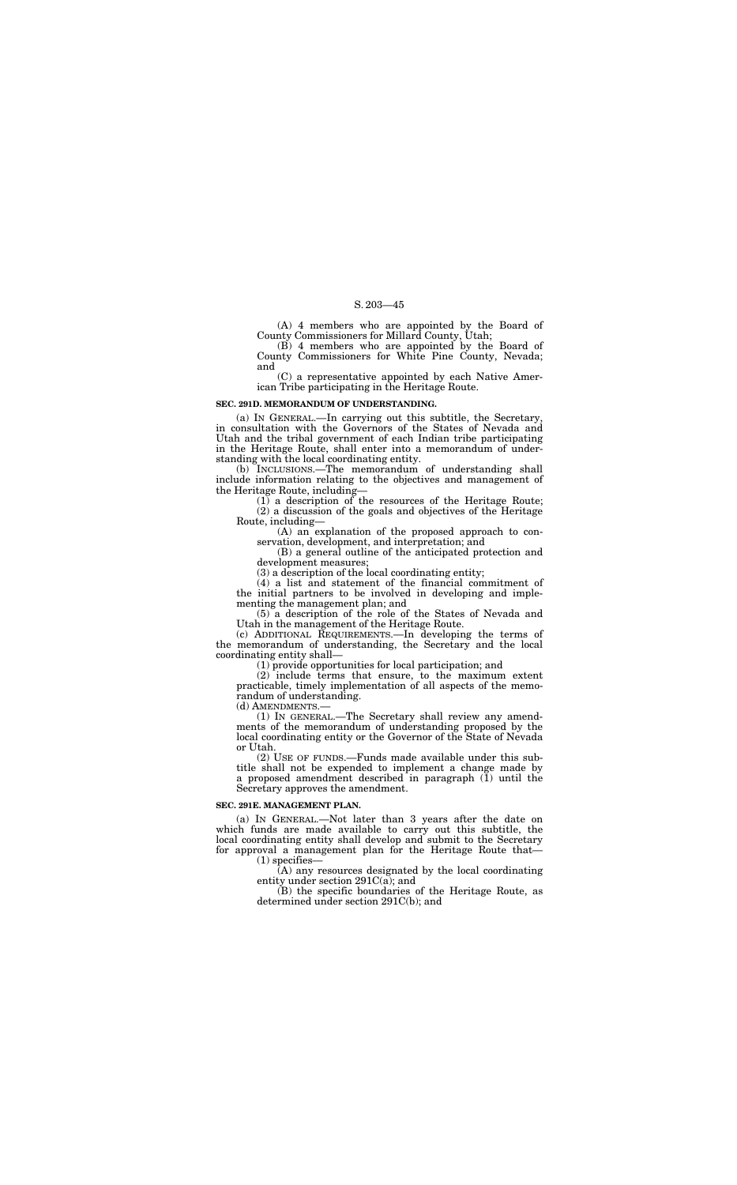(A) 4 members who are appointed by the Board of County Commissioners for Millard County, Utah;

(B) 4 members who are appointed by the Board of County Commissioners for White Pine County, Nevada; and

(C) a representative appointed by each Native American Tribe participating in the Heritage Route.

## **SEC. 291D. MEMORANDUM OF UNDERSTANDING.**

(a) IN GENERAL.—In carrying out this subtitle, the Secretary, in consultation with the Governors of the States of Nevada and Utah and the tribal government of each Indian tribe participating in the Heritage Route, shall enter into a memorandum of understanding with the local coordinating entity.

(b) INCLUSIONS.—The memorandum of understanding shall include information relating to the objectives and management of the Heritage Route, including—

(1) a description of the resources of the Heritage Route; (2) a discussion of the goals and objectives of the Heritage Route, including—

(A) an explanation of the proposed approach to conservation, development, and interpretation; and

(B) a general outline of the anticipated protection and development measures;

(3) a description of the local coordinating entity;

(4) a list and statement of the financial commitment of the initial partners to be involved in developing and implementing the management plan; and

(5) a description of the role of the States of Nevada and Utah in the management of the Heritage Route.

(c) ADDITIONAL REQUIREMENTS.—In developing the terms of the memorandum of understanding, the Secretary and the local coordinating entity shall—

(1) provide opportunities for local participation; and

(2) include terms that ensure, to the maximum extent practicable, timely implementation of all aspects of the memorandum of understanding.

(d) AMENDMENTS.—

(1) IN GENERAL.—The Secretary shall review any amendments of the memorandum of understanding proposed by the local coordinating entity or the Governor of the State of Nevada or Utah.

(2) USE OF FUNDS.—Funds made available under this subtitle shall not be expended to implement a change made by a proposed amendment described in paragraph (1) until the Secretary approves the amendment.

## **SEC. 291E. MANAGEMENT PLAN.**

(a) IN GENERAL.—Not later than 3 years after the date on which funds are made available to carry out this subtitle, the local coordinating entity shall develop and submit to the Secretary for approval a management plan for the Heritage Route that— (1) specifies—

(A) any resources designated by the local coordinating entity under section 291C(a); and

(B) the specific boundaries of the Heritage Route, as determined under section 291C(b); and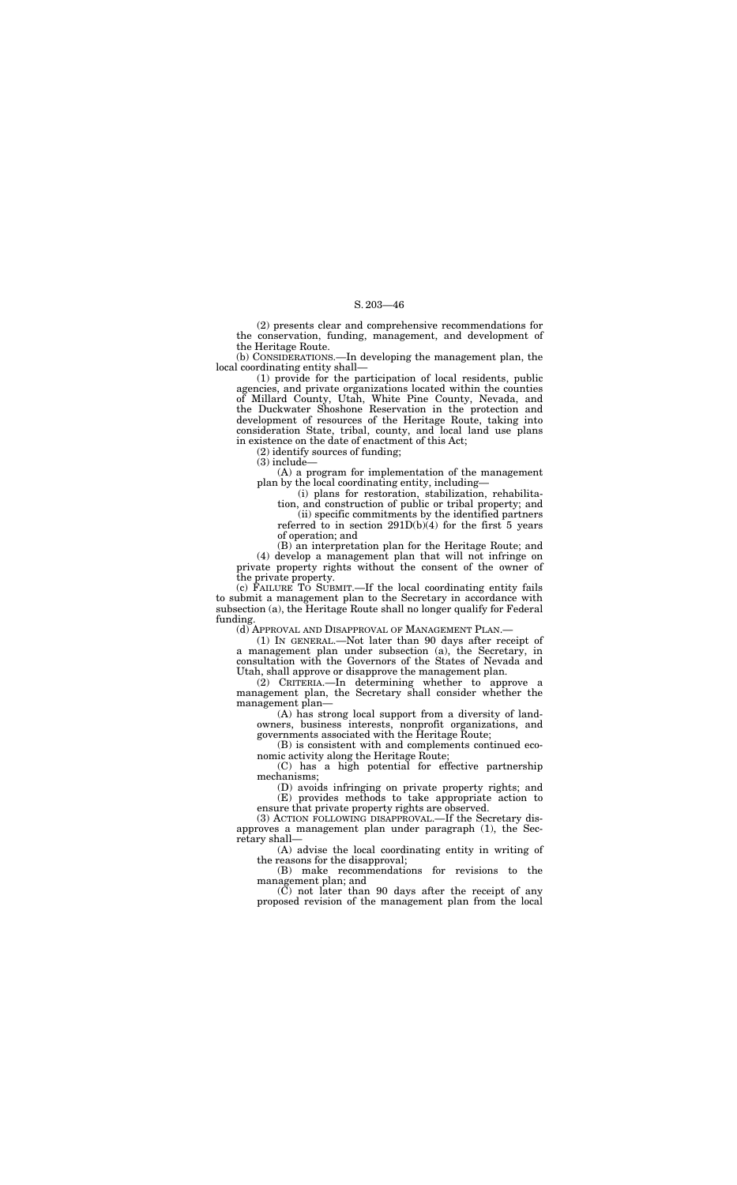(2) presents clear and comprehensive recommendations for the conservation, funding, management, and development of the Heritage Route.

(b) CONSIDERATIONS.—In developing the management plan, the local coordinating entity shall—

(1) provide for the participation of local residents, public agencies, and private organizations located within the counties of Millard County, Utah, White Pine County, Nevada, and the Duckwater Shoshone Reservation in the protection and development of resources of the Heritage Route, taking into consideration State, tribal, county, and local land use plans in existence on the date of enactment of this Act;

(2) identify sources of funding;

(3) include—

(A) a program for implementation of the management plan by the local coordinating entity, including—

(i) plans for restoration, stabilization, rehabilita-

tion, and construction of public or tribal property; and (ii) specific commitments by the identified partners referred to in section  $291D(b)(4)$  for the first 5 years of operation; and

(B) an interpretation plan for the Heritage Route; and (4) develop a management plan that will not infringe on private property rights without the consent of the owner of the private property.

(c) FAILURE TO SUBMIT.—If the local coordinating entity fails to submit a management plan to the Secretary in accordance with subsection (a), the Heritage Route shall no longer qualify for Federal funding.

> $(\tilde{C})$  not later than 90 days after the receipt of any proposed revision of the management plan from the local

(d) APPROVAL AND DISAPPROVAL OF MANAGEMENT PLAN.—

(1) IN GENERAL.—Not later than 90 days after receipt of a management plan under subsection (a), the Secretary, in consultation with the Governors of the States of Nevada and Utah, shall approve or disapprove the management plan.

(2) CRITERIA.—In determining whether to approve a management plan, the Secretary shall consider whether the management plan—

(A) has strong local support from a diversity of landowners, business interests, nonprofit organizations, and governments associated with the Heritage Route;

(B) is consistent with and complements continued economic activity along the Heritage Route;

(C) has a high potential for effective partnership mechanisms;

(D) avoids infringing on private property rights; and (E) provides methods to take appropriate action to

ensure that private property rights are observed.

(3) ACTION FOLLOWING DISAPPROVAL.—If the Secretary disapproves a management plan under paragraph (1), the Secretary shall—

(A) advise the local coordinating entity in writing of the reasons for the disapproval;

(B) make recommendations for revisions to the management plan; and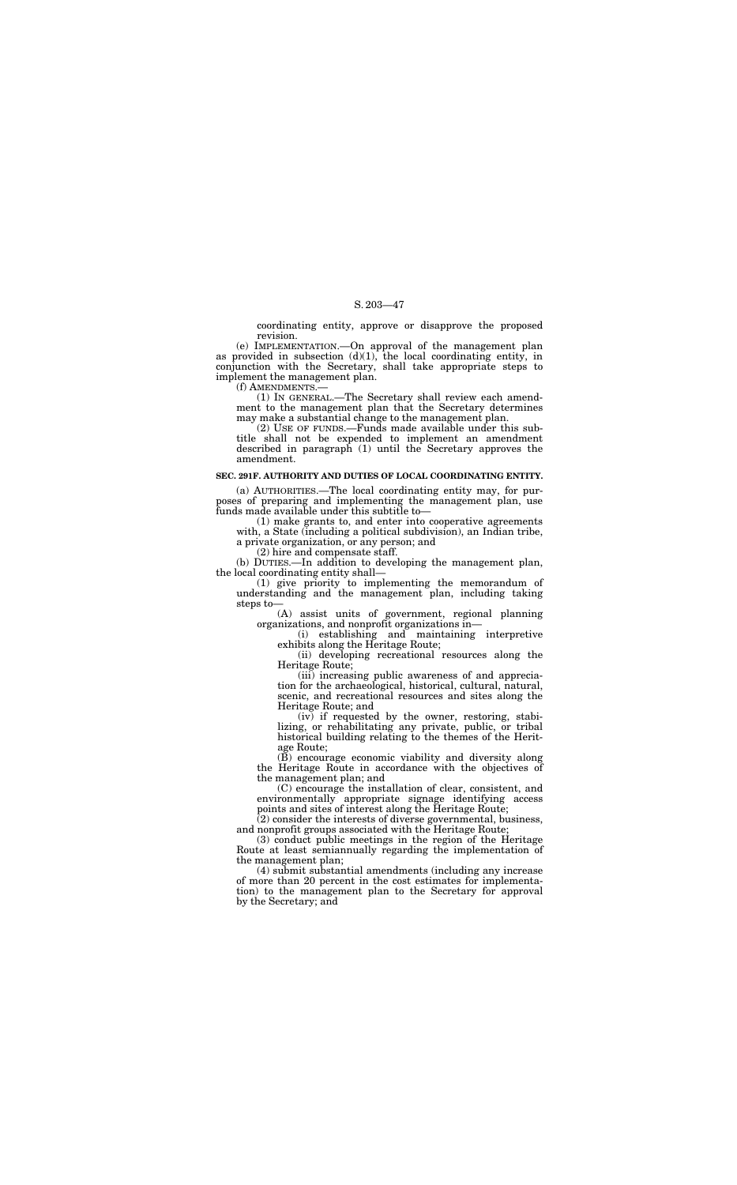coordinating entity, approve or disapprove the proposed revision.

(e) IMPLEMENTATION.—On approval of the management plan as provided in subsection  $(d)(1)$ , the local coordinating entity, in conjunction with the Secretary, shall take appropriate steps to implement the management plan.

(f) AMENDMENTS.—

(1) IN GENERAL.—The Secretary shall review each amendment to the management plan that the Secretary determines may make a substantial change to the management plan.

(2) USE OF FUNDS.—Funds made available under this subtitle shall not be expended to implement an amendment described in paragraph (1) until the Secretary approves the amendment.

## **SEC. 291F. AUTHORITY AND DUTIES OF LOCAL COORDINATING ENTITY.**

(a) AUTHORITIES.—The local coordinating entity may, for purposes of preparing and implementing the management plan, use funds made available under this subtitle to—

(1) make grants to, and enter into cooperative agreements with, a State (including a political subdivision), an Indian tribe, a private organization, or any person; and

(2) hire and compensate staff.

(b) DUTIES.—In addition to developing the management plan, the local coordinating entity shall—

(1) give priority to implementing the memorandum of understanding and the management plan, including taking steps to—

(A) assist units of government, regional planning organizations, and nonprofit organizations in—

(i) establishing and maintaining interpretive exhibits along the Heritage Route;

(ii) developing recreational resources along the Heritage Route;

(iii) increasing public awareness of and appreciation for the archaeological, historical, cultural, natural, scenic, and recreational resources and sites along the Heritage Route; and

(iv) if requested by the owner, restoring, stabilizing, or rehabilitating any private, public, or tribal historical building relating to the themes of the Heritage Route;

(B) encourage economic viability and diversity along the Heritage Route in accordance with the objectives of the management plan; and

(C) encourage the installation of clear, consistent, and environmentally appropriate signage identifying access points and sites of interest along the Heritage Route;

(2) consider the interests of diverse governmental, business, and nonprofit groups associated with the Heritage Route;

(3) conduct public meetings in the region of the Heritage Route at least semiannually regarding the implementation of the management plan;

(4) submit substantial amendments (including any increase of more than 20 percent in the cost estimates for implementation) to the management plan to the Secretary for approval by the Secretary; and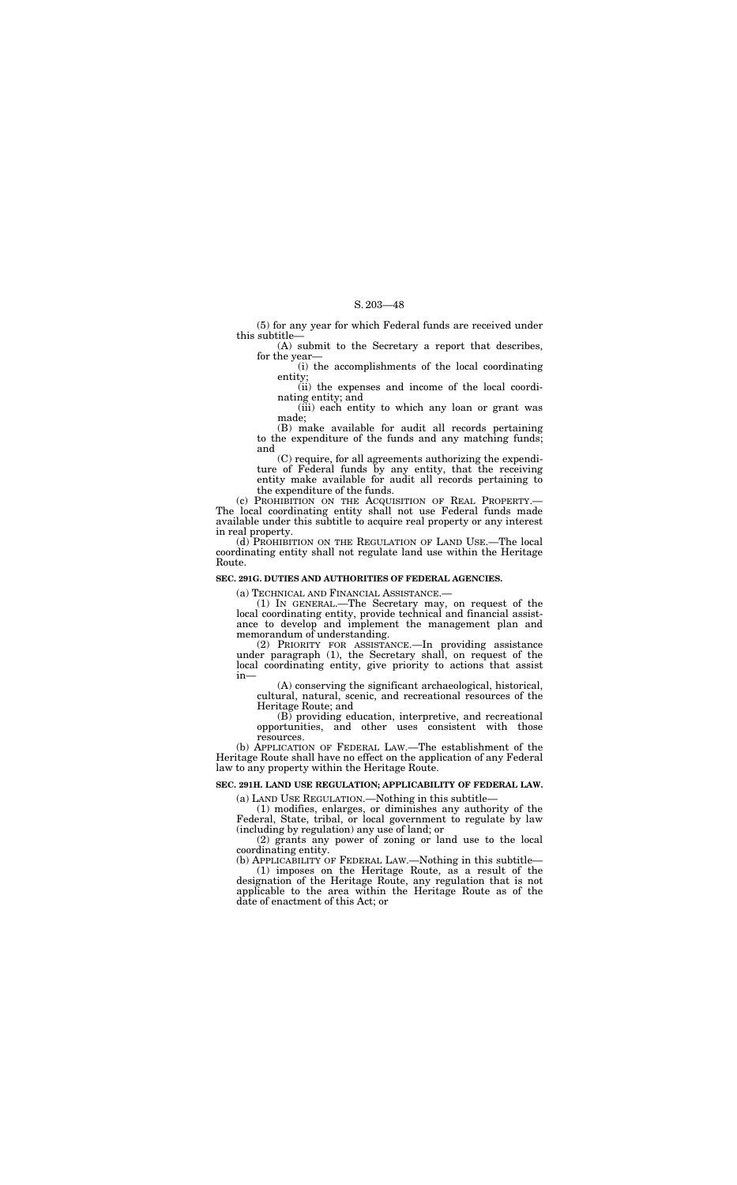(5) for any year for which Federal funds are received under

 $(A)$  submit to the Secretary a report that describes, for the year— (i) the accomplishments of the local coordinating

entity;

(ii) the expenses and income of the local coordinating entity; and

(iii) each entity to which any loan or grant was made;

(B) make available for audit all records pertaining to the expenditure of the funds and any matching funds; and

(C) require, for all agreements authorizing the expenditure of Federal funds by any entity, that the receiving entity make available for audit all records pertaining to the expenditure of the funds.

(c) PROHIBITION ON THE ACQUISITION OF REAL PROPERTY.— The local coordinating entity shall not use Federal funds made available under this subtitle to acquire real property or any interest in real property.

(d) PROHIBITION ON THE REGULATION OF LAND USE.—The local coordinating entity shall not regulate land use within the Heritage Route.

#### **SEC. 291G. DUTIES AND AUTHORITIES OF FEDERAL AGENCIES.**

(a) TECHNICAL AND FINANCIAL ASSISTANCE.—

(1) IN GENERAL.—The Secretary may, on request of the local coordinating entity, provide technical and financial assistance to develop and implement the management plan and memorandum of understanding.

(2) PRIORITY FOR ASSISTANCE.—In providing assistance under paragraph (1), the Secretary shall, on request of the local coordinating entity, give priority to actions that assist in—

(A) conserving the significant archaeological, historical, cultural, natural, scenic, and recreational resources of the Heritage Route; and

(B) providing education, interpretive, and recreational opportunities, and other uses consistent with those resources.

(b) APPLICATION OF FEDERAL LAW.—The establishment of the Heritage Route shall have no effect on the application of any Federal law to any property within the Heritage Route.

### **SEC. 291H. LAND USE REGULATION; APPLICABILITY OF FEDERAL LAW.**

(a) LAND USE REGULATION.—Nothing in this subtitle—

(1) modifies, enlarges, or diminishes any authority of the Federal, State, tribal, or local government to regulate by law (including by regulation) any use of land; or

(2) grants any power of zoning or land use to the local coordinating entity.

(b) APPLICABILITY OF FEDERAL LAW.—Nothing in this subtitle—

(1) imposes on the Heritage Route, as a result of the designation of the Heritage Route, any regulation that is not applicable to the area within the Heritage Route as of the date of enactment of this Act; or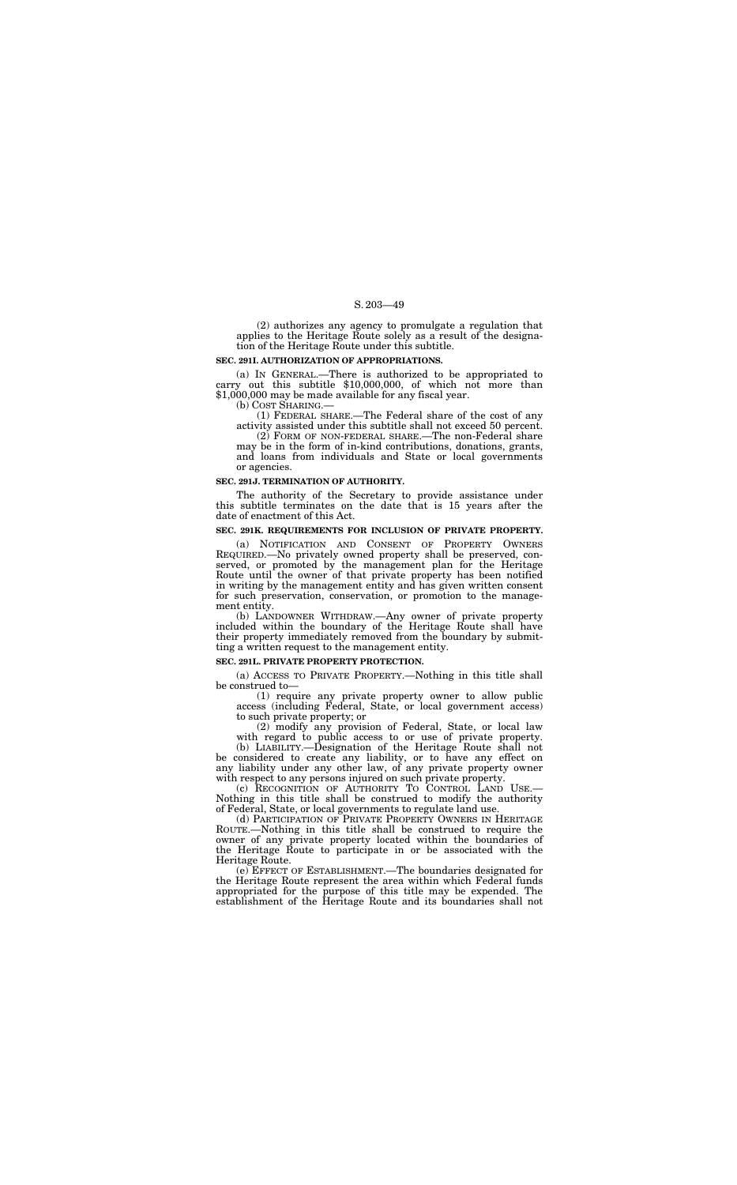(2) authorizes any agency to promulgate a regulation that applies to the Heritage Route solely as a result of the designation of the Heritage Route under this subtitle.

#### **SEC. 291I. AUTHORIZATION OF APPROPRIATIONS.**

(a) IN GENERAL.—There is authorized to be appropriated to carry out this subtitle \$10,000,000, of which not more than \$1,000,000 may be made available for any fiscal year.

(b) COST SHARING.—

(1) FEDERAL SHARE.—The Federal share of the cost of any activity assisted under this subtitle shall not exceed 50 percent.

(2) FORM OF NON-FEDERAL SHARE.—The non-Federal share may be in the form of in-kind contributions, donations, grants, and loans from individuals and State or local governments or agencies.

### **SEC. 291J. TERMINATION OF AUTHORITY.**

The authority of the Secretary to provide assistance under this subtitle terminates on the date that is 15 years after the date of enactment of this Act.

#### **SEC. 291K. REQUIREMENTS FOR INCLUSION OF PRIVATE PROPERTY.**

(a) NOTIFICATION AND CONSENT OF PROPERTY OWNERS REQUIRED.—No privately owned property shall be preserved, conserved, or promoted by the management plan for the Heritage Route until the owner of that private property has been notified in writing by the management entity and has given written consent for such preservation, conservation, or promotion to the management entity.

(b) LANDOWNER WITHDRAW.—Any owner of private property included within the boundary of the Heritage Route shall have their property immediately removed from the boundary by submitting a written request to the management entity.

### **SEC. 291L. PRIVATE PROPERTY PROTECTION.**

(a) ACCESS TO PRIVATE PROPERTY.—Nothing in this title shall be construed to—

(1) require any private property owner to allow public access (including Federal, State, or local government access) to such private property; or

(2) modify any provision of Federal, State, or local law with regard to public access to or use of private property.

(b) LIABILITY.—Designation of the Heritage Route shall not be considered to create any liability, or to have any effect on any liability under any other law, of any private property owner with respect to any persons injured on such private property.

(c) RECOGNITION OF AUTHORITY TO CONTROL LAND USE.— Nothing in this title shall be construed to modify the authority of Federal, State, or local governments to regulate land use.

(d) PARTICIPATION OF PRIVATE PROPERTY OWNERS IN HERITAGE ROUTE.—Nothing in this title shall be construed to require the owner of any private property located within the boundaries of the Heritage Route to participate in or be associated with the Heritage Route.

(e) EFFECT OF ESTABLISHMENT.—The boundaries designated for the Heritage Route represent the area within which Federal funds appropriated for the purpose of this title may be expended. The establishment of the Heritage Route and its boundaries shall not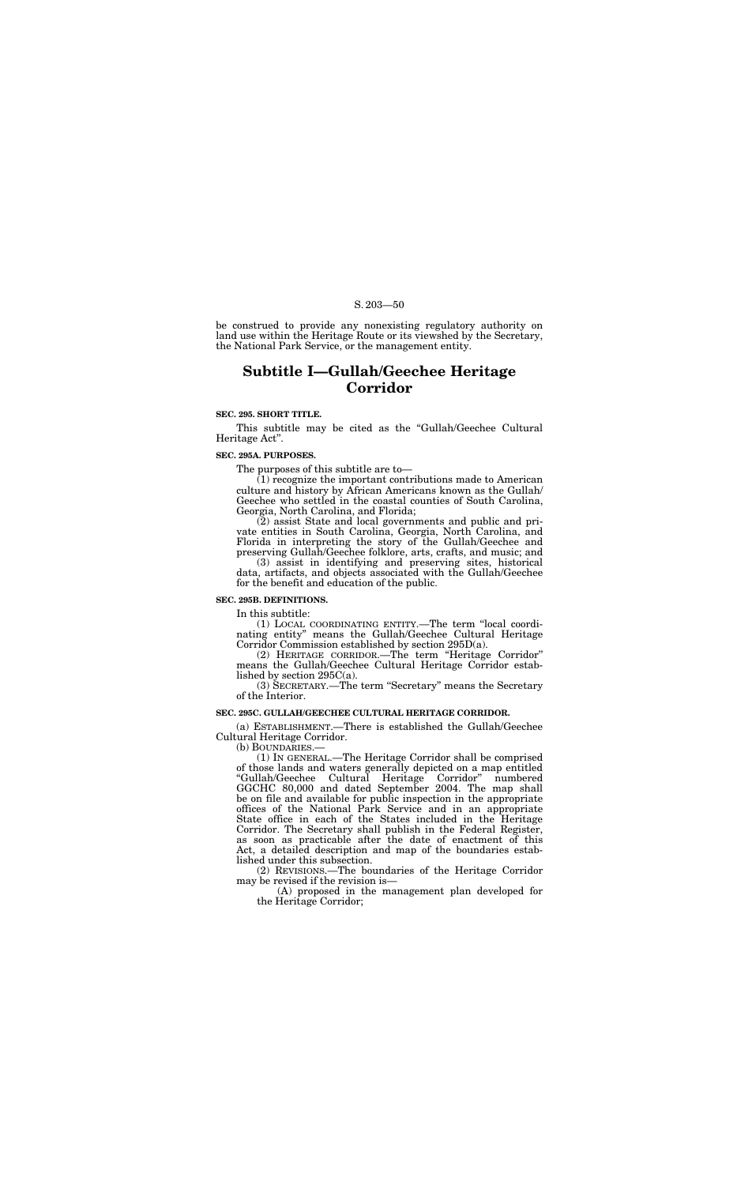be construed to provide any nonexisting regulatory authority on land use within the Heritage Route or its viewshed by the Secretary, the National Park Service, or the management entity.

This subtitle may be cited as the "Gullah/Geechee Cultural" Heritage Act''.

# **Subtitle I—Gullah/Geechee Heritage Corridor**

## **SEC. 295. SHORT TITLE.**

#### **SEC. 295A. PURPOSES.**

The purposes of this subtitle are to—

(1) recognize the important contributions made to American culture and history by African Americans known as the Gullah/ Geechee who settled in the coastal counties of South Carolina, Georgia, North Carolina, and Florida;

(2) HERITAGE CORRIDOR.—The term ''Heritage Corridor'' means the Gullah/Geechee Cultural Heritage Corridor established by section  $295C(a)$ .

(2) assist State and local governments and public and private entities in South Carolina, Georgia, North Carolina, and Florida in interpreting the story of the Gullah/Geechee and preserving Gullah/Geechee folklore, arts, crafts, and music; and

(3) assist in identifying and preserving sites, historical data, artifacts, and objects associated with the Gullah/Geechee for the benefit and education of the public.

#### **SEC. 295B. DEFINITIONS.**

In this subtitle:

(1) LOCAL COORDINATING ENTITY.—The term ''local coordinating entity'' means the Gullah/Geechee Cultural Heritage Corridor Commission established by section 295D(a).

 $(A)$  proposed in the management plan developed for the Heritage Corridor;

(3) SECRETARY.—The term ''Secretary'' means the Secretary of the Interior.

## **SEC. 295C. GULLAH/GEECHEE CULTURAL HERITAGE CORRIDOR.**

(a) ESTABLISHMENT.—There is established the Gullah/Geechee Cultural Heritage Corridor.

(b) BOUNDARIES.—

(1) IN GENERAL.—The Heritage Corridor shall be comprised of those lands and waters generally depicted on a map entitled ''Gullah/Geechee Cultural Heritage Corridor'' numbered GGCHC 80,000 and dated September 2004. The map shall be on file and available for public inspection in the appropriate offices of the National Park Service and in an appropriate State office in each of the States included in the Heritage Corridor. The Secretary shall publish in the Federal Register, as soon as practicable after the date of enactment of this Act, a detailed description and map of the boundaries established under this subsection.

(2) REVISIONS.—The boundaries of the Heritage Corridor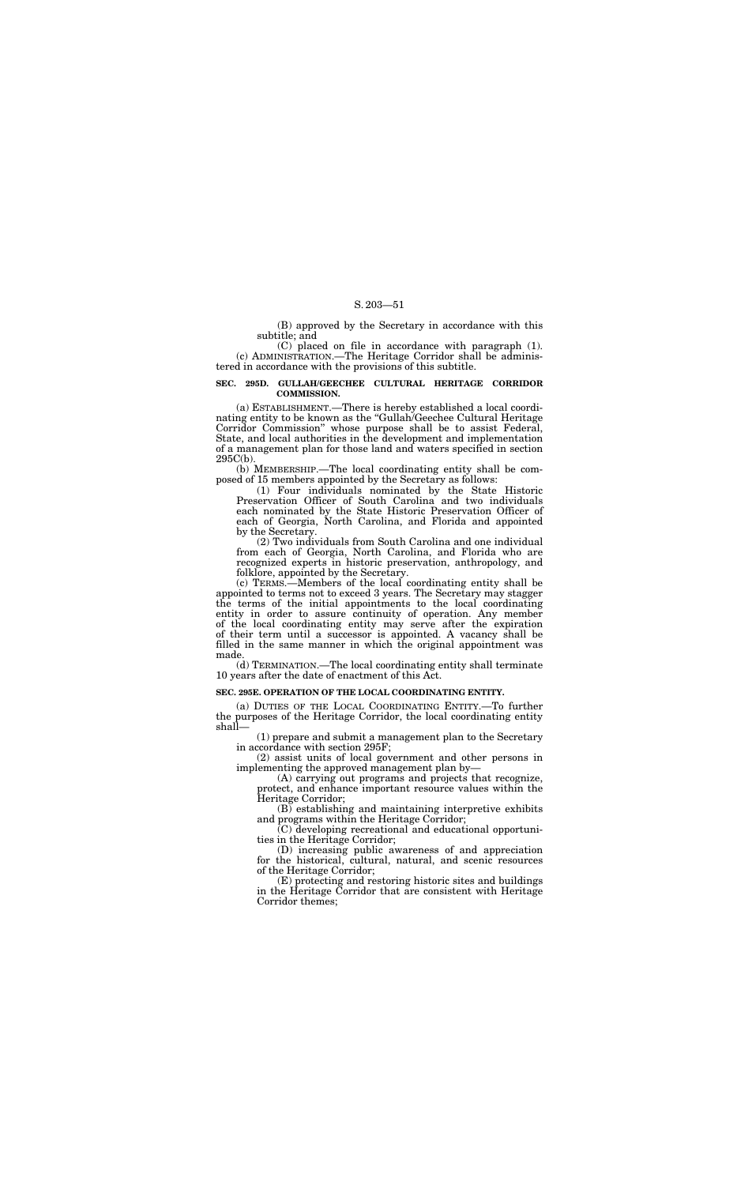(B) approved by the Secretary in accordance with this subtitle; and

(C) placed on file in accordance with paragraph (1). (c) ADMINISTRATION.—The Heritage Corridor shall be administered in accordance with the provisions of this subtitle.

### **SEC. 295D. GULLAH/GEECHEE CULTURAL HERITAGE CORRIDOR COMMISSION.**

(a) ESTABLISHMENT.—There is hereby established a local coordinating entity to be known as the "Gullah Geechee Cultural Heritage Corridor Commission'' whose purpose shall be to assist Federal, State, and local authorities in the development and implementation of a management plan for those land and waters specified in section 295C(b).

(b) MEMBERSHIP.—The local coordinating entity shall be composed of 15 members appointed by the Secretary as follows:

(1) Four individuals nominated by the State Historic Preservation Officer of South Carolina and two individuals each nominated by the State Historic Preservation Officer of each of Georgia, North Carolina, and Florida and appointed by the Secretary.

(2) Two individuals from South Carolina and one individual from each of Georgia, North Carolina, and Florida who are recognized experts in historic preservation, anthropology, and folklore, appointed by the Secretary.

(c) TERMS.—Members of the local coordinating entity shall be appointed to terms not to exceed 3 years. The Secretary may stagger the terms of the initial appointments to the local coordinating entity in order to assure continuity of operation. Any member of the local coordinating entity may serve after the expiration of their term until a successor is appointed. A vacancy shall be filled in the same manner in which the original appointment was made.

(d) TERMINATION.—The local coordinating entity shall terminate 10 years after the date of enactment of this Act.

## **SEC. 295E. OPERATION OF THE LOCAL COORDINATING ENTITY.**

(a) DUTIES OF THE LOCAL COORDINATING ENTITY.—To further the purposes of the Heritage Corridor, the local coordinating entity shall—

(1) prepare and submit a management plan to the Secretary in accordance with section 295F;

(2) assist units of local government and other persons in implementing the approved management plan by—

(A) carrying out programs and projects that recognize, protect, and enhance important resource values within the Heritage Corridor;

(B) establishing and maintaining interpretive exhibits and programs within the Heritage Corridor;

(C) developing recreational and educational opportunities in the Heritage Corridor;

(D) increasing public awareness of and appreciation for the historical, cultural, natural, and scenic resources of the Heritage Corridor;

(E) protecting and restoring historic sites and buildings in the Heritage Corridor that are consistent with Heritage Corridor themes;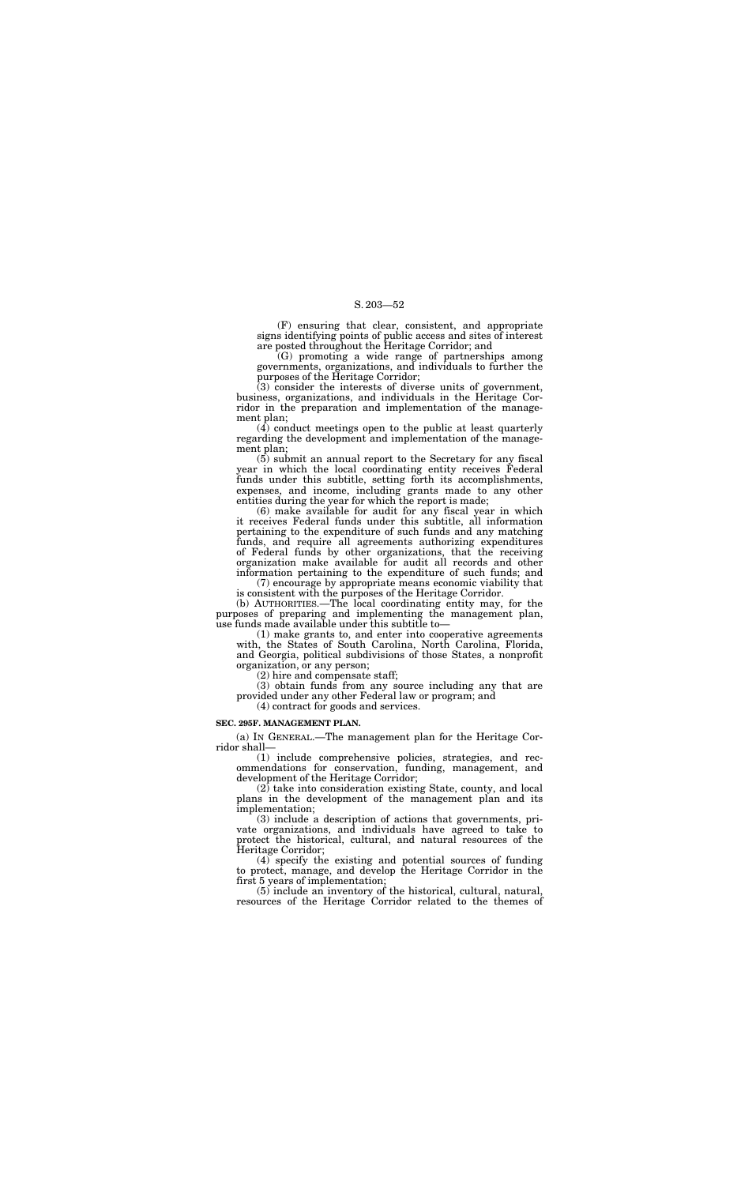(F) ensuring that clear, consistent, and appropriate signs identifying points of public access and sites of interest are posted throughout the Heritage Corridor; and

(G) promoting a wide range of partnerships among governments, organizations, and individuals to further the purposes of the Heritage Corridor;

(3) consider the interests of diverse units of government, business, organizations, and individuals in the Heritage Corridor in the preparation and implementation of the management plan;

(4) conduct meetings open to the public at least quarterly regarding the development and implementation of the management plan;

(5) submit an annual report to the Secretary for any fiscal year in which the local coordinating entity receives Federal funds under this subtitle, setting forth its accomplishments, expenses, and income, including grants made to any other entities during the year for which the report is made;

(6) make available for audit for any fiscal year in which it receives Federal funds under this subtitle, all information pertaining to the expenditure of such funds and any matching funds, and require all agreements authorizing expenditures of Federal funds by other organizations, that the receiving organization make available for audit all records and other information pertaining to the expenditure of such funds; and

(7) encourage by appropriate means economic viability that is consistent with the purposes of the Heritage Corridor.

(b) AUTHORITIES.—The local coordinating entity may, for the purposes of preparing and implementing the management plan, use funds made available under this subtitle to—

(1) make grants to, and enter into cooperative agreements with, the States of South Carolina, North Carolina, Florida, and Georgia, political subdivisions of those States, a nonprofit organization, or any person;

(2) hire and compensate staff;

(3) obtain funds from any source including any that are provided under any other Federal law or program; and

(4) contract for goods and services.

#### **SEC. 295F. MANAGEMENT PLAN.**

(a) IN GENERAL.—The management plan for the Heritage Corridor shall—

(1) include comprehensive policies, strategies, and recommendations for conservation, funding, management, and development of the Heritage Corridor;

(2) take into consideration existing State, county, and local plans in the development of the management plan and its implementation;

(3) include a description of actions that governments, private organizations, and individuals have agreed to take to protect the historical, cultural, and natural resources of the Heritage Corridor;

(4) specify the existing and potential sources of funding to protect, manage, and develop the Heritage Corridor in the first 5 years of implementation;

(5) include an inventory of the historical, cultural, natural, resources of the Heritage Corridor related to the themes of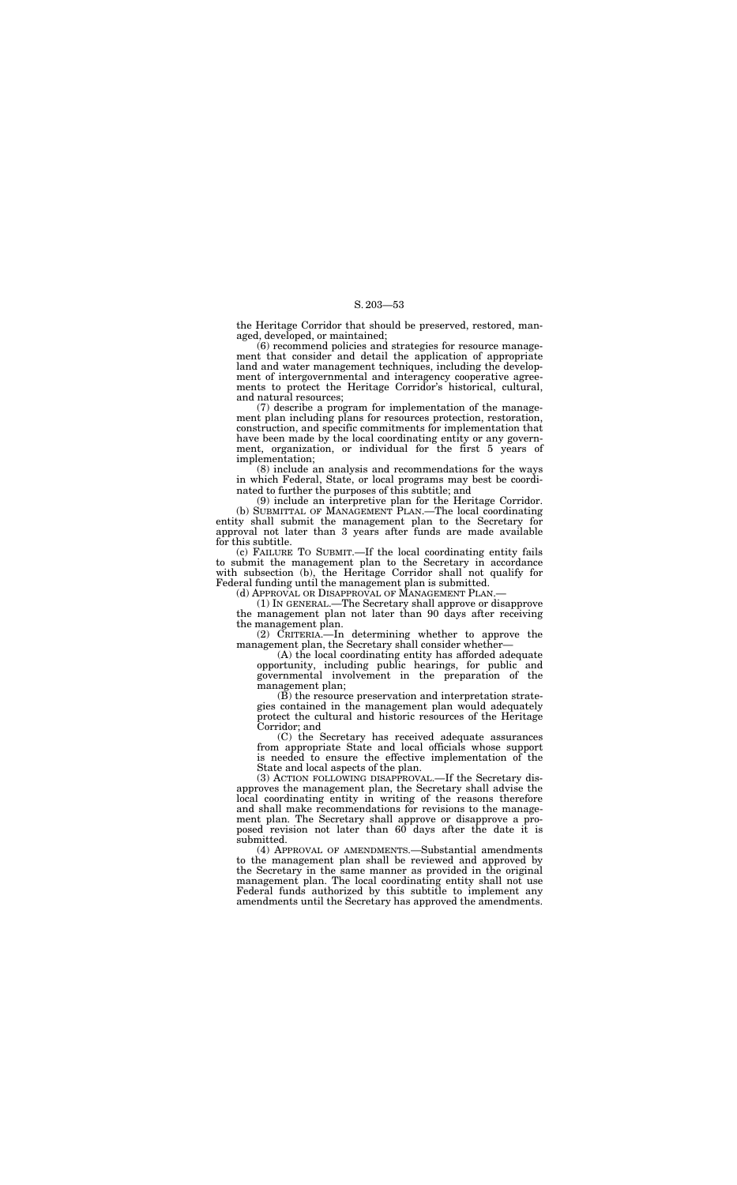the Heritage Corridor that should be preserved, restored, managed, developed, or maintained;

(6) recommend policies and strategies for resource management that consider and detail the application of appropriate land and water management techniques, including the development of intergovernmental and interagency cooperative agreements to protect the Heritage Corridor's historical, cultural, and natural resources;

(7) describe a program for implementation of the management plan including plans for resources protection, restoration, construction, and specific commitments for implementation that have been made by the local coordinating entity or any government, organization, or individual for the first 5 years of implementation;

(8) include an analysis and recommendations for the ways in which Federal, State, or local programs may best be coordinated to further the purposes of this subtitle; and

(9) include an interpretive plan for the Heritage Corridor. (b) SUBMITTAL OF MANAGEMENT PLAN.—The local coordinating entity shall submit the management plan to the Secretary for approval not later than 3 years after funds are made available for this subtitle.

(c) FAILURE TO SUBMIT.—If the local coordinating entity fails to submit the management plan to the Secretary in accordance with subsection (b), the Heritage Corridor shall not qualify for Federal funding until the management plan is submitted.

(d) APPROVAL OR DISAPPROVAL OF MANAGEMENT PLAN.

(1) IN GENERAL.—The Secretary shall approve or disapprove the management plan not later than 90 days after receiving the management plan.

(2) CRITERIA.—In determining whether to approve the management plan, the Secretary shall consider whether—

(A) the local coordinating entity has afforded adequate opportunity, including public hearings, for public and governmental involvement in the preparation of the management plan;

(B) the resource preservation and interpretation strategies contained in the management plan would adequately protect the cultural and historic resources of the Heritage Corridor; and

(C) the Secretary has received adequate assurances from appropriate State and local officials whose support is needed to ensure the effective implementation of the State and local aspects of the plan.

(3) ACTION FOLLOWING DISAPPROVAL.—If the Secretary disapproves the management plan, the Secretary shall advise the local coordinating entity in writing of the reasons therefore and shall make recommendations for revisions to the management plan. The Secretary shall approve or disapprove a proposed revision not later than 60 days after the date it is submitted.

(4) APPROVAL OF AMENDMENTS.—Substantial amendments to the management plan shall be reviewed and approved by the Secretary in the same manner as provided in the original management plan. The local coordinating entity shall not use Federal funds authorized by this subtitle to implement any amendments until the Secretary has approved the amendments.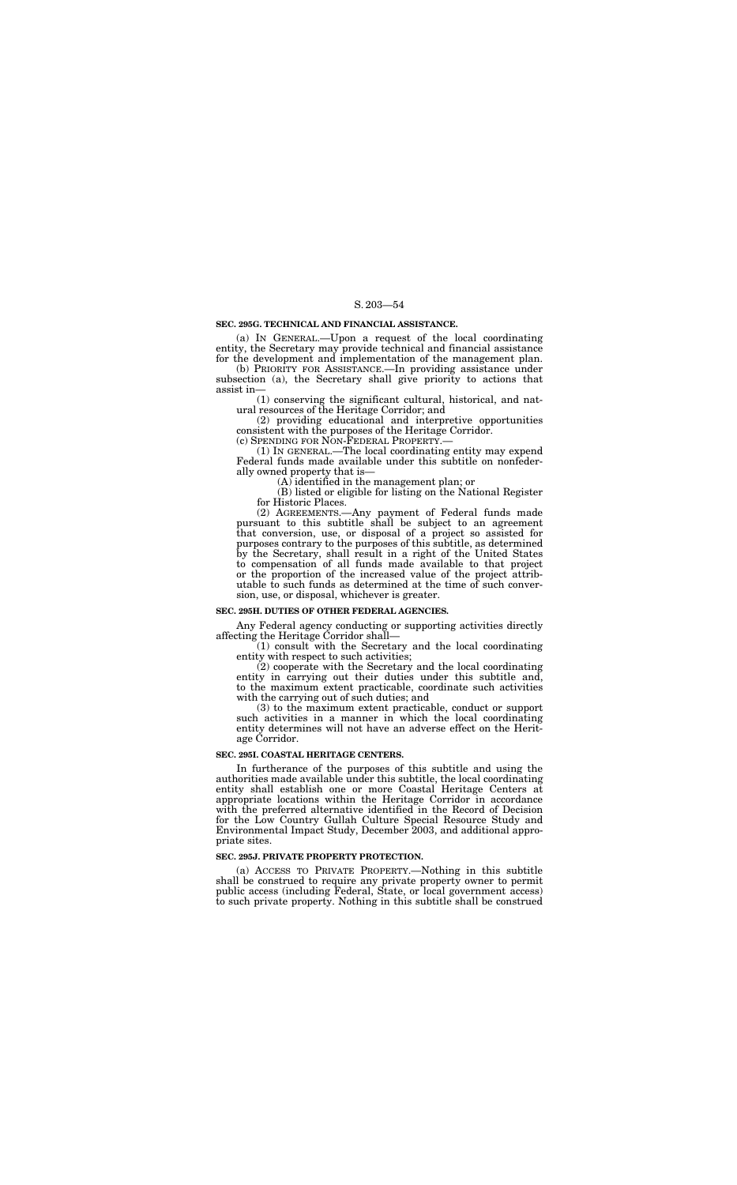### **SEC. 295G. TECHNICAL AND FINANCIAL ASSISTANCE.**

(a) IN GENERAL.—Upon a request of the local coordinating entity, the Secretary may provide technical and financial assistance for the development and implementation of the management plan.

(2) providing educational and interpretive opportunities consistent with the purposes of the Heritage Corridor.<br>
(c) SPENDING FOR NON-FEDERAL PROPERTY.—

(1) IN GENERAL .— The local coordinating entity may expend Federal funds made available under this subtitle on nonfederally owned property that is—

 $(A)$  identified in the management plan; or

(b) PRIORITY FOR ASSISTANCE.—In providing assistance under subsection (a), the Secretary shall give priority to actions that assist in—

(1) conserving the significant cultural, historical, and natural resources of the Heritage Corridor; and

(B) listed or eligible for listing on the National Register for Historic Places.

(2) AGREEMENTS.—Any payment of Federal funds made pursuant to this subtitle shall be subject to an agreement that conversion, use, or disposal of a project so assisted for purposes contrary to the purposes of this subtitle, as determined by the Secretary, shall result in a right of the United States to compensation of all funds made available to that project or the proportion of the increased value of the project attributable to such funds as determined at the time of such conversion, use, or disposal, whichever is greater.

### **SEC. 295H. DUTIES OF OTHER FEDERAL AGENCIES.**

Any Federal agency conducting or supporting activities directly affecting the Heritage Corridor shall—

(1) consult with the Secretary and the local coordinating entity with respect to such activities;

(2) cooperate with the Secretary and the local coordinating entity in carrying out their duties under this subtitle and, to the maximum extent practicable, coordinate such activities with the carrying out of such duties; and

(3) to the maximum extent practicable, conduct or support such activities in a manner in which the local coordinating entity determines will not have an adverse effect on the Heritage Corridor.

#### **SEC. 295I. COASTAL HERITAGE CENTERS.**

In furtherance of the purposes of this subtitle and using the authorities made available under this subtitle, the local coordinating entity shall establish one or more Coastal Heritage Centers at appropriate locations within the Heritage Corridor in accordance with the preferred alternative identified in the Record of Decision for the Low Country Gullah Culture Special Resource Study and Environmental Impact Study, December 2003, and additional appropriate sites.

#### **SEC. 295J. PRIVATE PROPERTY PROTECTION.**

(a) ACCESS TO PRIVATE PROPERTY.—Nothing in this subtitle shall be construed to require any private property owner to permit public access (including Federal, State, or local government access) to such private property. Nothing in this subtitle shall be construed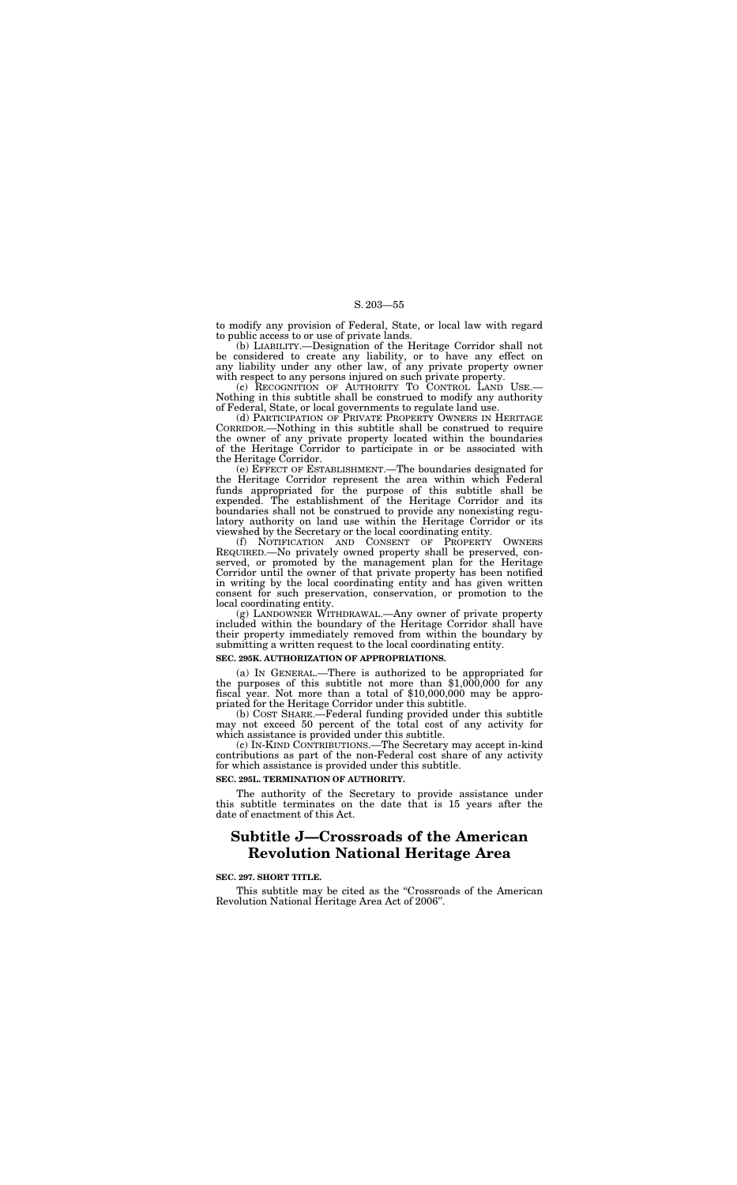to modify any provision of Federal, State, or local law with regard to public access to or use of private lands.

(b) LIABILITY.—Designation of the Heritage Corridor shall not be considered to create any liability, or to have any effect on any liability under any other law, of any private property owner with respect to any persons injured on such private property.

(c) RECOGNITION OF AUTHORITY TO CONTROL LAND USE.— Nothing in this subtitle shall be construed to modify any authority of Federal, State, or local governments to regulate land use.

(d) PARTICIPATION OF PRIVATE PROPERTY OWNERS IN HERITAGE CORRIDOR.—Nothing in this subtitle shall be construed to require the owner of any private property located within the boundaries of the Heritage Corridor to participate in or be associated with the Heritage Corridor.

(e) EFFECT OF ESTABLISHMENT.—The boundaries designated for the Heritage Corridor represent the area within which Federal funds appropriated for the purpose of this subtitle shall be expended. The establishment of the Heritage Corridor and its boundaries shall not be construed to provide any nonexisting regulatory authority on land use within the Heritage Corridor or its viewshed by the Secretary or the local coordinating entity.

(f) NOTIFICATION AND CONSENT OF PROPERTY OWNERS REQUIRED.—No privately owned property shall be preserved, conserved, or promoted by the management plan for the Heritage Corridor until the owner of that private property has been notified in writing by the local coordinating entity and has given written consent for such preservation, conservation, or promotion to the local coordinating entity.

This subtitle may be cited as the "Crossroads of the American Revolution National Heritage Area Act of 2006''.

(g) LANDOWNER WITHDRAWAL.—Any owner of private property included within the boundary of the Heritage Corridor shall have their property immediately removed from within the boundary by submitting a written request to the local coordinating entity.

### **SEC. 295K. AUTHORIZATION OF APPROPRIATIONS.**

(a) IN GENERAL.—There is authorized to be appropriated for the purposes of this subtitle not more than \$1,000,000 for any fiscal year. Not more than a total of \$10,000,000 may be appropriated for the Heritage Corridor under this subtitle.

(b) COST SHARE.—Federal funding provided under this subtitle may not exceed 50 percent of the total cost of any activity for which assistance is provided under this subtitle.

(c) IN-KIND CONTRIBUTIONS.—The Secretary may accept in-kind contributions as part of the non-Federal cost share of any activity for which assistance is provided under this subtitle.

## **SEC. 295L. TERMINATION OF AUTHORITY.**

The authority of the Secretary to provide assistance under this subtitle terminates on the date that is 15 years after the date of enactment of this Act.

# **Subtitle J—Crossroads of the American Revolution National Heritage Area**

#### **SEC. 297. SHORT TITLE.**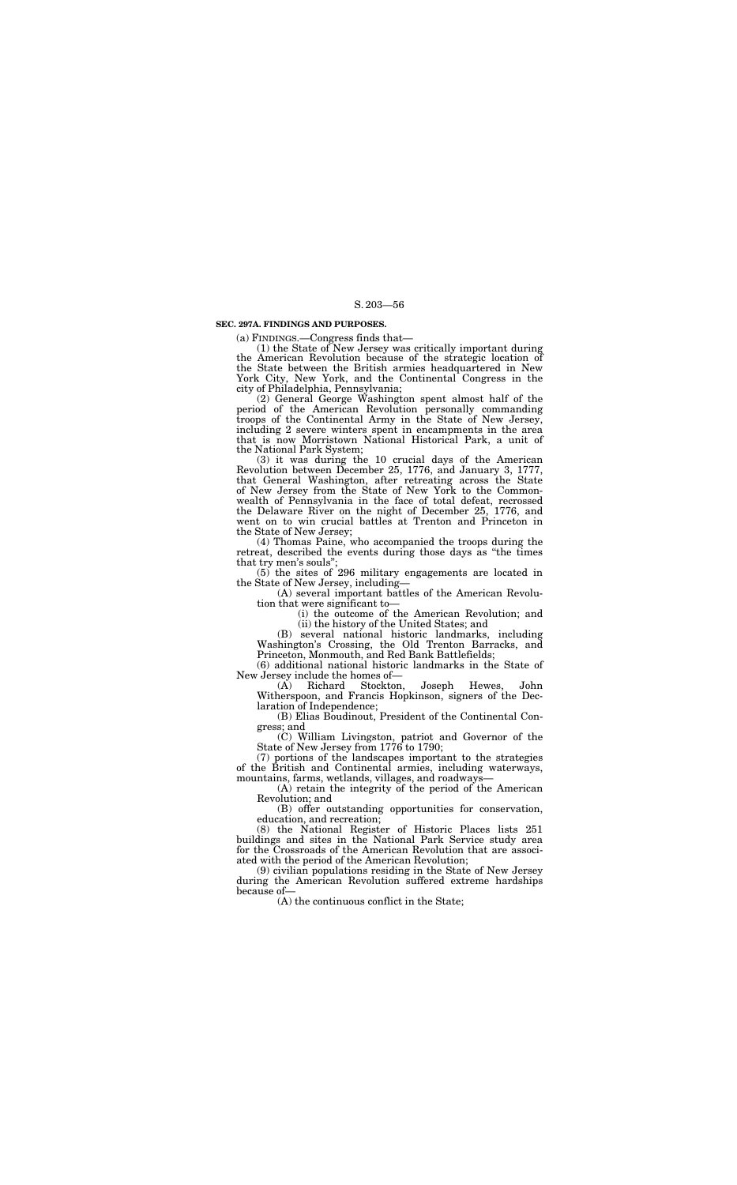### **SEC. 297A. FINDINGS AND PURPOSES.**

(a) FINDINGS.—Congress finds that— (1) the State of New Jersey was critically important during the American Revolution because of the strategic location of the State between the British armies headquartered in New York City, New York, and the Continental Congress in the city of Philadelphia, Pennsylvania;

(2) General George Washington spent almost half of the period of the American Revolution personally commanding troops of the Continental Army in the State of New Jersey, including 2 severe winters spent in encampments in the area that is now Morristown National Historical Park, a unit of the National Park System;

(4) Thomas Paine, who accompanied the troops during the retreat, described the events during those days as ''the times that try men's souls"

(6) additional national historic landmarks in the State of New Jersey include the homes of—<br>(A) Richard Stockton,

(3) it was during the 10 crucial days of the American Revolution between December 25, 1776, and January 3, 1777, that General Washington, after retreating across the State of New Jersey from the State of New York to the Commonwealth of Pennsylvania in the face of total defeat, recrossed the Delaware River on the night of December 25, 1776, and went on to win crucial battles at Trenton and Princeton in the State of New Jersey;

Joseph Hewes, John Witherspoon, and Francis Hopkinson, signers of the Declaration of Independence;

(5) the sites of 296 military engagements are located in the State of New Jersey, including—

(A) several important battles of the American Revolution that were significant to—

(i) the outcome of the American Revolution; and (ii) the history of the United States; and

(B) several national historic landmarks, including Washington's Crossing, the Old Trenton Barracks, and Princeton, Monmouth, and Red Bank Battlefields;

(B) Elias Boudinout, President of the Continental Congress; and

(C) William Livingston, patriot and Governor of the State of New Jersey from 1776 to 1790;

(7) portions of the landscapes important to the strategies of the British and Continental armies, including waterways, mountains, farms, wetlands, villages, and roadways—

(A) retain the integrity of the period of the American Revolution; and

(B) offer outstanding opportunities for conservation, education, and recreation;

(8) the National Register of Historic Places lists 251 buildings and sites in the National Park Service study area for the Crossroads of the American Revolution that are associated with the period of the American Revolution;

(9) civilian populations residing in the State of New Jersey during the American Revolution suffered extreme hardships because of—

(A) the continuous conflict in the State;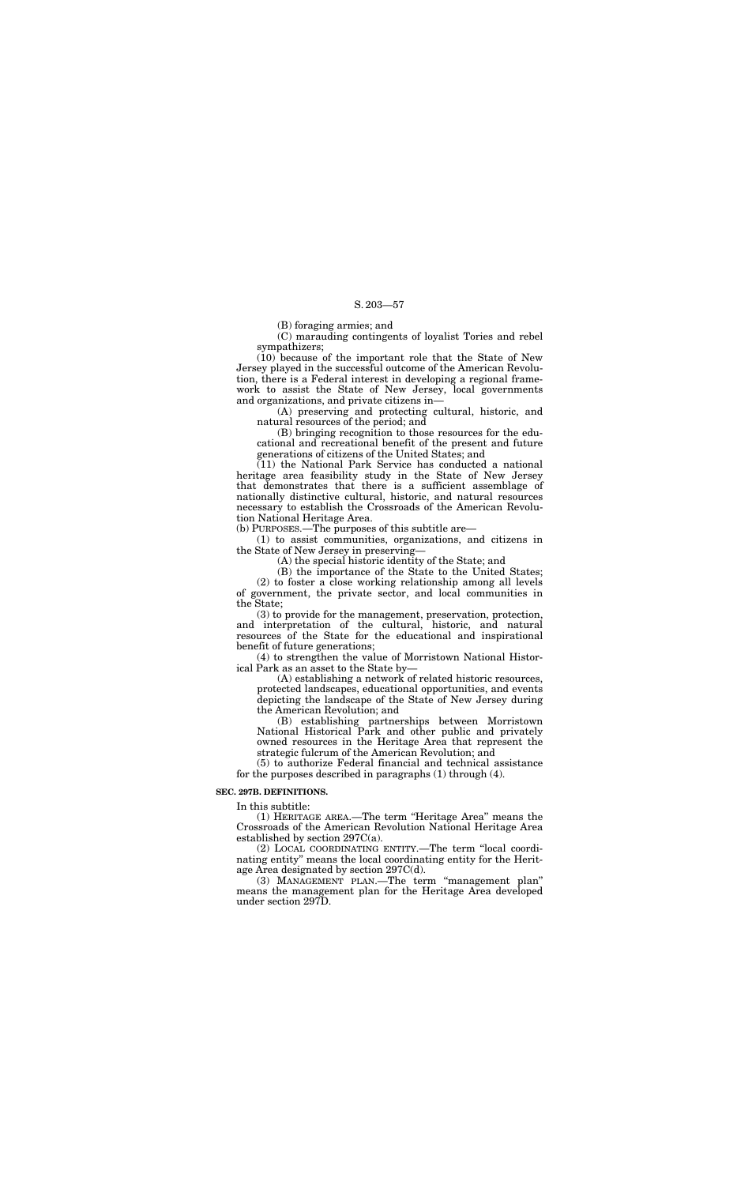(B) foraging armies; and

(C) marauding contingents of loyalist Tories and rebel sympathizers;

(10) because of the important role that the State of New Jersey played in the successful outcome of the American Revolution, there is a Federal interest in developing a regional framework to assist the State of New Jersey, local governments and organizations, and private citizens in—

(A) preserving and protecting cultural, historic, and natural resources of the period; and

(B) bringing recognition to those resources for the educational and recreational benefit of the present and future generations of citizens of the United States; and

(11) the National Park Service has conducted a national heritage area feasibility study in the State of New Jersey that demonstrates that there is a sufficient assemblage of nationally distinctive cultural, historic, and natural resources necessary to establish the Crossroads of the American Revolution National Heritage Area.

(b) PURPOSES.—The purposes of this subtitle are—

(1) to assist communities, organizations, and citizens in the State of New Jersey in preserving—

(1) HERITAGE AREA.—The term ''Heritage Area'' means the Crossroads of the American Revolution National Heritage Area established by section  $297C(a)$ .

(A) the special historic identity of the State; and

(B) the importance of the State to the United States;

(2) to foster a close working relationship among all levels of government, the private sector, and local communities in the State;

(3) to provide for the management, preservation, protection, and interpretation of the cultural, historic, and natural resources of the State for the educational and inspirational benefit of future generations;

(4) to strengthen the value of Morristown National Historical Park as an asset to the State by—

(A) establishing a network of related historic resources, protected landscapes, educational opportunities, and events depicting the landscape of the State of New Jersey during the American Revolution; and

(B) establishing partnerships between Morristown National Historical Park and other public and privately owned resources in the Heritage Area that represent the strategic fulcrum of the American Revolution; and

(5) to authorize Federal financial and technical assistance for the purposes described in paragraphs (1) through (4).

## **SEC. 297B. DEFINITIONS.**

In this subtitle:

(2) LOCAL COORDINATING ENTITY.—The term ''local coordinating entity'' means the local coordinating entity for the Heritage Area designated by section 297C(d).

(3) MANAGEMENT PLAN.—The term ''management plan'' means the management plan for the Heritage Area developed under section 297D.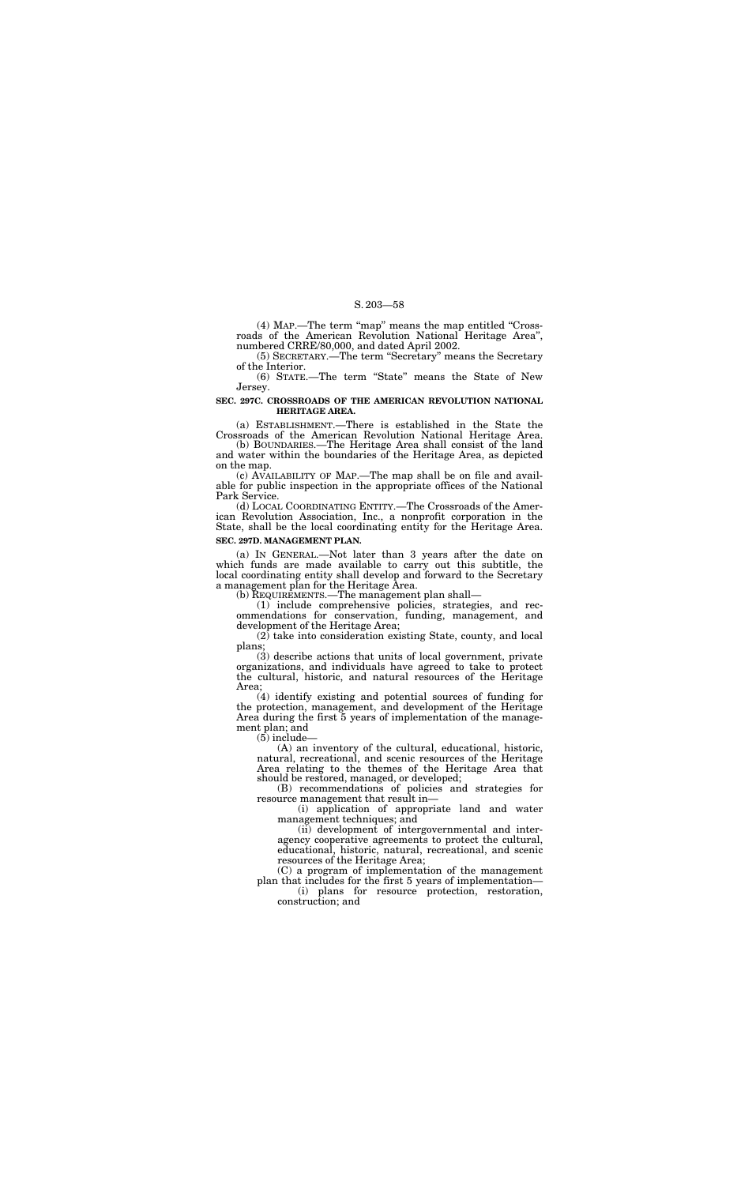(4) MAP.—The term ''map'' means the map entitled ''Crossroads of the American Revolution National Heritage Area'', numbered CRRE/80,000, and dated April 2002.

(5) SECRETARY.—The term ''Secretary'' means the Secretary of the Interior.

(6) STATE.—The term ''State'' means the State of New Jersey.

## **SEC. 297C. CROSSROADS OF THE AMERICAN REVOLUTION NATIONAL HERITAGE AREA.**

(a) ESTABLISHMENT.—There is established in the State the Crossroads of the American Revolution National Heritage Area.

(a) IN GENERAL.—Not later than 3 years after the date on which funds are made available to carry out this subtitle, the local coordinating entity shall develop and forward to the Secretary a management plan for the Heritage Area.<br>(b) REQUIREMENTS.—The management plan shall—

(b) BOUNDARIES.—The Heritage Area shall consist of the land and water within the boundaries of the Heritage Area, as depicted on the map.

(c) AVAILABILITY OF MAP.—The map shall be on file and available for public inspection in the appropriate offices of the National Park Service.

(4) identify existing and potential sources of funding for the protection, management, and development of the Heritage Area during the first 5 years of implementation of the management plan; and<br> $(5)$  include-

(d) LOCAL COORDINATING ENTITY.—The Crossroads of the American Revolution Association, Inc., a nonprofit corporation in the State, shall be the local coordinating entity for the Heritage Area.

## **SEC. 297D. MANAGEMENT PLAN.**

(A) an inventory of the cultural, educational, historic, natural, recreational, and scenic resources of the Heritage Area relating to the themes of the Heritage Area that should be restored, managed, or developed;

(i) application of appropriate land and water management techniques; and

(b) REQUIREMENTS.—The management plan shall— (1) include comprehensive policies, strategies, and recommendations for conservation, funding, management, and development of the Heritage Area;

(2) take into consideration existing State, county, and local plans;

(3) describe actions that units of local government, private organizations, and individuals have agreed to take to protect the cultural, historic, and natural resources of the Heritage Area;

(B) recommendations of policies and strategies for

(ii) development of intergovernmental and interagency cooperative agreements to protect the cultural, educational, historic, natural, recreational, and scenic resources of the Heritage Area;

(C) a program of implementation of the management

plan that includes for the first 5 years of implementation— (i) plans for resource protection, restoration, construction; and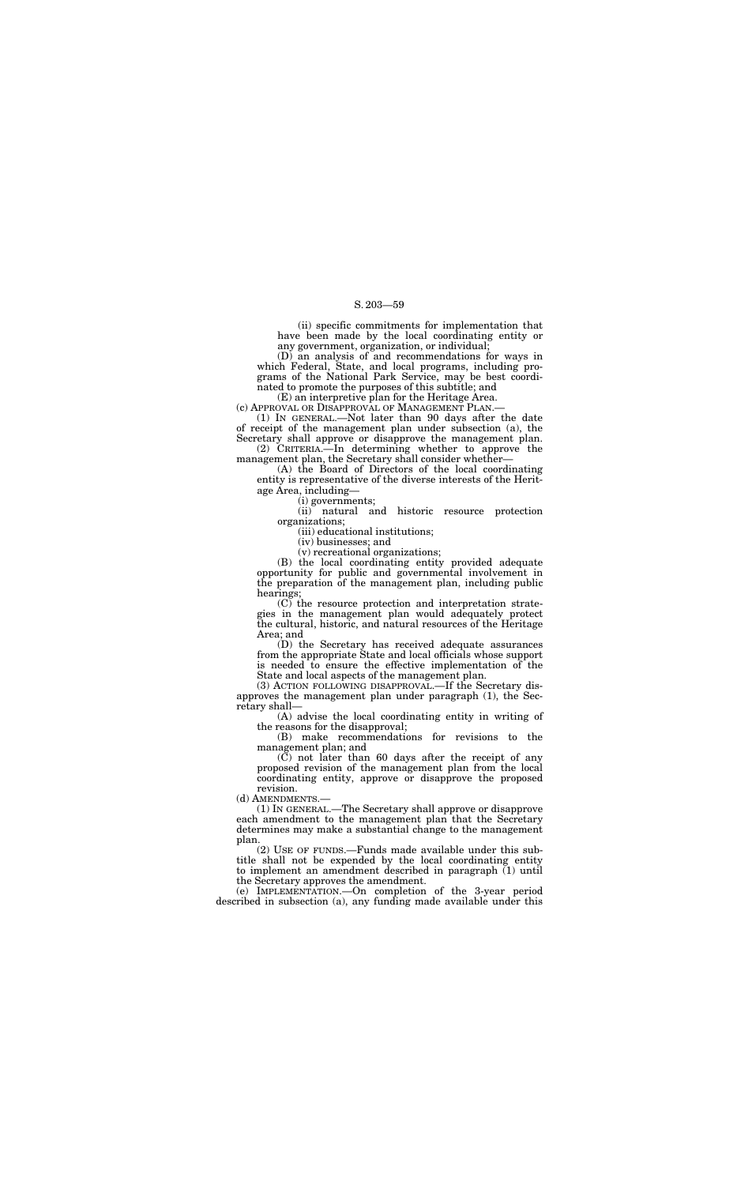(ii) specific commitments for implementation that have been made by the local coordinating entity or any government, organization, or individual;

(D) an analysis of and recommendations for ways in which Federal, State, and local programs, including programs of the National Park Service, may be best coordinated to promote the purposes of this subtitle; and

(E) an interpretive plan for the Heritage Area.

(c) APPROVAL OR DISAPPROVAL OF MANAGEMENT PLAN.—

(1) IN GENERAL.—Not later than 90 days after the date of receipt of the management plan under subsection (a), the Secretary shall approve or disapprove the management plan. (2) CRITERIA.—In determining whether to approve the

management plan, the Secretary shall consider whether— (A) the Board of Directors of the local coordinating

entity is representative of the diverse interests of the Heritage Area, including—

(i) governments;

(ii) natural and historic resource protection organizations;

(iii) educational institutions;

(iv) businesses; and

(v) recreational organizations;

(B) the local coordinating entity provided adequate opportunity for public and governmental involvement in the preparation of the management plan, including public hearings;

(C) the resource protection and interpretation strategies in the management plan would adequately protect the cultural, historic, and natural resources of the Heritage Area; and

(D) the Secretary has received adequate assurances from the appropriate State and local officials whose support is needed to ensure the effective implementation of the State and local aspects of the management plan.

(3) ACTION FOLLOWING DISAPPROVAL.—If the Secretary disapproves the management plan under paragraph (1), the Secretary shall—

(A) advise the local coordinating entity in writing of the reasons for the disapproval;

(B) make recommendations for revisions to the management plan; and

(C) not later than 60 days after the receipt of any proposed revision of the management plan from the local coordinating entity, approve or disapprove the proposed revision.

(d) AMENDMENTS.—

(1) IN GENERAL.—The Secretary shall approve or disapprove each amendment to the management plan that the Secretary determines may make a substantial change to the management plan.

(2) USE OF FUNDS.—Funds made available under this subtitle shall not be expended by the local coordinating entity to implement an amendment described in paragraph (1) until the Secretary approves the amendment.

(e) IMPLEMENTATION.—On completion of the 3-year period described in subsection (a), any funding made available under this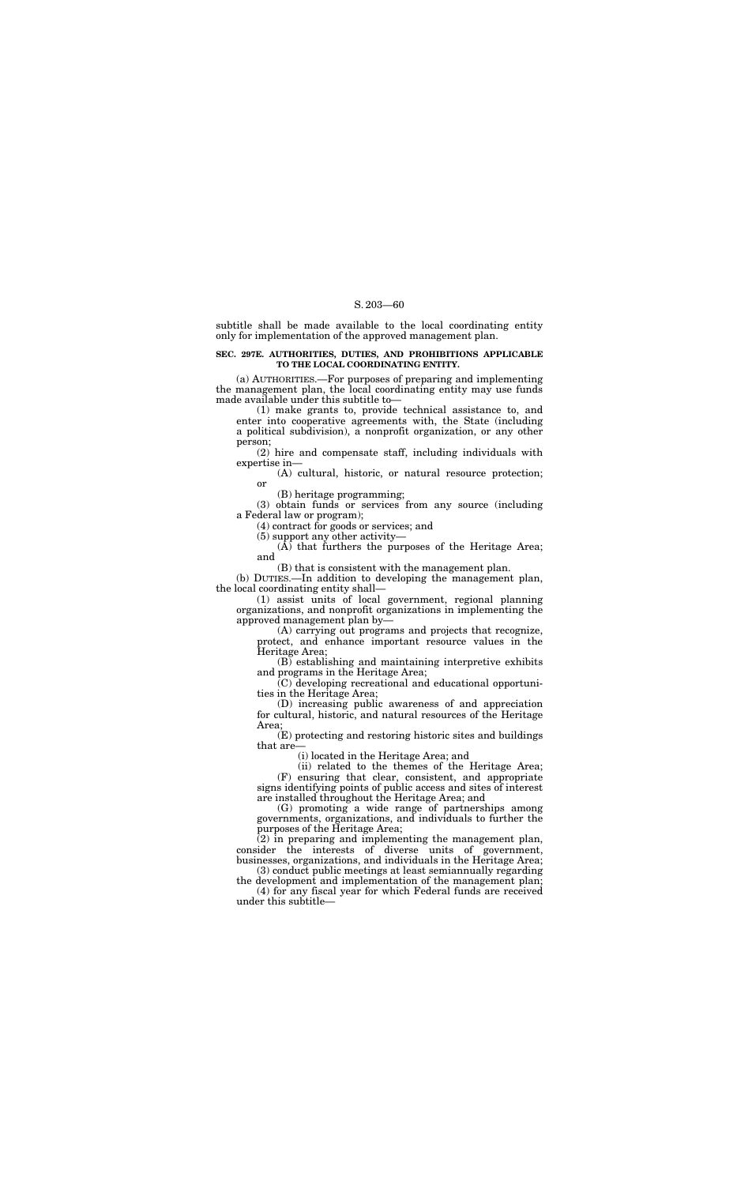subtitle shall be made available to the local coordinating entity only for implementation of the approved management plan.

## **SEC. 297E. AUTHORITIES, DUTIES, AND PROHIBITIONS APPLICABLE TO THE LOCAL COORDINATING ENTITY.**

(a) AUTHORITIES.—For purposes of preparing and implementing the management plan, the local coordinating entity may use funds made available under this subtitle to—

> $(A)$  that furthers the purposes of the Heritage Area; and

(1) make grants to, provide technical assistance to, and enter into cooperative agreements with, the State (including a political subdivision), a nonprofit organization, or any other person;

(2) hire and compensate staff, including individuals with expertise in—

(A) cultural, historic, or natural resource protection; or

(B) heritage programming;

(3) obtain funds or services from any source (including a Federal law or program);

(4) contract for goods or services; and

(5) support any other activity—

(B) that is consistent with the management plan.

(b) DUTIES.—In addition to developing the management plan, the local coordinating entity shall—

(1) assist units of local government, regional planning organizations, and nonprofit organizations in implementing the approved management plan by—

(A) carrying out programs and projects that recognize, protect, and enhance important resource values in the Heritage Area;

(B) establishing and maintaining interpretive exhibits and programs in the Heritage Area;

(C) developing recreational and educational opportunities in the Heritage Area;

(D) increasing public awareness of and appreciation for cultural, historic, and natural resources of the Heritage Area;

(E) protecting and restoring historic sites and buildings that are—

(i) located in the Heritage Area; and

(ii) related to the themes of the Heritage Area; (F) ensuring that clear, consistent, and appropriate signs identifying points of public access and sites of interest are installed throughout the Heritage Area; and

(G) promoting a wide range of partnerships among governments, organizations, and individuals to further the purposes of the Heritage Area;

(2) in preparing and implementing the management plan, consider the interests of diverse units of government, businesses, organizations, and individuals in the Heritage Area;

(3) conduct public meetings at least semiannually regarding the development and implementation of the management plan;

(4) for any fiscal year for which Federal funds are received under this subtitle—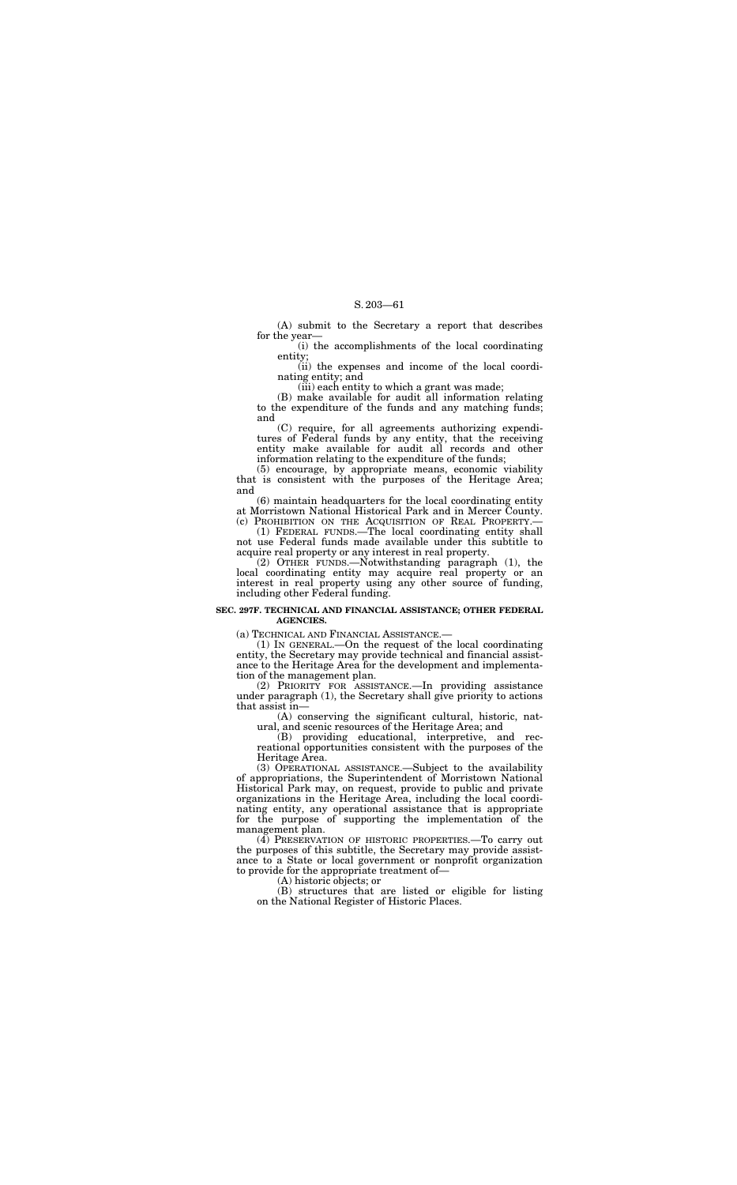(A) submit to the Secretary a report that describes for the year— (i) the accomplishments of the local coordinating

entity;

(ii) the expenses and income of the local coordinating entity; and

(iii) each entity to which a grant was made;

(B) make available for audit all information relating to the expenditure of the funds and any matching funds; and

(C) require, for all agreements authorizing expenditures of Federal funds by any entity, that the receiving entity make available for audit all records and other information relating to the expenditure of the funds;

(5) encourage, by appropriate means, economic viability that is consistent with the purposes of the Heritage Area; and

(6) maintain headquarters for the local coordinating entity at Morristown National Historical Park and in Mercer County. (c) PROHIBITION ON THE ACQUISITION OF REAL PROPERTY.—

(1) FEDERAL FUNDS.—The local coordinating entity shall not use Federal funds made available under this subtitle to acquire real property or any interest in real property.

(2) OTHER FUNDS.—Notwithstanding paragraph (1), the local coordinating entity may acquire real property or an interest in real property using any other source of funding, including other Federal funding.

#### **SEC. 297F. TECHNICAL AND FINANCIAL ASSISTANCE; OTHER FEDERAL AGENCIES.**

(a) TECHNICAL AND FINANCIAL ASSISTANCE.—

(1) IN GENERAL.—On the request of the local coordinating entity, the Secretary may provide technical and financial assistance to the Heritage Area for the development and implementation of the management plan.

(2) PRIORITY FOR ASSISTANCE.—In providing assistance under paragraph (1), the Secretary shall give priority to actions that assist in—

(A) conserving the significant cultural, historic, natural, and scenic resources of the Heritage Area; and

(B) providing educational, interpretive, and recreational opportunities consistent with the purposes of the Heritage Area.

(3) OPERATIONAL ASSISTANCE.—Subject to the availability of appropriations, the Superintendent of Morristown National Historical Park may, on request, provide to public and private organizations in the Heritage Area, including the local coordinating entity, any operational assistance that is appropriate for the purpose of supporting the implementation of the management plan.

(4) PRESERVATION OF HISTORIC PROPERTIES.—To carry out the purposes of this subtitle, the Secretary may provide assistance to a State or local government or nonprofit organization to provide for the appropriate treatment of— (A) historic objects; or

(B) structures that are listed or eligible for listing on the National Register of Historic Places.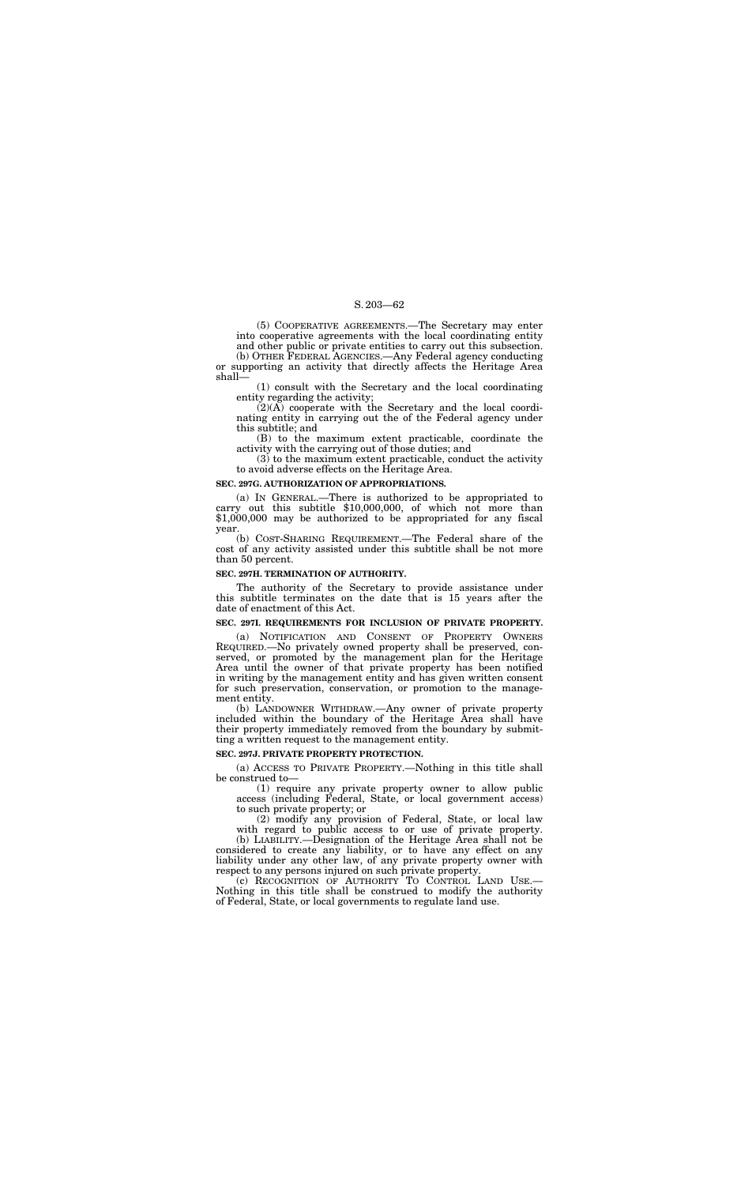(5) COOPERATIVE AGREEMENTS.—The Secretary may enter into cooperative agreements with the local coordinating entity and other public or private entities to carry out this subsection.

(b) OTHER FEDERAL AGENCIES.—Any Federal agency conducting or supporting an activity that directly affects the Heritage Area shall—

(1) consult with the Secretary and the local coordinating entity regarding the activity;

(2)(A) cooperate with the Secretary and the local coordinating entity in carrying out the of the Federal agency under this subtitle; and

(B) to the maximum extent practicable, coordinate the activity with the carrying out of those duties; and

(3) to the maximum extent practicable, conduct the activity to avoid adverse effects on the Heritage Area.

#### **SEC. 297G. AUTHORIZATION OF APPROPRIATIONS.**

(a) IN GENERAL.—There is authorized to be appropriated to carry out this subtitle \$10,000,000, of which not more than  $$1,000,000$  may be authorized to be appropriated for any fiscal year.

(b) COST-SHARING REQUIREMENT.—The Federal share of the cost of any activity assisted under this subtitle shall be not more than 50 percent.

### **SEC. 297H. TERMINATION OF AUTHORITY.**

The authority of the Secretary to provide assistance under this subtitle terminates on the date that is 15 years after the date of enactment of this Act.

#### **SEC. 297I. REQUIREMENTS FOR INCLUSION OF PRIVATE PROPERTY.**

(a) NOTIFICATION AND CONSENT OF PROPERTY OWNERS REQUIRED.—No privately owned property shall be preserved, conserved, or promoted by the management plan for the Heritage Area until the owner of that private property has been notified in writing by the management entity and has given written consent for such preservation, conservation, or promotion to the management entity.

(b) LANDOWNER WITHDRAW.—Any owner of private property included within the boundary of the Heritage Area shall have their property immediately removed from the boundary by submitting a written request to the management entity.

## **SEC. 297J. PRIVATE PROPERTY PROTECTION.**

(a) ACCESS TO PRIVATE PROPERTY.—Nothing in this title shall be construed to—

(1) require any private property owner to allow public access (including Federal, State, or local government access) to such private property; or

(2) modify any provision of Federal, State, or local law with regard to public access to or use of private property.

(b) LIABILITY.—Designation of the Heritage Area shall not be considered to create any liability, or to have any effect on any liability under any other law, of any private property owner with respect to any persons injured on such private property.

(c) RECOGNITION OF AUTHORITY TO CONTROL LAND USE.— Nothing in this title shall be construed to modify the authority of Federal, State, or local governments to regulate land use.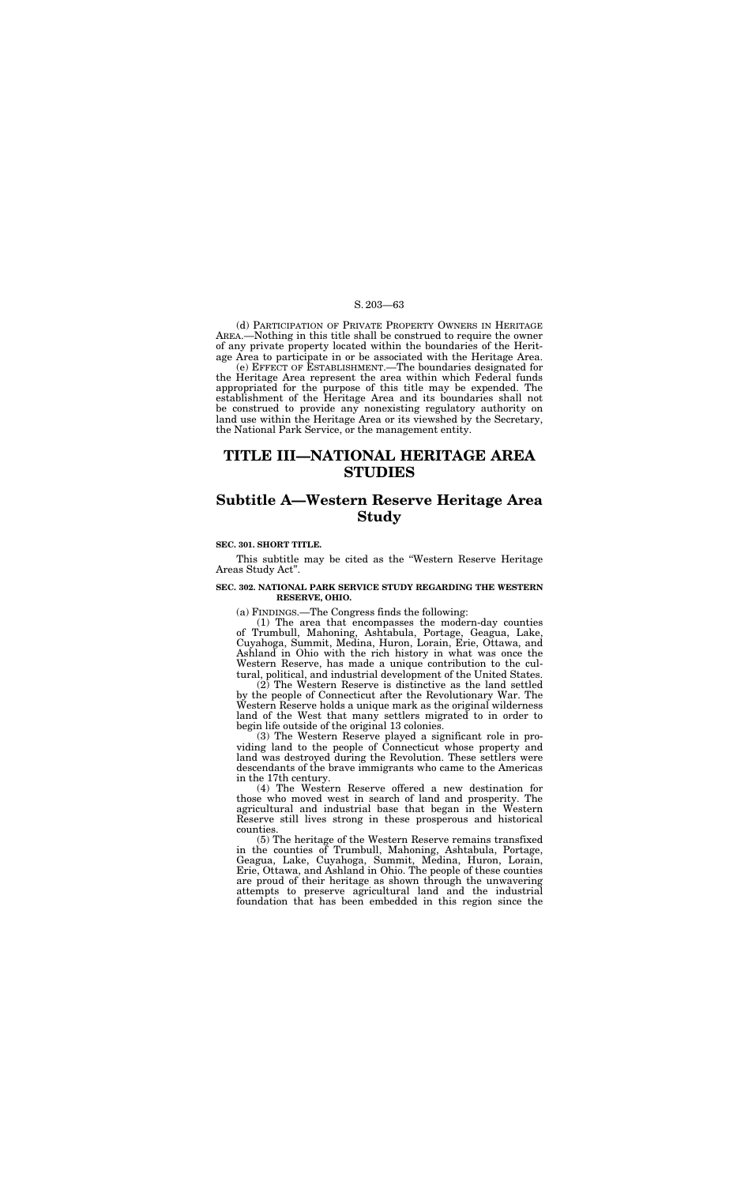(d) PARTICIPATION OF PRIVATE PROPERTY OWNERS IN HERITAGE AREA.—Nothing in this title shall be construed to require the owner of any private property located within the boundaries of the Heritage Area to participate in or be associated with the Heritage Area.

(e) EFFECT OF ESTABLISHMENT.—The boundaries designated for the Heritage Area represent the area within which Federal funds appropriated for the purpose of this title may be expended. The establishment of the Heritage Area and its boundaries shall not be construed to provide any nonexisting regulatory authority on land use within the Heritage Area or its viewshed by the Secretary, the National Park Service, or the management entity.

# **TITLE III—NATIONAL HERITAGE AREA STUDIES**

# **Subtitle A—Western Reserve Heritage Area Study**

## **SEC. 301. SHORT TITLE.**

This subtitle may be cited as the ''Western Reserve Heritage Areas Study Act''.

## **SEC. 302. NATIONAL PARK SERVICE STUDY REGARDING THE WESTERN RESERVE, OHIO.**

(a) FINDINGS.—The Congress finds the following:

(1) The area that encompasses the modern-day counties of Trumbull, Mahoning, Ashtabula, Portage, Geagua, Lake, Cuyahoga, Summit, Medina, Huron, Lorain, Erie, Ottawa, and Ashland in Ohio with the rich history in what was once the Western Reserve, has made a unique contribution to the cultural, political, and industrial development of the United States.

(2) The Western Reserve is distinctive as the land settled by the people of Connecticut after the Revolutionary War. The Western Reserve holds a unique mark as the original wilderness land of the West that many settlers migrated to in order to begin life outside of the original 13 colonies.

(3) The Western Reserve played a significant role in providing land to the people of Connecticut whose property and land was destroyed during the Revolution. These settlers were descendants of the brave immigrants who came to the Americas in the 17th century.

(4) The Western Reserve offered a new destination for those who moved west in search of land and prosperity. The agricultural and industrial base that began in the Western Reserve still lives strong in these prosperous and historical counties.

(5) The heritage of the Western Reserve remains transfixed in the counties of Trumbull, Mahoning, Ashtabula, Portage, Geagua, Lake, Cuyahoga, Summit, Medina, Huron, Lorain, Erie, Ottawa, and Ashland in Ohio. The people of these counties are proud of their heritage as shown through the unwavering attempts to preserve agricultural land and the industrial foundation that has been embedded in this region since the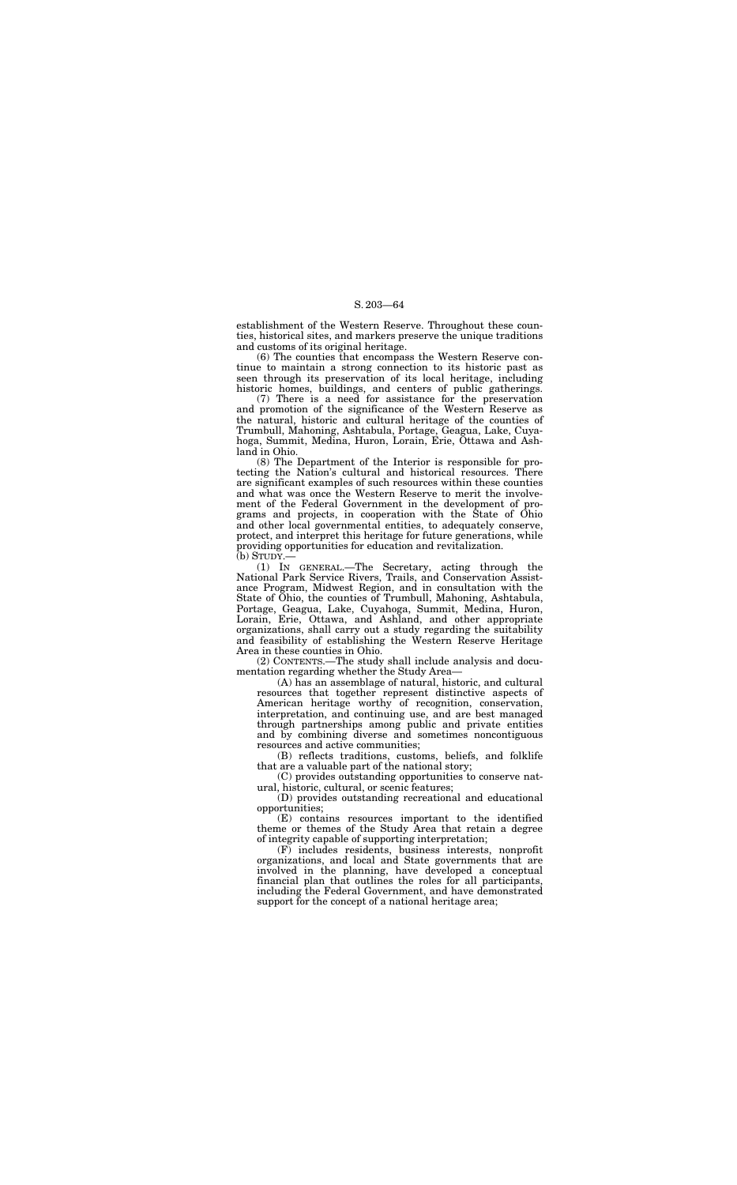establishment of the Western Reserve. Throughout these counties, historical sites, and markers preserve the unique traditions and customs of its original heritage.

(6) The counties that encompass the Western Reserve continue to maintain a strong connection to its historic past as seen through its preservation of its local heritage, including historic homes, buildings, and centers of public gatherings.

(7) There is a need for assistance for the preservation and promotion of the significance of the Western Reserve as the natural, historic and cultural heritage of the counties of Trumbull, Mahoning, Ashtabula, Portage, Geagua, Lake, Cuyahoga, Summit, Medina, Huron, Lorain, Erie, Ottawa and Ashland in Ohio.

(8) The Department of the Interior is responsible for protecting the Nation's cultural and historical resources. There are significant examples of such resources within these counties and what was once the Western Reserve to merit the involvement of the Federal Government in the development of programs and projects, in cooperation with the State of Ohio and other local governmental entities, to adequately conserve, protect, and interpret this heritage for future generations, while providing opportunities for education and revitalization.

(b) STUDY.—

(1) IN GENERAL.—The Secretary, acting through the National Park Service Rivers, Trails, and Conservation Assistance Program, Midwest Region, and in consultation with the State of Ohio, the counties of Trumbull, Mahoning, Ashtabula, Portage, Geagua, Lake, Cuyahoga, Summit, Medina, Huron, Lorain, Erie, Ottawa, and Ashland, and other appropriate organizations, shall carry out a study regarding the suitability and feasibility of establishing the Western Reserve Heritage Area in these counties in Ohio.

(2) CONTENTS.—The study shall include analysis and documentation regarding whether the Study Area—

(A) has an assemblage of natural, historic, and cultural resources that together represent distinctive aspects of American heritage worthy of recognition, conservation, interpretation, and continuing use, and are best managed through partnerships among public and private entities and by combining diverse and sometimes noncontiguous resources and active communities;

(B) reflects traditions, customs, beliefs, and folklife that are a valuable part of the national story;

(C) provides outstanding opportunities to conserve natural, historic, cultural, or scenic features;

(D) provides outstanding recreational and educational opportunities;

(E) contains resources important to the identified theme or themes of the Study Area that retain a degree of integrity capable of supporting interpretation;

(F) includes residents, business interests, nonprofit organizations, and local and State governments that are involved in the planning, have developed a conceptual financial plan that outlines the roles for all participants, including the Federal Government, and have demonstrated support for the concept of a national heritage area;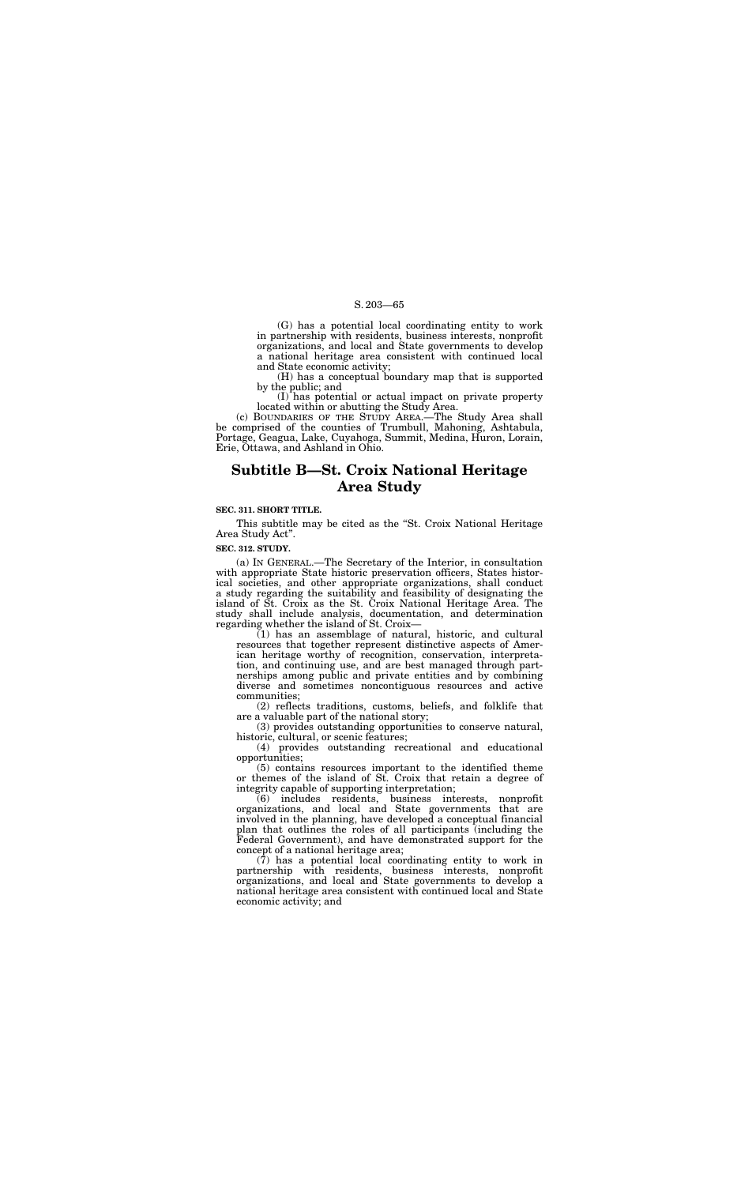(G) has a potential local coordinating entity to work in partnership with residents, business interests, nonprofit organizations, and local and State governments to develop a national heritage area consistent with continued local and State economic activity;

(H) has a conceptual boundary map that is supported by the public; and

(I) has potential or actual impact on private property located within or abutting the Study Area.

This subtitle may be cited as the "St. Croix National Heritage Area Study Act''.

(c) BOUNDARIES OF THE STUDY AREA.—The Study Area shall be comprised of the counties of Trumbull, Mahoning, Ashtabula, Portage, Geagua, Lake, Cuyahoga, Summit, Medina, Huron, Lorain, Erie, Ottawa, and Ashland in Ohio.

# **Subtitle B—St. Croix National Heritage Area Study**

# **SEC. 311. SHORT TITLE.**

**SEC. 312. STUDY.**

(a) IN GENERAL.—The Secretary of the Interior, in consultation with appropriate State historic preservation officers, States historical societies, and other appropriate organizations, shall conduct a study regarding the suitability and feasibility of designating the island of St. Croix as the St. Croix National Heritage Area. The study shall include analysis, documentation, and determination regarding whether the island of St. Croix—

 $(7)$  has a potential local coordinating entity to work in partnership with residents, business interests, nonprofit organizations, and local and State governments to develop a national heritage area consistent with continued local and State economic activity; and

(1) has an assemblage of natural, historic, and cultural resources that together represent distinctive aspects of American heritage worthy of recognition, conservation, interpretation, and continuing use, and are best managed through partnerships among public and private entities and by combining diverse and sometimes noncontiguous resources and active communities;

(2) reflects traditions, customs, beliefs, and folklife that are a valuable part of the national story;

(3) provides outstanding opportunities to conserve natural, historic, cultural, or scenic features;

(4) provides outstanding recreational and educational opportunities;

(5) contains resources important to the identified theme or themes of the island of St. Croix that retain a degree of integrity capable of supporting interpretation;

(6) includes residents, business interests, nonprofit organizations, and local and State governments that are involved in the planning, have developed a conceptual financial plan that outlines the roles of all participants (including the Federal Government), and have demonstrated support for the concept of a national heritage area;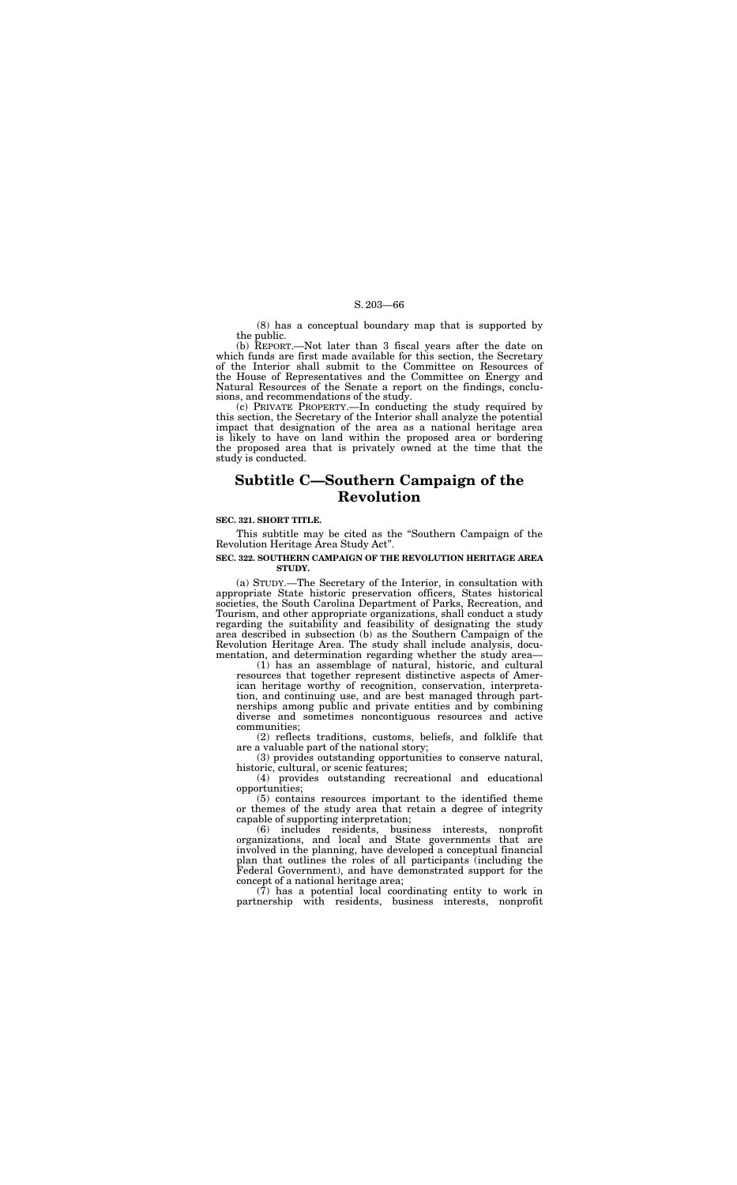(8) has a conceptual boundary map that is supported by the public.

(b) REPORT.—Not later than 3 fiscal years after the date on which funds are first made available for this section, the Secretary of the Interior shall submit to the Committee on Resources of the House of Representatives and the Committee on Energy and Natural Resources of the Senate a report on the findings, conclusions, and recommendations of the study.

(c) PRIVATE PROPERTY.—In conducting the study required by this section, the Secretary of the Interior shall analyze the potential impact that designation of the area as a national heritage area is likely to have on land within the proposed area or bordering the proposed area that is privately owned at the time that the study is conducted.

# **Subtitle C—Southern Campaign of the Revolution**

## **SEC. 321. SHORT TITLE.**

This subtitle may be cited as the ''Southern Campaign of the Revolution Heritage Area Study Act''.

### **SEC. 322. SOUTHERN CAMPAIGN OF THE REVOLUTION HERITAGE AREA STUDY.**

(a) STUDY.—The Secretary of the Interior, in consultation with appropriate State historic preservation officers, States historical societies, the South Carolina Department of Parks, Recreation, and Tourism, and other appropriate organizations, shall conduct a study regarding the suitability and feasibility of designating the study area described in subsection (b) as the Southern Campaign of the Revolution Heritage Area. The study shall include analysis, documentation, and determination regarding whether the study area—

(1) has an assemblage of natural, historic, and cultural resources that together represent distinctive aspects of American heritage worthy of recognition, conservation, interpretation, and continuing use, and are best managed through partnerships among public and private entities and by combining diverse and sometimes noncontiguous resources and active communities;

(2) reflects traditions, customs, beliefs, and folklife that are a valuable part of the national story;

(3) provides outstanding opportunities to conserve natural, historic, cultural, or scenic features;

(4) provides outstanding recreational and educational opportunities;

(5) contains resources important to the identified theme or themes of the study area that retain a degree of integrity capable of supporting interpretation;

(6) includes residents, business interests, nonprofit organizations, and local and State governments that are involved in the planning, have developed a conceptual financial plan that outlines the roles of all participants (including the Federal Government), and have demonstrated support for the concept of a national heritage area;

(7) has a potential local coordinating entity to work in partnership with residents, business interests, nonprofit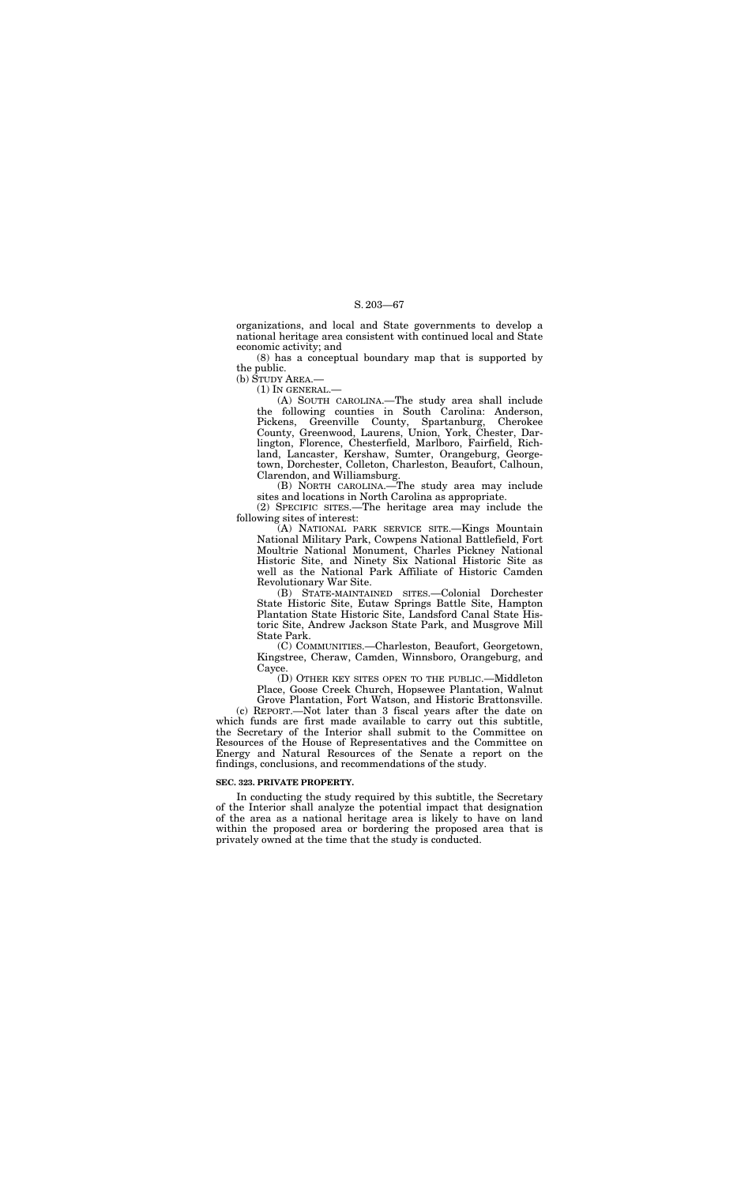organizations, and local and State governments to develop a national heritage area consistent with continued local and State economic activity; and

(8) has a conceptual boundary map that is supported by the public.

(b) STUDY AREA.—

(1) IN GENERAL.—

(A) SOUTH CAROLINA.—The study area shall include the following counties in South Carolina: Anderson, Pickens, Greenville County, Spartanburg, Cherokee County, Greenwood, Laurens, Union, York, Chester, Darlington, Florence, Chesterfield, Marlboro, Fairfield, Richland, Lancaster, Kershaw, Sumter, Orangeburg, Georgetown, Dorchester, Colleton, Charleston, Beaufort, Calhoun, Clarendon, and Williamsburg.

(B) NORTH CAROLINA.—The study area may include sites and locations in North Carolina as appropriate.

(2) SPECIFIC SITES.—The heritage area may include the following sites of interest:

(A) NATIONAL PARK SERVICE SITE.—Kings Mountain National Military Park, Cowpens National Battlefield, Fort Moultrie National Monument, Charles Pickney National Historic Site, and Ninety Six National Historic Site as well as the National Park Affiliate of Historic Camden Revolutionary War Site.

(B) STATE-MAINTAINED SITES.—Colonial Dorchester State Historic Site, Eutaw Springs Battle Site, Hampton Plantation State Historic Site, Landsford Canal State Historic Site, Andrew Jackson State Park, and Musgrove Mill State Park.

(C) COMMUNITIES.—Charleston, Beaufort, Georgetown, Kingstree, Cheraw, Camden, Winnsboro, Orangeburg, and Cayce.

(D) OTHER KEY SITES OPEN TO THE PUBLIC.—Middleton Place, Goose Creek Church, Hopsewee Plantation, Walnut Grove Plantation, Fort Watson, and Historic Brattonsville.

(c) REPORT.—Not later than 3 fiscal years after the date on which funds are first made available to carry out this subtitle, the Secretary of the Interior shall submit to the Committee on Resources of the House of Representatives and the Committee on Energy and Natural Resources of the Senate a report on the findings, conclusions, and recommendations of the study.

### **SEC. 323. PRIVATE PROPERTY.**

In conducting the study required by this subtitle, the Secretary of the Interior shall analyze the potential impact that designation of the area as a national heritage area is likely to have on land within the proposed area or bordering the proposed area that is privately owned at the time that the study is conducted.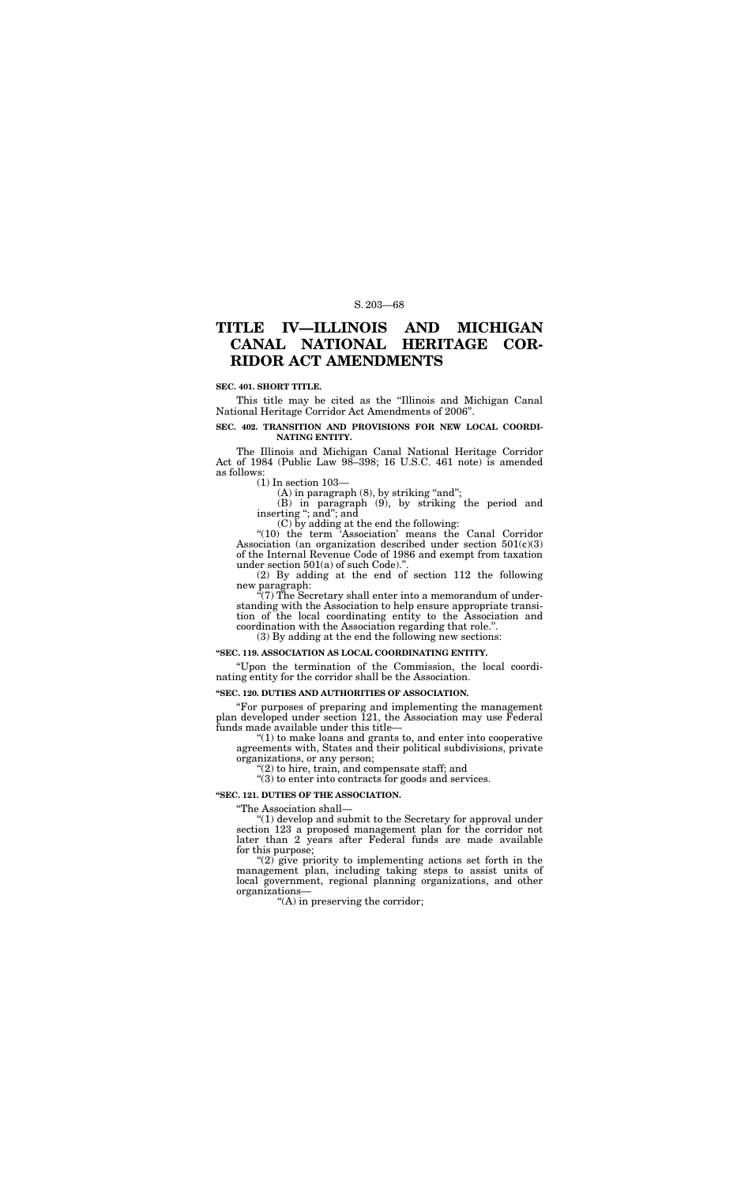# **TITLE IV—ILLINOIS AND MICHIGAN CANAL NATIONAL HERITAGE COR-RIDOR ACT AMENDMENTS**

#### **SEC. 401. SHORT TITLE.**

This title may be cited as the ''Illinois and Michigan Canal National Heritage Corridor Act Amendments of 2006''.

## **SEC. 402. TRANSITION AND PROVISIONS FOR NEW LOCAL COORDI-NATING ENTITY.**

The Illinois and Michigan Canal National Heritage Corridor Act of 1984 (Public Law 98–398; 16 U.S.C. 461 note) is amended as follows:

"(10) the term 'Association' means the Canal Corridor Association (an organization described under section 501(c)(3) of the Internal Revenue Code of 1986 and exempt from taxation under section 501(a) of such Code).''.

(1) In section 103—

 $(A)$  in paragraph  $(8)$ , by striking "and";

(B) in paragraph (9), by striking the period and inserting ''; and''; and

 $\cdot$ <sup>"(7)</sup> The Secretary shall enter into a memorandum of understanding with the Association to help ensure appropriate transition of the local coordinating entity to the Association and coordination with the Association regarding that role.''.

(C) by adding at the end the following:

(2) By adding at the end of section 112 the following new paragraph:

''(1) develop and submit to the Secretary for approval under section 123 a proposed management plan for the corridor not later than 2 years after Federal funds are made available<br>for this purpose;

" $(2)$  give priority to implementing actions set forth in the management plan, including taking steps to assist units of local government, regional planning organizations, and other organizations—

(3) By adding at the end the following new sections:

# **''SEC. 119. ASSOCIATION AS LOCAL COORDINATING ENTITY.**

''Upon the termination of the Commission, the local coordinating entity for the corridor shall be the Association.

### **''SEC. 120. DUTIES AND AUTHORITIES OF ASSOCIATION.**

''For purposes of preparing and implementing the management plan developed under section 121, the Association may use Federal funds made available under this title—

''(1) to make loans and grants to, and enter into cooperative agreements with, States and their political subdivisions, private organizations, or any person;

 $(2)$  to hire, train, and compensate staff; and

"(3) to enter into contracts for goods and services.

#### **''SEC. 121. DUTIES OF THE ASSOCIATION.**

''The Association shall—

''(A) in preserving the corridor;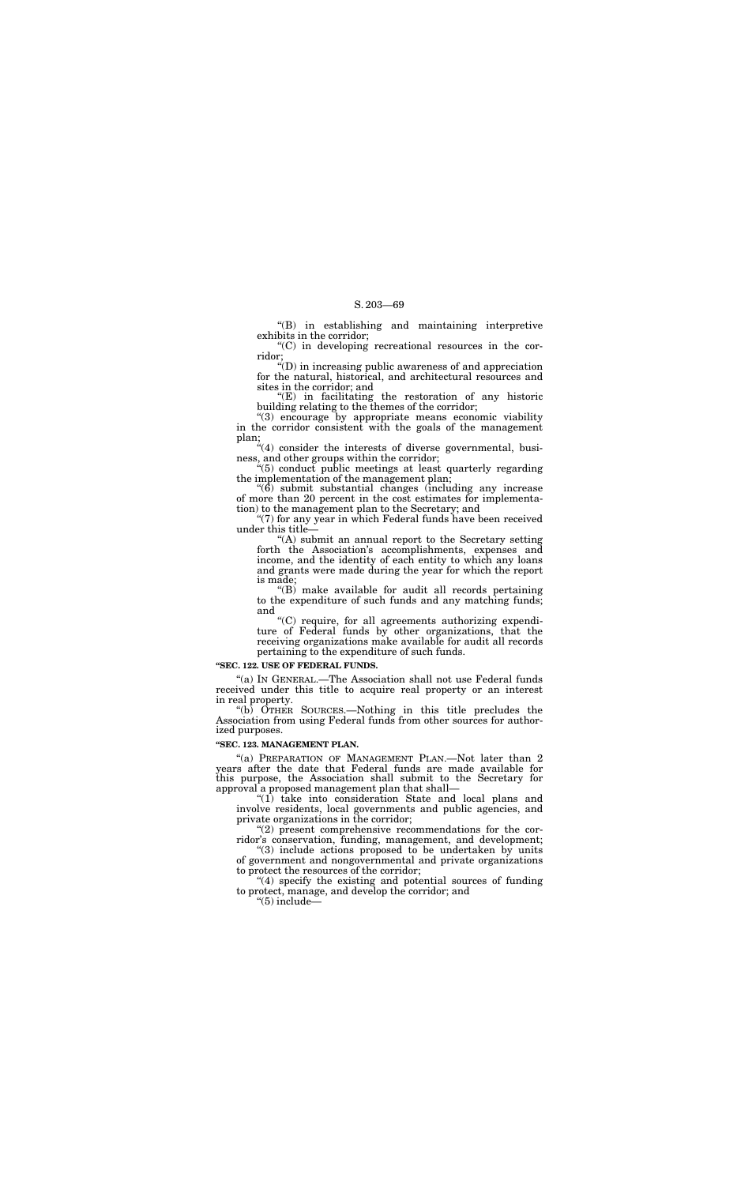''(B) in establishing and maintaining interpretive

 $C$ ) in developing recreational resources in the cor-

ridor;<br>"(D) in increasing public awareness of and appreciation" for the natural, historical, and architectural resources and sites in the corridor; and

 $f(E)$  in facilitating the restoration of any historic building relating to the themes of the corridor;

''(3) encourage by appropriate means economic viability in the corridor consistent with the goals of the management

plan;  $''(4)$  consider the interests of diverse governmental, business, and other groups within the corridor; "(5) conduct public meetings at least quarterly regarding

the implementation of the management plan;<br>"(6) submit substantial changes (including any increase)

under this title—<br>"(A) submit an annual report to the Secretary setting" forth the Association's accomplishments, expenses and income, and the identity of each entity to which any loans and grants were made during the year for which the report

"(B) make available for audit all records pertaining to the expenditure of such funds and any matching funds;

and "(C) require, for all agreements authorizing expenditure of Federal funds by other organizations, that the receiving organizations make available for audit all records pertaining to the expenditure of such funds.

of more than 20 percent in the cost estimates for implementation) to the management plan to the Secretary; and ''(7) for any year in which Federal funds have been received

"(a) PREPARATION OF MANAGEMENT PLAN.—Not later than 2 years after the date that Federal funds are made available for this purpose, the Association shall submit to the Secretary for approval a proposed management plan that shall— ''(1) take into consideration State and local plans and

"(2) present comprehensive recommendations for the corridor's conservation, funding, management, and development;

"(4) specify the existing and potential sources of funding to protect, manage, and develop the corridor; and

 $\degree$ (5) include—

## **''SEC. 122. USE OF FEDERAL FUNDS.**

''(a) IN GENERAL.—The Association shall not use Federal funds received under this title to acquire real property or an interest in real property. ''(b) OTHER SOURCES.—Nothing in this title precludes the

Association from using Federal funds from other sources for authorized purposes.

#### **''SEC. 123. MANAGEMENT PLAN.**

involve residents, local governments and public agencies, and private organizations in the corridor;

''(3) include actions proposed to be undertaken by units of government and nongovernmental and private organizations to protect the resources of the corridor;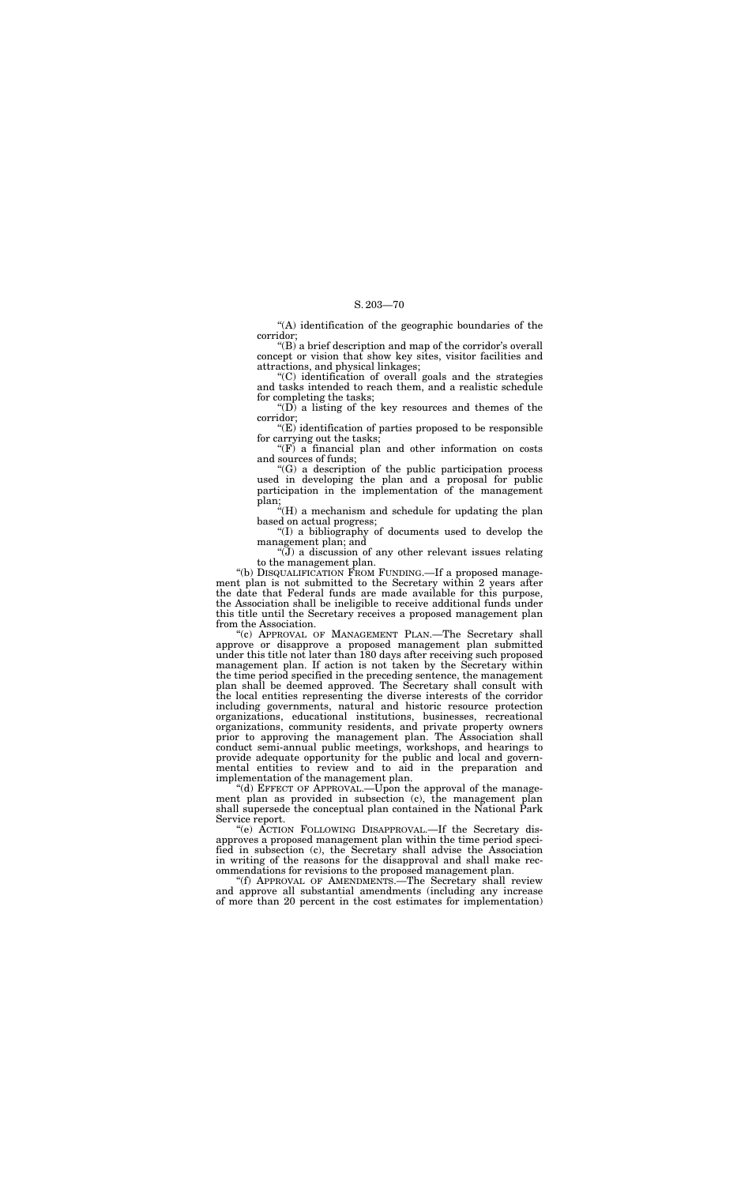"(A) identification of the geographic boundaries of the corridor;<br>"(B) a brief description and map of the corridor's overall

concept or vision that show key sites, visitor facilities and

 $(C)$  identification of overall goals and the strategies and tasks intended to reach them, and a realistic schedule for completing the tasks;

 $f(D)$  a listing of the key resources and themes of the

corridor;<br>"(E) identification of parties proposed to be responsible

for carrying out the tasks;<br>"(F) a financial plan and other information on costs<br>and sources of funds;

 $(G)$  a description of the public participation process used in developing the plan and a proposal for public participation in the implementation of the management

plan;  $\hat{H}^{(H)}$  a mechanism and schedule for updating the plan based on actual progress;

"(I) a bibliography of documents used to develop the management plan; and

 $\sqrt[4]{J}$  a discussion of any other relevant issues relating to the management plan.

''(b) DISQUALIFICATION FROM FUNDING.—If a proposed management plan is not submitted to the Secretary within 2 years after the date that Federal funds are made available for this purpose, the Association shall be ineligible to receive additional funds under this title until the Secretary receives a proposed management plan from the Association.

"(d) EFFECT OF APPROVAL.—Upon the approval of the management plan as provided in subsection (c), the management plan shall supersede the conceptual plan contained in the National Park

"(e) ACTION FOLLOWING DISAPPROVAL.—If the Secretary disapproves a proposed management plan within the time period specified in subsection (c), the Secretary shall advise the Association in writing of the reasons for the disapproval and shall make recommendations for revisions to the proposed management plan.

''(c) APPROVAL OF MANAGEMENT PLAN.—The Secretary shall approve or disapprove a proposed management plan submitted under this title not later than 180 days after receiving such proposed management plan. If action is not taken by the Secretary within the time period specified in the preceding sentence, the management plan shall be deemed approved. The Secretary shall consult with the local entities representing the diverse interests of the corridor including governments, natural and historic resource protection organizations, educational institutions, businesses, recreational organizations, community residents, and private property owners prior to approving the management plan. The Association shall conduct semi-annual public meetings, workshops, and hearings to provide adequate opportunity for the public and local and governmental entities to review and to aid in the preparation and implementation of the management plan.

''(f) APPROVAL OF AMENDMENTS.—The Secretary shall review and approve all substantial amendments (including any increase of more than 20 percent in the cost estimates for implementation)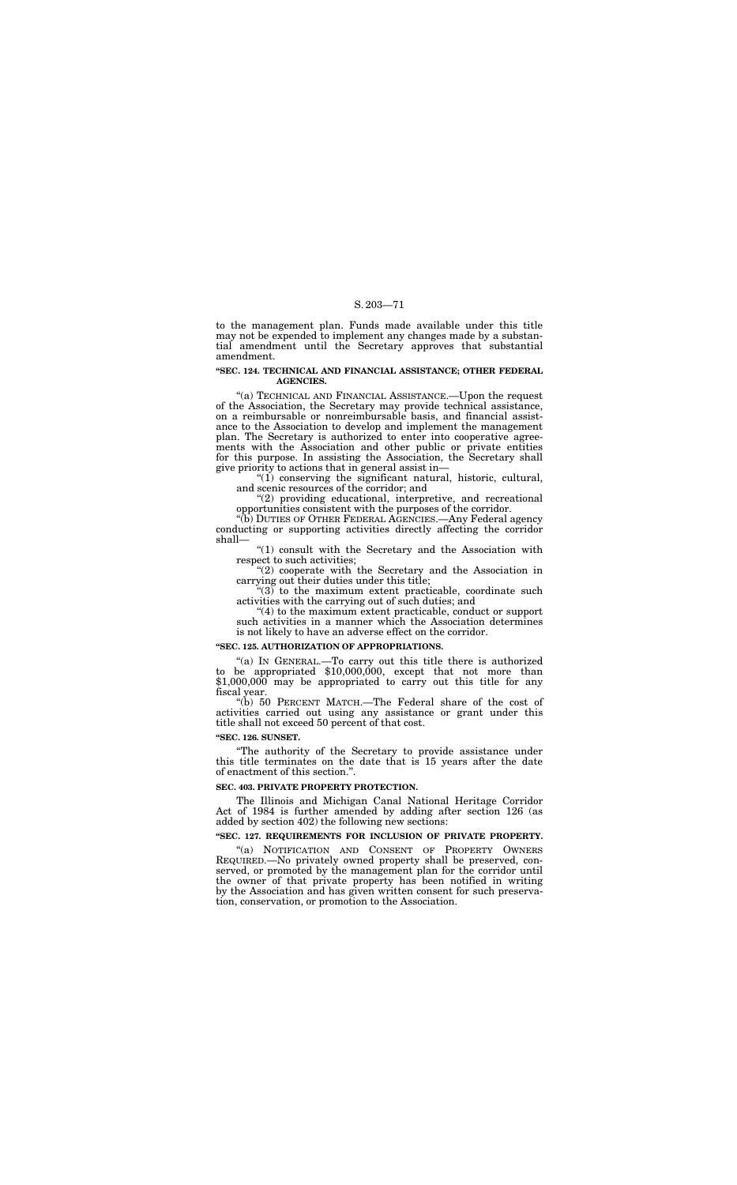to the management plan. Funds made available under this title may not be expended to implement any changes made by a substantial amendment until the Secretary approves that substantial amendment.

#### **''SEC. 124. TECHNICAL AND FINANCIAL ASSISTANCE; OTHER FEDERAL AGENCIES.**

 $''(1)$  conserving the significant natural, historic, cultural, and scenic resources of the corridor; and

"(2) providing educational, interpretive, and recreational opportunities consistent with the purposes of the corridor.

(b) DUTIES OF OTHER FEDERAL AGENCIES.—Any Federal agency conducting or supporting activities directly affecting the corridor shall—<br>
"(1) consult with the Secretary and the Association with

respect to such activities;<br>"(2) cooperate with the Secretary and the Association in<br>carrying out their duties under this title;

 $\degree$ (3) to the maximum extent practicable, coordinate such activities with the carrying out of such duties; and

''(a) TECHNICAL AND FINANCIAL ASSISTANCE.—Upon the request of the Association, the Secretary may provide technical assistance, on a reimbursable or nonreimbursable basis, and financial assistance to the Association to develop and implement the management plan. The Secretary is authorized to enter into cooperative agreements with the Association and other public or private entities for this purpose. In assisting the Association, the Secretary shall give priority to actions that in general assist in—

 $*(4)$  to the maximum extent practicable, conduct or support such activities in a manner which the Association determines is not likely to have an adverse effect on the corridor.

"(a) IN GENERAL.—To carry out this title there is authorized to be appropriated \$10,000,000, except that not more than \$1,000,000 may be appropriated to carry out this title for any fiscal year.

"(a) NOTIFICATION AND CONSENT OF PROPERTY OWNERS REQUIRED.—No privately owned property shall be preserved, conserved, or promoted by the management plan for the corridor until the owner of that private property has been notified in writing by the Association and has given written consent for such preservation, conservation, or promotion to the Association.

#### **''SEC. 125. AUTHORIZATION OF APPROPRIATIONS.**

''(b) 50 PERCENT MATCH.—The Federal share of the cost of activities carried out using any assistance or grant under this title shall not exceed 50 percent of that cost.

#### **''SEC. 126. SUNSET.**

''The authority of the Secretary to provide assistance under this title terminates on the date that is 15 years after the date of enactment of this section.''.

### **SEC. 403. PRIVATE PROPERTY PROTECTION.**

The Illinois and Michigan Canal National Heritage Corridor Act of 1984 is further amended by adding after section 126 (as added by section 402) the following new sections:

## **''SEC. 127. REQUIREMENTS FOR INCLUSION OF PRIVATE PROPERTY.**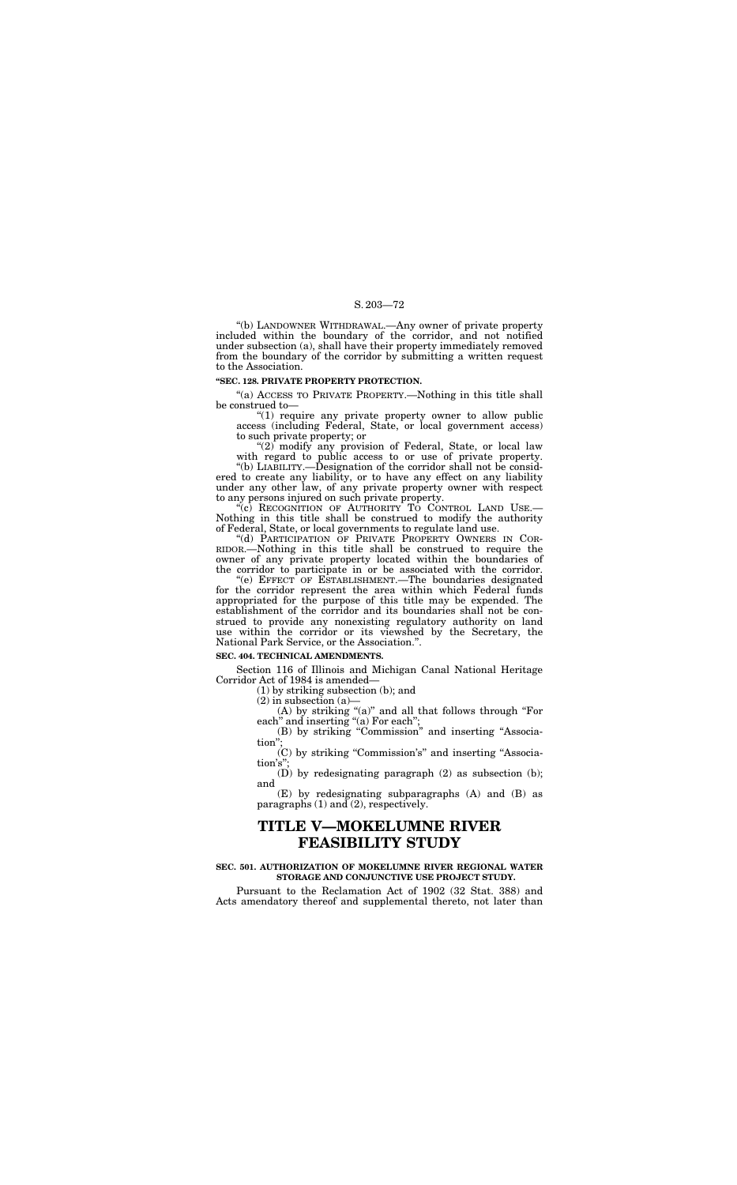''(b) LANDOWNER WITHDRAWAL.—Any owner of private property included within the boundary of the corridor, and not notified under subsection (a), shall have their property immediately removed from the boundary of the corridor by submitting a written request to the Association.

"(a) ACCESS TO PRIVATE PROPERTY.—Nothing in this title shall be construed to—

" $(1)$  require any private property owner to allow public access (including Federal, State, or local government access) to such private property; or

### **''SEC. 128. PRIVATE PROPERTY PROTECTION.**

"(2) modify any provision of Federal, State, or local law with regard to public access to or use of private property.

"(c) RECOGNITION OF AUTHORITY TO CONTROL LAND USE.— Nothing in this title shall be construed to modify the authority of Federal, State, or local governments to regulate land use.

''(b) LIABILITY.—Designation of the corridor shall not be considered to create any liability, or to have any effect on any liability under any other law, of any private property owner with respect to any persons injured on such private property.

> (A) by striking "(a)" and all that follows through "For each'' and inserting ''(a) For each'';

> (C) by striking ''Commission's'' and inserting ''Association's"

''(d) PARTICIPATION OF PRIVATE PROPERTY OWNERS IN COR-RIDOR.—Nothing in this title shall be construed to require the owner of any private property located within the boundaries of the corridor to participate in or be associated with the corridor.

''(e) EFFECT OF ESTABLISHMENT.—The boundaries designated for the corridor represent the area within which Federal funds appropriated for the purpose of this title may be expended. The establishment of the corridor and its boundaries shall not be construed to provide any nonexisting regulatory authority on land use within the corridor or its viewshed by the Secretary, the National Park Service, or the Association.''.

#### **SEC. 404. TECHNICAL AMENDMENTS.**

Section 116 of Illinois and Michigan Canal National Heritage Corridor Act of 1984 is amended—

(1) by striking subsection (b); and

 $(2)$  in subsection  $(a)$ 

(B) by striking ''Commission'' and inserting ''Association'';

(D) by redesignating paragraph (2) as subsection (b); and

(E) by redesignating subparagraphs (A) and (B) as paragraphs (1) and (2), respectively.

# **TITLE V—MOKELUMNE RIVER FEASIBILITY STUDY**

## **SEC. 501. AUTHORIZATION OF MOKELUMNE RIVER REGIONAL WATER STORAGE AND CONJUNCTIVE USE PROJECT STUDY.**

Pursuant to the Reclamation Act of 1902 (32 Stat. 388) and Acts amendatory thereof and supplemental thereto, not later than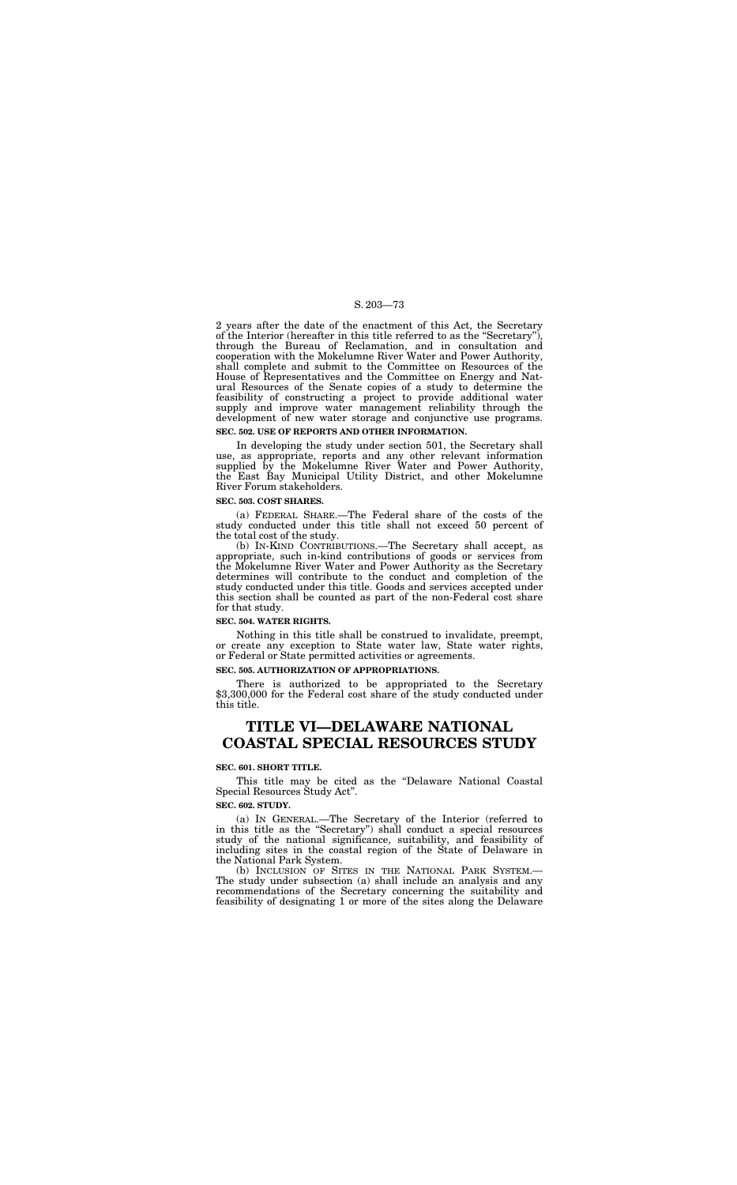2 years after the date of the enactment of this Act, the Secretary of the Interior (hereafter in this title referred to as the ''Secretary''), through the Bureau of Reclamation, and in consultation and cooperation with the Mokelumne River Water and Power Authority, shall complete and submit to the Committee on Resources of the House of Representatives and the Committee on Energy and Natural Resources of the Senate copies of a study to determine the feasibility of constructing a project to provide additional water supply and improve water management reliability through the development of new water storage and conjunctive use programs.

### **SEC. 502. USE OF REPORTS AND OTHER INFORMATION.**

In developing the study under section 501, the Secretary shall use, as appropriate, reports and any other relevant information supplied by the Mokelumne River Water and Power Authority, the East Bay Municipal Utility District, and other Mokelumne River Forum stakeholders.

## **SEC. 503. COST SHARES.**

This title may be cited as the "Delaware National Coastal Special Resources Study Act''.

(a) FEDERAL SHARE.—The Federal share of the costs of the study conducted under this title shall not exceed 50 percent of the total cost of the study.

(b) IN-KIND CONTRIBUTIONS.—The Secretary shall accept, as appropriate, such in-kind contributions of goods or services from the Mokelumne River Water and Power Authority as the Secretary determines will contribute to the conduct and completion of the study conducted under this title. Goods and services accepted under this section shall be counted as part of the non-Federal cost share for that study.

#### **SEC. 504. WATER RIGHTS.**

Nothing in this title shall be construed to invalidate, preempt, or create any exception to State water law, State water rights, or Federal or State permitted activities or agreements.

## **SEC. 505. AUTHORIZATION OF APPROPRIATIONS.**

There is authorized to be appropriated to the Secretary \$3,300,000 for the Federal cost share of the study conducted under this title.

# **TITLE VI—DELAWARE NATIONAL COASTAL SPECIAL RESOURCES STUDY**

#### **SEC. 601. SHORT TITLE.**

# **SEC. 602. STUDY.**

(a) IN GENERAL.—The Secretary of the Interior (referred to in this title as the ''Secretary'') shall conduct a special resources study of the national significance, suitability, and feasibility of including sites in the coastal region of the State of Delaware in the National Park System.

(b) INCLUSION OF SITES IN THE NATIONAL PARK SYSTEM.— The study under subsection (a) shall include an analysis and any recommendations of the Secretary concerning the suitability and feasibility of designating 1 or more of the sites along the Delaware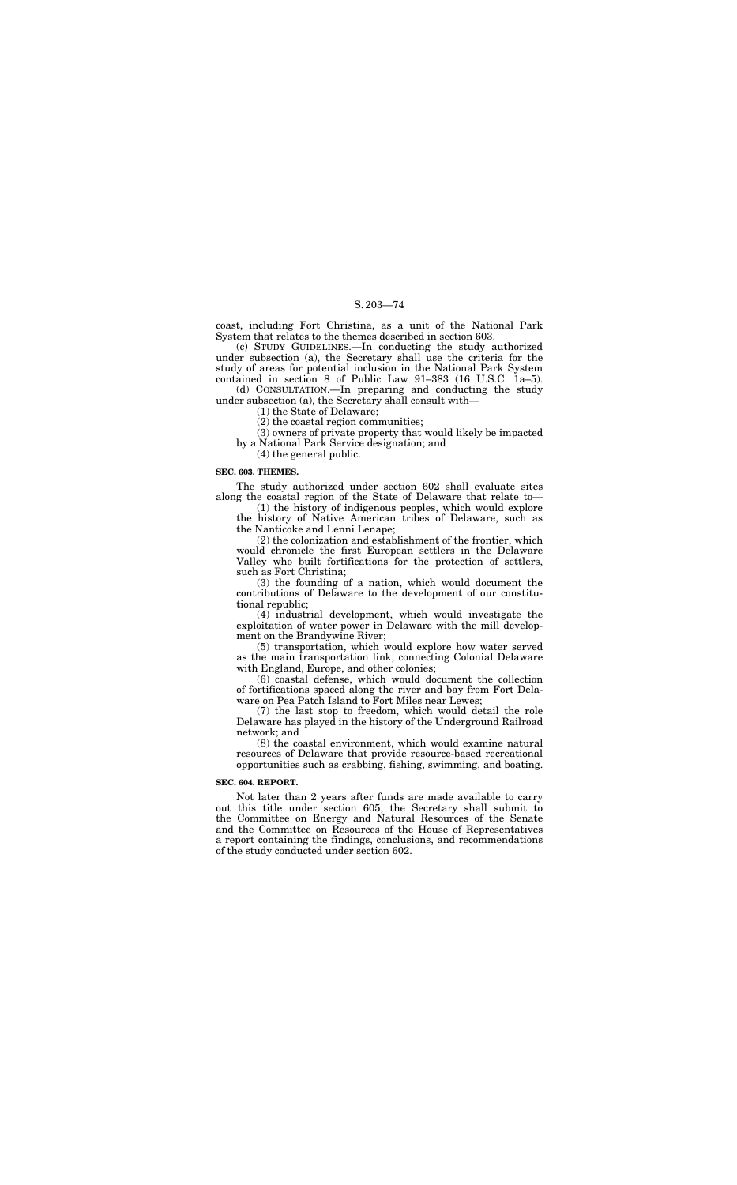coast, including Fort Christina, as a unit of the National Park System that relates to the themes described in section 603.

(c) STUDY GUIDELINES.—In conducting the study authorized under subsection (a), the Secretary shall use the criteria for the study of areas for potential inclusion in the National Park System contained in section 8 of Public Law 91–383 (16 U.S.C. 1a–5).

(d) CONSULTATION.—In preparing and conducting the study under subsection (a), the Secretary shall consult with—

(1) the State of Delaware;

(2) the coastal region communities;

(3) owners of private property that would likely be impacted by a National Park Service designation; and

(4) the general public.

### **SEC. 603. THEMES.**

The study authorized under section 602 shall evaluate sites along the coastal region of the State of Delaware that relate to—

(1) the history of indigenous peoples, which would explore the history of Native American tribes of Delaware, such as the Nanticoke and Lenni Lenape;

(2) the colonization and establishment of the frontier, which would chronicle the first European settlers in the Delaware Valley who built fortifications for the protection of settlers, such as Fort Christina;

(3) the founding of a nation, which would document the contributions of Delaware to the development of our constitutional republic;

(4) industrial development, which would investigate the exploitation of water power in Delaware with the mill development on the Brandywine River;

(5) transportation, which would explore how water served as the main transportation link, connecting Colonial Delaware with England, Europe, and other colonies;

(6) coastal defense, which would document the collection of fortifications spaced along the river and bay from Fort Delaware on Pea Patch Island to Fort Miles near Lewes;

(7) the last stop to freedom, which would detail the role Delaware has played in the history of the Underground Railroad network; and

(8) the coastal environment, which would examine natural resources of Delaware that provide resource-based recreational opportunities such as crabbing, fishing, swimming, and boating.

#### **SEC. 604. REPORT.**

Not later than 2 years after funds are made available to carry out this title under section 605, the Secretary shall submit to the Committee on Energy and Natural Resources of the Senate and the Committee on Resources of the House of Representatives a report containing the findings, conclusions, and recommendations of the study conducted under section 602.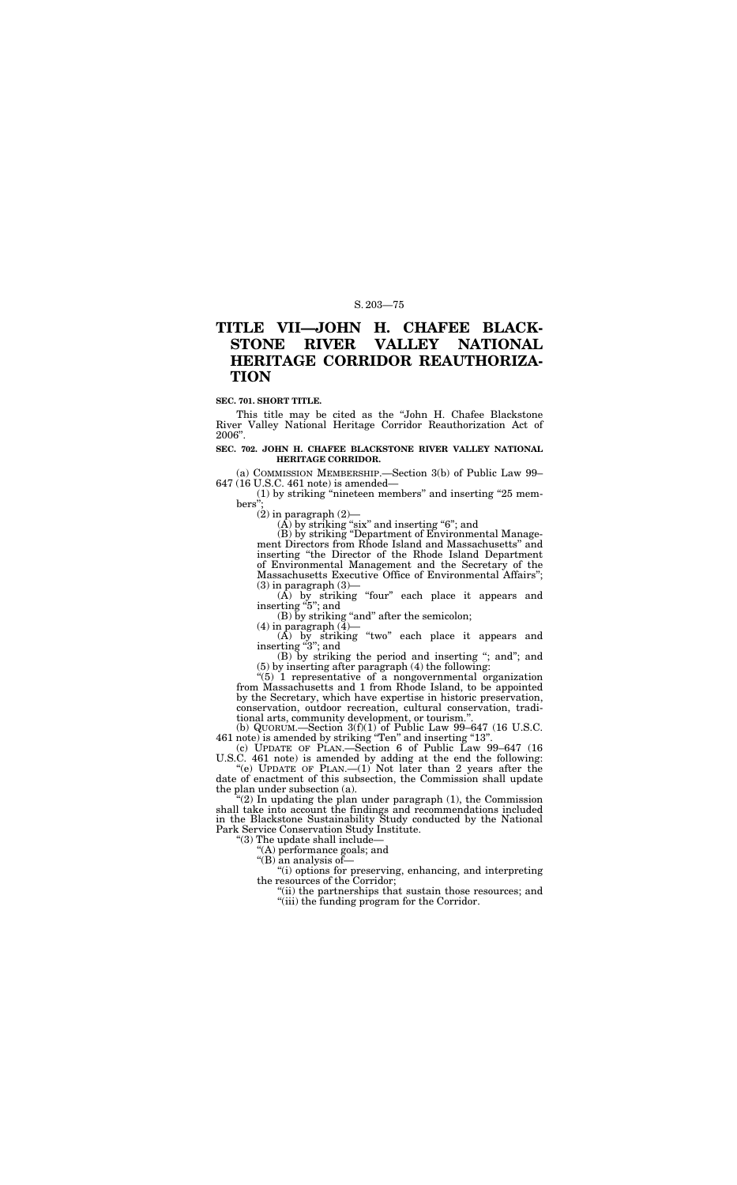# **TITLE VII—JOHN H. CHAFEE BLACK-STONE RIVER VALLEY NATIONAL HERITAGE CORRIDOR REAUTHORIZA-TION**

### **SEC. 701. SHORT TITLE.**

This title may be cited as the ''John H. Chafee Blackstone River Valley National Heritage Corridor Reauthorization Act of 2006''.

### **SEC. 702. JOHN H. CHAFEE BLACKSTONE RIVER VALLEY NATIONAL HERITAGE CORRIDOR.**

(a) COMMISSION MEMBERSHIP.—Section 3(b) of Public Law 99–<br>647 (16 U.S.C. 461 note) is amended—<br>(1) by striking "nineteen members" and inserting "25 mem-

bers";<br>(2) in paragraph  $(2)$ —

(2) in paragraph (2)—<br>(A) by striking "six" and inserting "6"; and

(3) in paragraph (3)— (A) by striking ''four'' each place it appears and inserting "5"; and

(B) by striking "and" after the semicolon;<br>(4) in paragraph  $(4)$ —

(4) in paragraph (4)—<br>(A) by striking "two" each place it appears and inserting ''3''; and

(B) by striking the period and inserting "; and"; and (5) by inserting after paragraph (4) the following:

(B) by striking ''Department of Environmental Management Directors from Rhode Island and Massachusetts'' and inserting ''the Director of the Rhode Island Department of Environmental Management and the Secretary of the Massachusetts Executive Office of Environmental Affairs'';

"(ii) the partnerships that sustain those resources; and ''(iii) the funding program for the Corridor.

''(5) 1 representative of a nongovernmental organization from Massachusetts and 1 from Rhode Island, to be appointed by the Secretary, which have expertise in historic preservation, conservation, outdoor recreation, cultural conservation, tradi-

tional arts, community development, or tourism.''. (b) QUORUM.—Section 3(f)(1) of Public Law 99–647 (16 U.S.C.

461 note) is amended by striking "Ten" and inserting "13".<br>(c) UPDATE OF PLAN.—Section 6 of Public Law 99–647 (16)

U.S.C. 461 note) is amended by adding at the end the following: "(e) UPDATE OF PLAN.—(1) Not later than 2 years after the date of enactment of this subsection, the Commission shall update the plan under subsection (a).

 $t''(2)$  In updating the plan under paragraph (1), the Commission shall take into account the findings and recommendations included in the Blackstone Sustainability Study conducted by the National Park Service Conservation Study Institute.<br>
"(3) The update shall include—<br>
"(A) performance goals; and<br>
"(B) an analysis of—

"(i) options for preserving, enhancing, and interpreting the resources of the Corridor;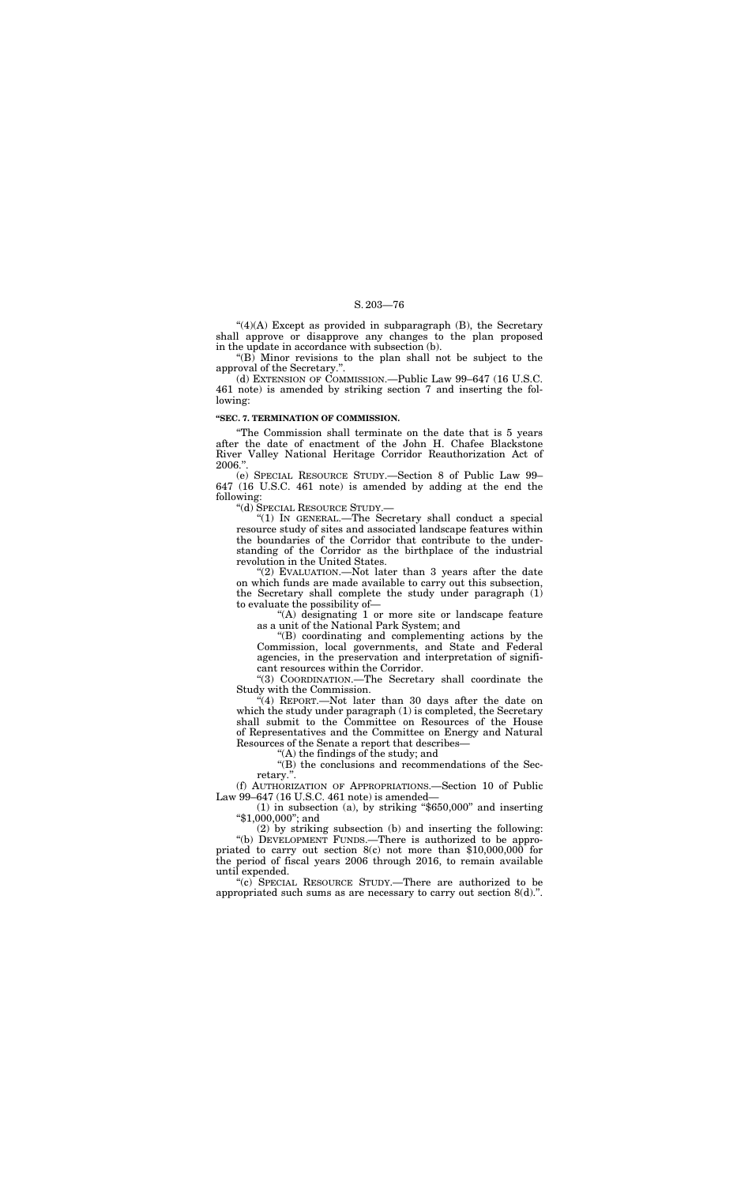" $(4)(A)$  Except as provided in subparagraph  $(B)$ , the Secretary shall approve or disapprove any changes to the plan proposed in the update in accordance with subsection (b).

" $(B)$  Minor revisions to the plan shall not be subject to the approval of the Secretary.''.

(d) EXTENSION OF COMMISSION.—Public Law 99–647 (16 U.S.C. 461 note) is amended by striking section 7 and inserting the following:

## **''SEC. 7. TERMINATION OF COMMISSION.**

"(1) IN GENERAL.—The Secretary shall conduct a special resource study of sites and associated landscape features within the boundaries of the Corridor that contribute to the understanding of the Corridor as the birthplace of the industrial revolution in the United States.

''The Commission shall terminate on the date that is 5 years after the date of enactment of the John H. Chafee Blackstone River Valley National Heritage Corridor Reauthorization Act of 2006.''.

"(2) EVALUATION.—Not later than 3 years after the date on which funds are made available to carry out this subsection, the Secretary shall complete the study under paragraph (1) to evaluate the possibility of—

(e) SPECIAL RESOURCE STUDY.—Section 8 of Public Law 99– 647 (16 U.S.C. 461 note) is amended by adding at the end the following:

''(d) SPECIAL RESOURCE STUDY.—

 $*(4)$  REPORT.—Not later than 30 days after the date on which the study under paragraph (1) is completed, the Secretary shall submit to the Committee on Resources of the House of Representatives and the Committee on Energy and Natural Resources of the Senate a report that describes—

"(B) the conclusions and recommendations of the Secretary.''.

 $(1)$  in subsection (a), by striking "\$650,000" and inserting ''\$1,000,000''; and

''(A) designating 1 or more site or landscape feature as a unit of the National Park System; and

''(B) coordinating and complementing actions by the Commission, local governments, and State and Federal agencies, in the preservation and interpretation of significant resources within the Corridor.

''(3) COORDINATION.—The Secretary shall coordinate the Study with the Commission.

''(A) the findings of the study; and

(f) AUTHORIZATION OF APPROPRIATIONS.—Section 10 of Public Law 99–647 (16 U.S.C. 461 note) is amended—

(2) by striking subsection (b) and inserting the following: "(b) DEVELOPMENT FUNDS.—There is authorized to be appropriated to carry out section 8(c) not more than \$10,000,000 for the period of fiscal years 2006 through 2016, to remain available until expended.

''(c) SPECIAL RESOURCE STUDY.—There are authorized to be appropriated such sums as are necessary to carry out section 8(d).''.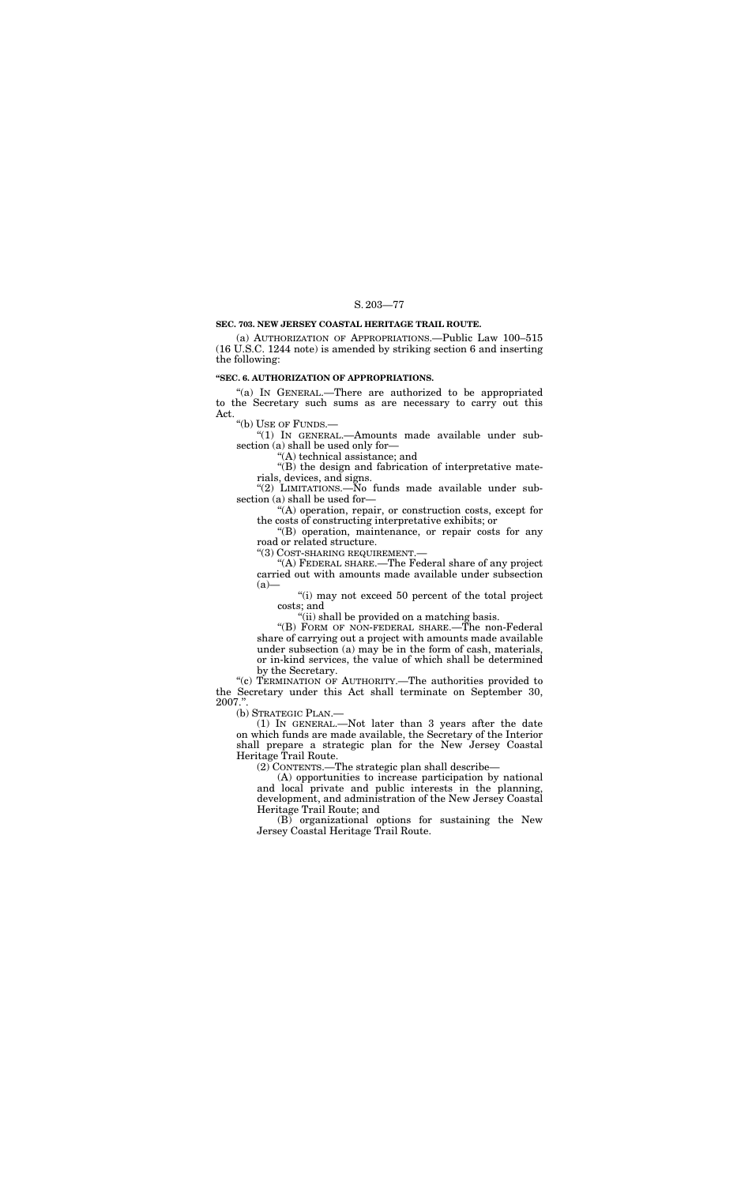### **SEC. 703. NEW JERSEY COASTAL HERITAGE TRAIL ROUTE.**

(a) AUTHORIZATION OF APPROPRIATIONS.—Public Law 100–515 (16 U.S.C. 1244 note) is amended by striking section 6 and inserting the following:

"(a) IN GENERAL.—There are authorized to be appropriated to the Secretary such sums as are necessary to carry out this Act.

''(1) IN GENERAL.—Amounts made available under subsection (a) shall be used only for-

#### **''SEC. 6. AUTHORIZATION OF APPROPRIATIONS.**

"(2) LIMITATIONS.—No funds made available under subsection (a) shall be used for—

''(b) USE OF FUNDS.—

''(A) FEDERAL SHARE.—The Federal share of any project carried out with amounts made available under subsection  $(a)$ —

''(A) technical assistance; and

"(i) may not exceed 50 percent of the total project costs; and

''(B) the design and fabrication of interpretative materials, devices, and signs.

''(A) operation, repair, or construction costs, except for the costs of constructing interpretative exhibits; or

''(B) operation, maintenance, or repair costs for any road or related structure.

''(3) COST-SHARING REQUIREMENT.—

''(ii) shall be provided on a matching basis.

''(B) FORM OF NON-FEDERAL SHARE.—The non-Federal share of carrying out a project with amounts made available under subsection (a) may be in the form of cash, materials, or in-kind services, the value of which shall be determined by the Secretary.

''(c) TERMINATION OF AUTHORITY.—The authorities provided to the Secretary under this Act shall terminate on September 30, 2007.''.

(b) STRATEGIC PLAN.—

(1) IN GENERAL.—Not later than 3 years after the date on which funds are made available, the Secretary of the Interior shall prepare a strategic plan for the New Jersey Coastal Heritage Trail Route.

(2) CONTENTS.—The strategic plan shall describe—

(A) opportunities to increase participation by national and local private and public interests in the planning, development, and administration of the New Jersey Coastal Heritage Trail Route; and

(B) organizational options for sustaining the New Jersey Coastal Heritage Trail Route.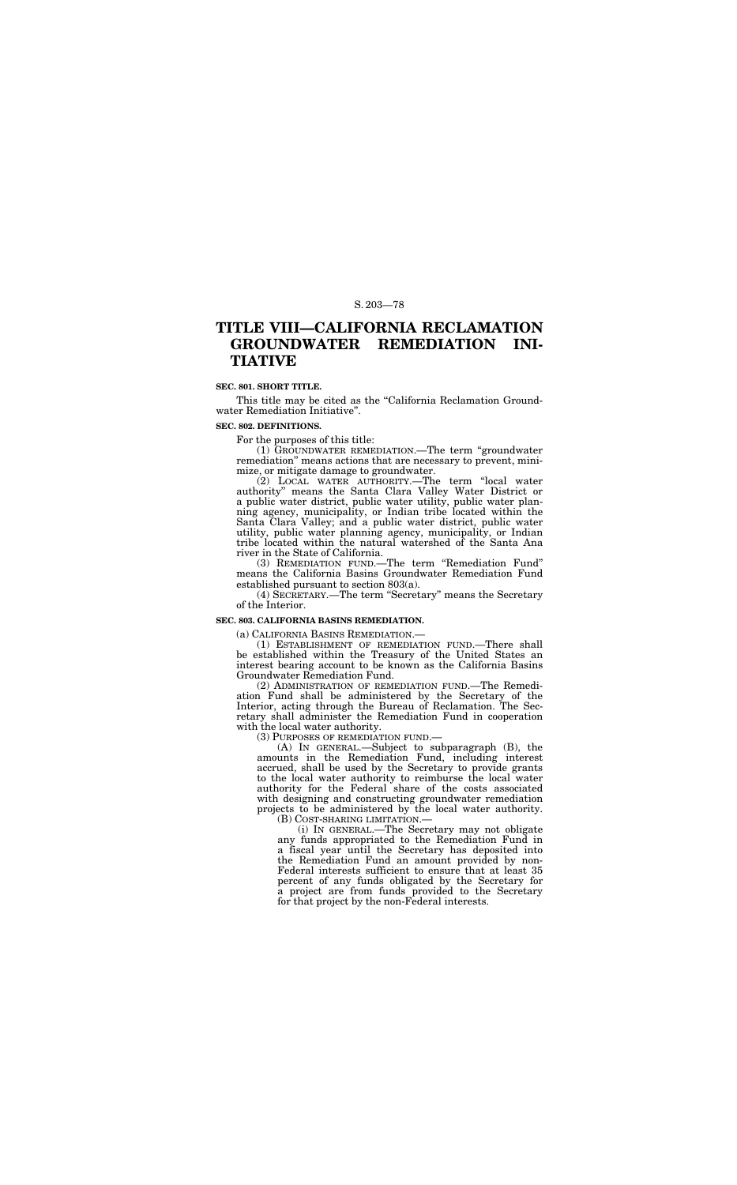# **TITLE VIII—CALIFORNIA RECLAMATION GROUNDWATER REMEDIATION INI-TIATIVE**

#### **SEC. 801. SHORT TITLE.**

This title may be cited as the "California Reclamation Groundwater Remediation Initiative''.

## **SEC. 802. DEFINITIONS.**

For the purposes of this title:

(1) GROUNDWATER REMEDIATION.—The term ''groundwater remediation'' means actions that are necessary to prevent, minimize, or mitigate damage to groundwater.

(2) LOCAL WATER AUTHORITY.—The term ''local water authority'' means the Santa Clara Valley Water District or a public water district, public water utility, public water planning agency, municipality, or Indian tribe located within the Santa Clara Valley; and a public water district, public water utility, public water planning agency, municipality, or Indian tribe located within the natural watershed of the Santa Ana river in the State of California.

(3) REMEDIATION FUND.—The term ''Remediation Fund'' means the California Basins Groundwater Remediation Fund established pursuant to section 803(a).

(4) SECRETARY.—The term ''Secretary'' means the Secretary of the Interior.

#### **SEC. 803. CALIFORNIA BASINS REMEDIATION.**

(a) CALIFORNIA BASINS REMEDIATION.—

(1) ESTABLISHMENT OF REMEDIATION FUND.—There shall be established within the Treasury of the United States an interest bearing account to be known as the California Basins Groundwater Remediation Fund.

(2) ADMINISTRATION OF REMEDIATION FUND.—The Remediation Fund shall be administered by the Secretary of the Interior, acting through the Bureau of Reclamation. The Secretary shall administer the Remediation Fund in cooperation with the local water authority.

(3) PURPOSES OF REMEDIATION FUND.—

(A) IN GENERAL.—Subject to subparagraph (B), the amounts in the Remediation Fund, including interest accrued, shall be used by the Secretary to provide grants to the local water authority to reimburse the local water authority for the Federal share of the costs associated with designing and constructing groundwater remediation projects to be administered by the local water authority.

(B) COST-SHARING LIMITATION.—

(i) IN GENERAL.—The Secretary may not obligate any funds appropriated to the Remediation Fund in a fiscal year until the Secretary has deposited into the Remediation Fund an amount provided by non-Federal interests sufficient to ensure that at least 35 percent of any funds obligated by the Secretary for a project are from funds provided to the Secretary for that project by the non-Federal interests.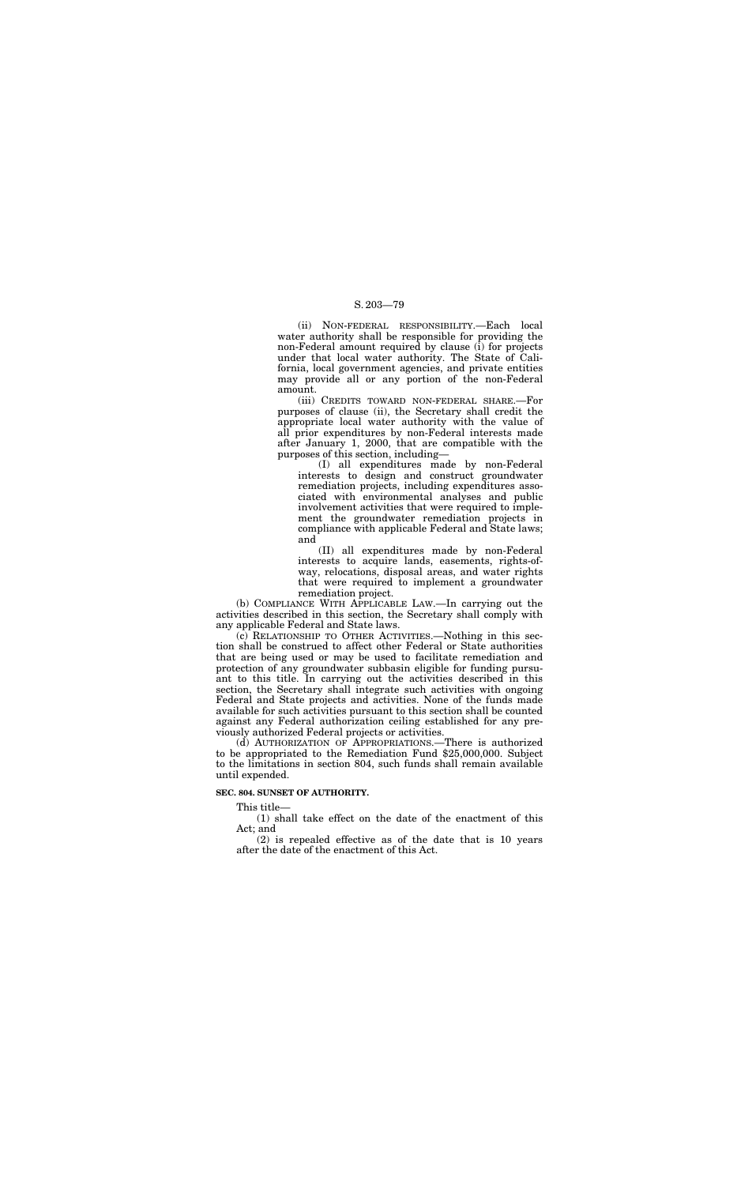(ii) NON-FEDERAL RESPONSIBILITY.—Each local water authority shall be responsible for providing the non-Federal amount required by clause (i) for projects under that local water authority. The State of California, local government agencies, and private entities may provide all or any portion of the non-Federal amount.

(iii) CREDITS TOWARD NON-FEDERAL SHARE.—For purposes of clause (ii), the Secretary shall credit the appropriate local water authority with the value of all prior expenditures by non-Federal interests made after January 1, 2000, that are compatible with the purposes of this section, including—

(I) all expenditures made by non-Federal interests to design and construct groundwater remediation projects, including expenditures associated with environmental analyses and public involvement activities that were required to implement the groundwater remediation projects in compliance with applicable Federal and State laws; and

(II) all expenditures made by non-Federal interests to acquire lands, easements, rights-ofway, relocations, disposal areas, and water rights that were required to implement a groundwater remediation project.

(b) COMPLIANCE WITH APPLICABLE LAW.—In carrying out the activities described in this section, the Secretary shall comply with any applicable Federal and State laws.

(c) RELATIONSHIP TO OTHER ACTIVITIES.—Nothing in this section shall be construed to affect other Federal or State authorities that are being used or may be used to facilitate remediation and protection of any groundwater subbasin eligible for funding pursuant to this title. In carrying out the activities described in this section, the Secretary shall integrate such activities with ongoing Federal and State projects and activities. None of the funds made available for such activities pursuant to this section shall be counted against any Federal authorization ceiling established for any previously authorized Federal projects or activities.

(d) AUTHORIZATION OF APPROPRIATIONS.—There is authorized to be appropriated to the Remediation Fund \$25,000,000. Subject to the limitations in section 804, such funds shall remain available until expended.

## **SEC. 804. SUNSET OF AUTHORITY.**

This title—

(1) shall take effect on the date of the enactment of this Act; and

(2) is repealed effective as of the date that is 10 years after the date of the enactment of this Act.